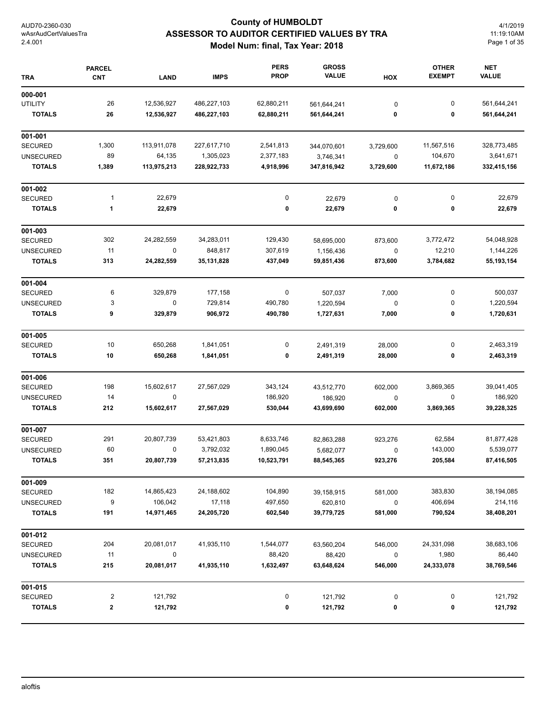# **County of HUMBOLDT ASSESSOR TO AUDITOR CERTIFIED VALUES BY TRA Model Num: final, Tax Year: 2018**

4/1/2019 11:19:10AM Page 1 of 35

| <b>TRA</b>       | <b>PARCEL</b><br>CNT    | <b>LAND</b> | <b>IMPS</b> | <b>PERS</b><br><b>PROP</b> | <b>GROSS</b><br><b>VALUE</b> | HOX       | <b>OTHER</b><br><b>EXEMPT</b> | <b>NET</b><br><b>VALUE</b> |
|------------------|-------------------------|-------------|-------------|----------------------------|------------------------------|-----------|-------------------------------|----------------------------|
| 000-001          |                         |             |             |                            |                              |           |                               |                            |
| <b>UTILITY</b>   | 26                      | 12,536,927  | 486,227,103 | 62,880,211                 | 561,644,241                  | $\pmb{0}$ | 0                             | 561,644,241                |
| <b>TOTALS</b>    | 26                      | 12,536,927  | 486,227,103 | 62,880,211                 | 561,644,241                  | 0         | 0                             | 561,644,241                |
| 001-001          |                         |             |             |                            |                              |           |                               |                            |
| <b>SECURED</b>   | 1,300                   | 113,911,078 | 227,617,710 | 2,541,813                  | 344,070,601                  | 3,729,600 | 11,567,516                    | 328,773,485                |
| <b>UNSECURED</b> | 89                      | 64,135      | 1,305,023   | 2,377,183                  | 3,746,341                    | 0         | 104,670                       | 3,641,671                  |
| <b>TOTALS</b>    | 1,389                   | 113,975,213 | 228,922,733 | 4,918,996                  | 347,816,942                  | 3,729,600 | 11,672,186                    | 332,415,156                |
| 001-002          |                         |             |             |                            |                              |           |                               |                            |
| <b>SECURED</b>   | 1                       | 22,679      |             | 0                          | 22,679                       | 0         | $\pmb{0}$                     | 22,679                     |
| <b>TOTALS</b>    | 1                       | 22,679      |             | 0                          | 22,679                       | 0         | 0                             | 22,679                     |
| 001-003          |                         |             |             |                            |                              |           |                               |                            |
| <b>SECURED</b>   | 302                     | 24,282,559  | 34,283,011  | 129,430                    | 58,695,000                   | 873,600   | 3,772,472                     | 54,048,928                 |
| <b>UNSECURED</b> | 11                      | $\pmb{0}$   | 848,817     | 307,619                    | 1,156,436                    | $\pmb{0}$ | 12,210                        | 1,144,226                  |
| <b>TOTALS</b>    | 313                     | 24,282,559  | 35,131,828  | 437,049                    | 59,851,436                   | 873,600   | 3,784,682                     | 55, 193, 154               |
| 001-004          |                         |             |             |                            |                              |           |                               |                            |
| <b>SECURED</b>   | 6                       | 329,879     | 177,158     | $\pmb{0}$                  | 507,037                      | 7,000     | 0                             | 500,037                    |
| <b>UNSECURED</b> | 3                       | 0           | 729,814     | 490,780                    | 1,220,594                    | $\pmb{0}$ | 0                             | 1,220,594                  |
| <b>TOTALS</b>    | 9                       | 329,879     | 906,972     | 490,780                    | 1,727,631                    | 7,000     | 0                             | 1,720,631                  |
| 001-005          |                         |             |             |                            |                              |           |                               |                            |
| <b>SECURED</b>   | 10                      | 650,268     | 1,841,051   | 0                          | 2,491,319                    | 28,000    | 0                             | 2,463,319                  |
| <b>TOTALS</b>    | 10                      | 650,268     | 1,841,051   | 0                          | 2,491,319                    | 28,000    | 0                             | 2,463,319                  |
| 001-006          |                         |             |             |                            |                              |           |                               |                            |
| <b>SECURED</b>   | 198                     | 15,602,617  | 27,567,029  | 343,124                    | 43,512,770                   | 602,000   | 3,869,365                     | 39,041,405                 |
| <b>UNSECURED</b> | 14                      | 0           |             | 186,920                    | 186,920                      | 0         | 0                             | 186,920                    |
| <b>TOTALS</b>    | 212                     | 15,602,617  | 27,567,029  | 530,044                    | 43,699,690                   | 602,000   | 3,869,365                     | 39,228,325                 |
| 001-007          |                         |             |             |                            |                              |           |                               |                            |
| <b>SECURED</b>   | 291                     | 20,807,739  | 53,421,803  | 8,633,746                  | 82,863,288                   | 923,276   | 62,584                        | 81,877,428                 |
| <b>UNSECURED</b> | 60                      | 0           | 3,792,032   | 1,890,045                  | 5,682,077                    | 0         | 143,000                       | 5,539,077                  |
| <b>TOTALS</b>    | 351                     | 20,807,739  | 57,213,835  | 10,523,791                 | 88,545,365                   | 923,276   | 205,584                       | 87,416,505                 |
| 001-009          |                         |             |             |                            |                              |           |                               |                            |
| <b>SECURED</b>   | 182                     | 14,865,423  | 24,188,602  | 104,890                    | 39,158,915                   | 581,000   | 383,830                       | 38,194,085                 |
| <b>UNSECURED</b> | 9                       | 106,042     | 17,118      | 497,650                    | 620,810                      | 0         | 406,694                       | 214,116                    |
| <b>TOTALS</b>    | 191                     | 14,971,465  | 24,205,720  | 602,540                    | 39,779,725                   | 581,000   | 790,524                       | 38,408,201                 |
| 001-012          |                         |             |             |                            |                              |           |                               |                            |
| <b>SECURED</b>   | 204                     | 20,081,017  | 41,935,110  | 1,544,077                  | 63,560,204                   | 546,000   | 24,331,098                    | 38,683,106                 |
| <b>UNSECURED</b> | 11                      | 0           |             | 88,420                     | 88,420                       | 0         | 1,980                         | 86,440                     |
| <b>TOTALS</b>    | 215                     | 20,081,017  | 41,935,110  | 1,632,497                  | 63,648,624                   | 546,000   | 24,333,078                    | 38,769,546                 |
| 001-015          |                         |             |             |                            |                              |           |                               |                            |
| SECURED          | $\overline{\mathbf{c}}$ | 121,792     |             | 0                          | 121,792                      | 0         | 0                             | 121,792                    |
| <b>TOTALS</b>    | 2                       | 121,792     |             | 0                          | 121,792                      | 0         | 0                             | 121,792                    |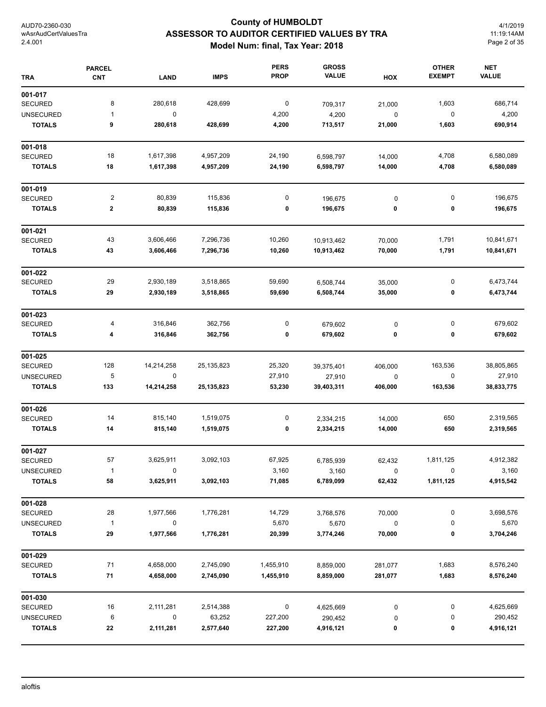# **County of HUMBOLDT ASSESSOR TO AUDITOR CERTIFIED VALUES BY TRA Model Num: final, Tax Year: 2018**

4/1/2019 11:19:14AM Page 2 of 35

| <b>TRA</b>       | <b>PARCEL</b><br><b>CNT</b> | <b>LAND</b> | <b>IMPS</b> | <b>PERS</b><br><b>PROP</b> | <b>GROSS</b><br><b>VALUE</b> | HOX     | <b>OTHER</b><br><b>EXEMPT</b> | <b>NET</b><br><b>VALUE</b> |
|------------------|-----------------------------|-------------|-------------|----------------------------|------------------------------|---------|-------------------------------|----------------------------|
| 001-017          |                             |             |             |                            |                              |         |                               |                            |
| <b>SECURED</b>   | 8                           | 280,618     | 428,699     | 0                          | 709,317                      | 21,000  | 1,603                         | 686,714                    |
| <b>UNSECURED</b> | 1                           | $\mathbf 0$ |             | 4,200                      | 4,200                        | 0       | 0                             | 4,200                      |
| <b>TOTALS</b>    | 9                           | 280,618     | 428,699     | 4,200                      | 713,517                      | 21,000  | 1,603                         | 690,914                    |
| 001-018          |                             |             |             |                            |                              |         |                               |                            |
| <b>SECURED</b>   | 18                          | 1,617,398   | 4,957,209   | 24,190                     | 6,598,797                    | 14,000  | 4,708                         | 6,580,089                  |
| <b>TOTALS</b>    | 18                          | 1,617,398   | 4,957,209   | 24,190                     | 6,598,797                    | 14,000  | 4,708                         | 6,580,089                  |
| 001-019          |                             |             |             |                            |                              |         |                               |                            |
| <b>SECURED</b>   | 2                           | 80,839      | 115,836     | 0                          | 196,675                      | 0       | $\pmb{0}$                     | 196,675                    |
| <b>TOTALS</b>    | $\bf{2}$                    | 80,839      | 115,836     | 0                          | 196,675                      | 0       | 0                             | 196,675                    |
| 001-021          |                             |             |             |                            |                              |         |                               |                            |
| SECURED          | 43                          | 3,606,466   | 7,296,736   | 10,260                     | 10,913,462                   | 70,000  | 1,791                         | 10,841,671                 |
| <b>TOTALS</b>    | 43                          | 3,606,466   | 7,296,736   | 10,260                     | 10,913,462                   | 70,000  | 1,791                         | 10,841,671                 |
| 001-022          |                             |             |             |                            |                              |         |                               |                            |
| SECURED          | 29                          | 2,930,189   | 3,518,865   | 59,690                     | 6,508,744                    | 35,000  | 0                             | 6,473,744                  |
| <b>TOTALS</b>    | 29                          | 2,930,189   | 3,518,865   | 59,690                     | 6,508,744                    | 35,000  | 0                             | 6,473,744                  |
| 001-023          |                             |             |             |                            |                              |         |                               |                            |
| <b>SECURED</b>   | 4                           | 316,846     | 362,756     | 0                          | 679,602                      | 0       | 0                             | 679,602                    |
| <b>TOTALS</b>    | 4                           | 316,846     | 362,756     | 0                          | 679,602                      | 0       | 0                             | 679,602                    |
| 001-025          |                             |             |             |                            |                              |         |                               |                            |
| <b>SECURED</b>   | 128                         | 14,214,258  | 25,135,823  | 25,320                     | 39,375,401                   | 406,000 | 163,536                       | 38,805,865                 |
| <b>UNSECURED</b> | 5                           | $\mathbf 0$ |             | 27,910                     | 27,910                       | 0       | 0                             | 27,910                     |
| <b>TOTALS</b>    | 133                         | 14,214,258  | 25,135,823  | 53,230                     | 39,403,311                   | 406,000 | 163,536                       | 38,833,775                 |
| 001-026          |                             |             |             |                            |                              |         |                               |                            |
| <b>SECURED</b>   | 14                          | 815,140     | 1,519,075   | 0                          | 2,334,215                    | 14,000  | 650                           | 2,319,565                  |
| <b>TOTALS</b>    | 14                          | 815,140     | 1,519,075   | 0                          | 2,334,215                    | 14,000  | 650                           | 2,319,565                  |
| 001-027          |                             |             |             |                            |                              |         |                               |                            |
| SECURED          | 57                          | 3,625,911   | 3,092,103   | 67,925                     | 6,785,939                    | 62,432  | 1,811,125                     | 4,912,382                  |
| <b>UNSECURED</b> | $\mathbf{1}$                | 0           |             | 3,160                      | 3,160                        | 0       | 0                             | 3,160                      |
| <b>TOTALS</b>    | 58                          | 3,625,911   | 3,092,103   | 71,085                     | 6,789,099                    | 62,432  | 1,811,125                     | 4,915,542                  |
| 001-028          |                             |             |             |                            |                              |         |                               |                            |
| SECURED          | 28                          | 1,977,566   | 1,776,281   | 14,729                     | 3,768,576                    | 70,000  | 0                             | 3,698,576                  |
| <b>UNSECURED</b> | $\mathbf{1}$                | 0           |             | 5,670                      | 5,670                        | 0       | 0                             | 5,670                      |
| <b>TOTALS</b>    | 29                          | 1,977,566   | 1,776,281   | 20,399                     | 3,774,246                    | 70,000  | 0                             | 3,704,246                  |
| 001-029          |                             |             |             |                            |                              |         |                               |                            |
| <b>SECURED</b>   | 71                          | 4,658,000   | 2,745,090   | 1,455,910                  | 8,859,000                    | 281,077 | 1,683                         | 8,576,240                  |
| <b>TOTALS</b>    | ${\bf 71}$                  | 4,658,000   | 2,745,090   | 1,455,910                  | 8,859,000                    | 281,077 | 1,683                         | 8,576,240                  |
| 001-030          |                             |             |             |                            |                              |         |                               |                            |
| <b>SECURED</b>   | 16                          | 2,111,281   | 2,514,388   | 0                          | 4,625,669                    | 0       | 0                             | 4,625,669                  |
| <b>UNSECURED</b> | 6                           | $\mathbf 0$ | 63,252      | 227,200                    | 290,452                      | 0       | 0                             | 290,452                    |
| <b>TOTALS</b>    | 22                          | 2,111,281   | 2,577,640   | 227,200                    | 4,916,121                    | 0       | 0                             | 4,916,121                  |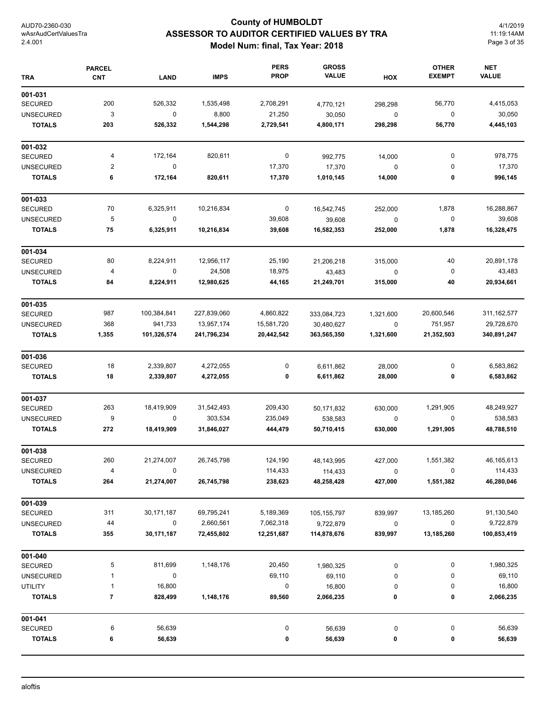# **County of HUMBOLDT ASSESSOR TO AUDITOR CERTIFIED VALUES BY TRA Model Num: final, Tax Year: 2018**

4/1/2019 11:19:14AM Page 3 of 35

| <b>TRA</b>       | <b>PARCEL</b><br><b>CNT</b> | <b>LAND</b> | <b>IMPS</b> | <b>PERS</b><br><b>PROP</b> | <b>GROSS</b><br><b>VALUE</b> | HOX         | <b>OTHER</b><br><b>EXEMPT</b> | <b>NET</b><br><b>VALUE</b> |
|------------------|-----------------------------|-------------|-------------|----------------------------|------------------------------|-------------|-------------------------------|----------------------------|
| 001-031          |                             |             |             |                            |                              |             |                               |                            |
| <b>SECURED</b>   | 200                         | 526,332     | 1,535,498   | 2,708,291                  | 4,770,121                    | 298,298     | 56,770                        | 4,415,053                  |
| <b>UNSECURED</b> | 3                           | $\pmb{0}$   | 8,800       | 21,250                     | 30,050                       | $\pmb{0}$   | $\boldsymbol{0}$              | 30,050                     |
| <b>TOTALS</b>    | 203                         | 526,332     | 1,544,298   | 2,729,541                  | 4,800,171                    | 298,298     | 56,770                        | 4,445,103                  |
| 001-032          |                             |             |             |                            |                              |             |                               |                            |
| <b>SECURED</b>   | 4                           | 172,164     | 820,611     | 0                          | 992,775                      | 14,000      | 0                             | 978,775                    |
| <b>UNSECURED</b> | 2                           | 0           |             | 17,370                     | 17,370                       | $\mathbf 0$ | 0                             | 17,370                     |
| <b>TOTALS</b>    | 6                           | 172,164     | 820,611     | 17,370                     | 1,010,145                    | 14,000      | 0                             | 996,145                    |
| 001-033          |                             |             |             |                            |                              |             |                               |                            |
| <b>SECURED</b>   | 70                          | 6,325,911   | 10,216,834  | 0                          | 16,542,745                   | 252,000     | 1,878                         | 16,288,867                 |
| <b>UNSECURED</b> | 5                           | 0           |             | 39,608                     | 39,608                       | $\mathbf 0$ | $\boldsymbol{0}$              | 39,608                     |
| <b>TOTALS</b>    | 75                          | 6,325,911   | 10,216,834  | 39,608                     | 16,582,353                   | 252,000     | 1,878                         | 16,328,475                 |
| 001-034          |                             |             |             |                            |                              |             |                               |                            |
| <b>SECURED</b>   | 80                          | 8,224,911   | 12,956,117  | 25,190                     | 21,206,218                   | 315,000     | 40                            | 20,891,178                 |
| <b>UNSECURED</b> | 4                           | $\pmb{0}$   | 24,508      | 18,975                     | 43,483                       | $\pmb{0}$   | 0                             | 43,483                     |
| <b>TOTALS</b>    | 84                          | 8,224,911   | 12,980,625  | 44,165                     | 21,249,701                   | 315,000     | 40                            | 20,934,661                 |
| 001-035          |                             |             |             |                            |                              |             |                               |                            |
| <b>SECURED</b>   | 987                         | 100,384,841 | 227,839,060 | 4,860,822                  | 333,084,723                  | 1,321,600   | 20,600,546                    | 311, 162, 577              |
| <b>UNSECURED</b> | 368                         | 941,733     | 13,957,174  | 15,581,720                 | 30,480,627                   | $\pmb{0}$   | 751,957                       | 29,728,670                 |
| <b>TOTALS</b>    | 1,355                       | 101,326,574 | 241,796,234 | 20,442,542                 | 363,565,350                  | 1,321,600   | 21,352,503                    | 340,891,247                |
| 001-036          |                             |             |             |                            |                              |             |                               |                            |
| <b>SECURED</b>   | 18                          | 2,339,807   | 4,272,055   | 0                          | 6,611,862                    | 28,000      | 0                             | 6,583,862                  |
| <b>TOTALS</b>    | 18                          | 2,339,807   | 4,272,055   | 0                          | 6,611,862                    | 28,000      | 0                             | 6,583,862                  |
| 001-037          |                             |             |             |                            |                              |             |                               |                            |
| <b>SECURED</b>   | 263                         | 18,419,909  | 31,542,493  | 209,430                    | 50,171,832                   | 630,000     | 1,291,905                     | 48,249,927                 |
| <b>UNSECURED</b> | 9                           | $\mathbf 0$ | 303,534     | 235,049                    | 538,583                      | $\pmb{0}$   | $\mathbf 0$                   | 538,583                    |
| <b>TOTALS</b>    | 272                         | 18,419,909  | 31,846,027  | 444,479                    | 50,710,415                   | 630,000     | 1,291,905                     | 48,788,510                 |
| 001-038          |                             |             |             |                            |                              |             |                               |                            |
| <b>SECURED</b>   | 260                         | 21,274,007  | 26,745,798  | 124,190                    | 48,143,995                   | 427,000     | 1,551,382                     | 46,165,613                 |
| <b>UNSECURED</b> | 4                           | 0           |             | 114,433                    | 114,433                      | 0           | 0                             | 114,433                    |
| <b>TOTALS</b>    | 264                         | 21,274,007  | 26,745,798  | 238,623                    | 48,258,428                   | 427,000     | 1,551,382                     | 46,280,046                 |
| 001-039          |                             |             |             |                            |                              |             |                               |                            |
| <b>SECURED</b>   | 311                         | 30,171,187  | 69,795,241  | 5,189,369                  | 105, 155, 797                | 839,997     | 13,185,260                    | 91,130,540                 |
| <b>UNSECURED</b> | 44                          | 0           | 2,660,561   | 7,062,318                  | 9,722,879                    | 0           | 0                             | 9,722,879                  |
| <b>TOTALS</b>    | 355                         | 30,171,187  | 72,455,802  | 12,251,687                 | 114,878,676                  | 839,997     | 13,185,260                    | 100,853,419                |
| 001-040          |                             |             |             |                            |                              |             |                               |                            |
| <b>SECURED</b>   | 5                           | 811,699     | 1,148,176   | 20,450                     | 1,980,325                    | 0           | 0                             | 1,980,325                  |
| <b>UNSECURED</b> | 1                           | 0           |             | 69,110                     | 69,110                       | 0           | 0                             | 69,110                     |
| <b>UTILITY</b>   | 1                           | 16,800      |             | 0                          | 16,800                       | 0           | 0                             | 16,800                     |
| <b>TOTALS</b>    | 7                           | 828,499     | 1,148,176   | 89,560                     | 2,066,235                    | 0           | 0                             | 2,066,235                  |
| 001-041          |                             |             |             |                            |                              |             |                               |                            |
| <b>SECURED</b>   | 6                           | 56,639      |             | 0                          | 56,639                       | 0           | 0                             | 56,639                     |
| <b>TOTALS</b>    | 6                           | 56,639      |             | 0                          | 56,639                       | 0           | 0                             | 56,639                     |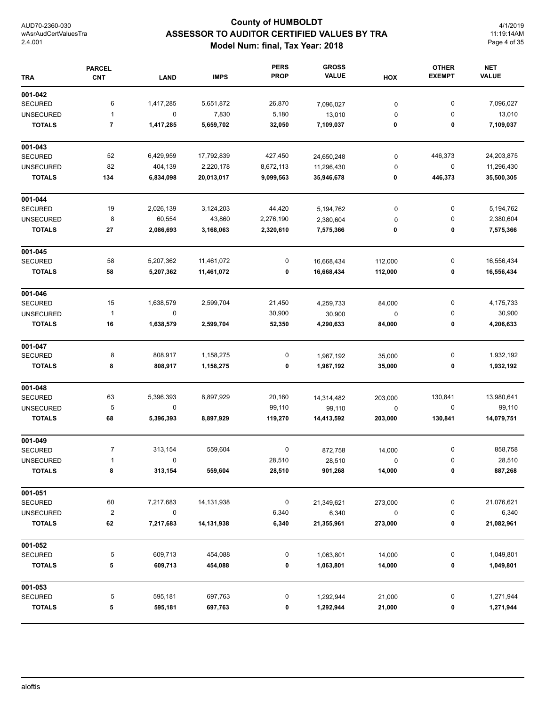# **County of HUMBOLDT ASSESSOR TO AUDITOR CERTIFIED VALUES BY TRA Model Num: final, Tax Year: 2018**

4/1/2019 11:19:14AM Page 4 of 35

| <b>TRA</b>       | <b>PARCEL</b><br><b>CNT</b> | <b>LAND</b> | <b>IMPS</b>  | <b>PERS</b><br><b>PROP</b> | <b>GROSS</b><br><b>VALUE</b> | HOX         | <b>OTHER</b><br><b>EXEMPT</b> | <b>NET</b><br><b>VALUE</b> |
|------------------|-----------------------------|-------------|--------------|----------------------------|------------------------------|-------------|-------------------------------|----------------------------|
| 001-042          |                             |             |              |                            |                              |             |                               |                            |
| <b>SECURED</b>   | 6                           | 1,417,285   | 5,651,872    | 26,870                     | 7,096,027                    | 0           | 0                             | 7,096,027                  |
| <b>UNSECURED</b> | 1                           | 0           | 7,830        | 5,180                      | 13,010                       | 0           | 0                             | 13,010                     |
| <b>TOTALS</b>    | 7                           | 1,417,285   | 5,659,702    | 32,050                     | 7,109,037                    | 0           | 0                             | 7,109,037                  |
| 001-043          |                             |             |              |                            |                              |             |                               |                            |
| <b>SECURED</b>   | 52                          | 6,429,959   | 17,792,839   | 427,450                    | 24,650,248                   | 0           | 446,373                       | 24,203,875                 |
| <b>UNSECURED</b> | 82                          | 404,139     | 2,220,178    | 8,672,113                  | 11,296,430                   | 0           | 0                             | 11,296,430                 |
| <b>TOTALS</b>    | 134                         | 6,834,098   | 20,013,017   | 9,099,563                  | 35,946,678                   | 0           | 446,373                       | 35,500,305                 |
| 001-044          |                             |             |              |                            |                              |             |                               |                            |
| <b>SECURED</b>   | 19                          | 2,026,139   | 3,124,203    | 44,420                     | 5,194,762                    | 0           | 0                             | 5,194,762                  |
| <b>UNSECURED</b> | 8                           | 60,554      | 43,860       | 2,276,190                  | 2,380,604                    | 0           | 0                             | 2,380,604                  |
| <b>TOTALS</b>    | 27                          | 2,086,693   | 3,168,063    | 2,320,610                  | 7,575,366                    | 0           | 0                             | 7,575,366                  |
| 001-045          |                             |             |              |                            |                              |             |                               |                            |
| <b>SECURED</b>   | 58                          | 5,207,362   | 11,461,072   | 0                          | 16,668,434                   | 112,000     | 0                             | 16,556,434                 |
| <b>TOTALS</b>    | 58                          | 5,207,362   | 11,461,072   | 0                          | 16,668,434                   | 112,000     | 0                             | 16,556,434                 |
| 001-046          |                             |             |              |                            |                              |             |                               |                            |
| <b>SECURED</b>   | 15                          | 1,638,579   | 2,599,704    | 21,450                     | 4,259,733                    | 84,000      | 0                             | 4,175,733                  |
| <b>UNSECURED</b> | $\mathbf{1}$                | 0           |              | 30,900                     | 30,900                       | 0           | 0                             | 30,900                     |
| <b>TOTALS</b>    | 16                          | 1,638,579   | 2,599,704    | 52,350                     | 4,290,633                    | 84,000      | 0                             | 4,206,633                  |
| 001-047          |                             |             |              |                            |                              |             |                               |                            |
| <b>SECURED</b>   | 8                           | 808,917     | 1,158,275    | 0                          | 1,967,192                    | 35,000      | 0                             | 1,932,192                  |
| <b>TOTALS</b>    | 8                           | 808,917     | 1,158,275    | 0                          | 1,967,192                    | 35,000      | 0                             | 1,932,192                  |
| 001-048          |                             |             |              |                            |                              |             |                               |                            |
| <b>SECURED</b>   | 63                          | 5,396,393   | 8,897,929    | 20,160                     | 14,314,482                   | 203,000     | 130,841                       | 13,980,641                 |
| <b>UNSECURED</b> | 5                           | 0           |              | 99,110                     | 99,110                       | $\mathbf 0$ | 0                             | 99,110                     |
| <b>TOTALS</b>    | 68                          | 5,396,393   | 8,897,929    | 119,270                    | 14,413,592                   | 203,000     | 130,841                       | 14,079,751                 |
| 001-049          |                             |             |              |                            |                              |             |                               |                            |
| <b>SECURED</b>   | 7                           | 313,154     | 559,604      | 0                          | 872,758                      | 14,000      | 0                             | 858,758                    |
| UNSECURED        | $\mathbf{1}$                | $\Omega$    |              | 28,510                     | 28,510                       |             | 0                             | 28,510                     |
| <b>TOTALS</b>    | 8                           | 313,154     | 559,604      | 28,510                     | 901,268                      | 14,000      | 0                             | 887,268                    |
| 001-051          |                             |             |              |                            |                              |             |                               |                            |
| SECURED          | 60                          | 7,217,683   | 14, 131, 938 | 0                          | 21,349,621                   | 273,000     | 0                             | 21,076,621                 |
| <b>UNSECURED</b> | $\overline{2}$              | $\pmb{0}$   |              | 6,340                      | 6,340                        | 0           | 0                             | 6,340                      |
| <b>TOTALS</b>    | 62                          | 7,217,683   | 14,131,938   | 6,340                      | 21,355,961                   | 273,000     | 0                             | 21,082,961                 |
| 001-052          |                             |             |              |                            |                              |             |                               |                            |
| SECURED          | 5                           | 609,713     | 454,088      | 0                          | 1,063,801                    | 14,000      | 0                             | 1,049,801                  |
| <b>TOTALS</b>    | 5                           | 609,713     | 454,088      | 0                          | 1,063,801                    | 14,000      | 0                             | 1,049,801                  |
| 001-053          |                             |             |              |                            |                              |             |                               |                            |
| SECURED          | 5                           | 595,181     | 697,763      | 0                          | 1,292,944                    | 21,000      | 0                             | 1,271,944                  |
| <b>TOTALS</b>    | 5                           | 595,181     | 697,763      | 0                          | 1,292,944                    | 21,000      | 0                             | 1,271,944                  |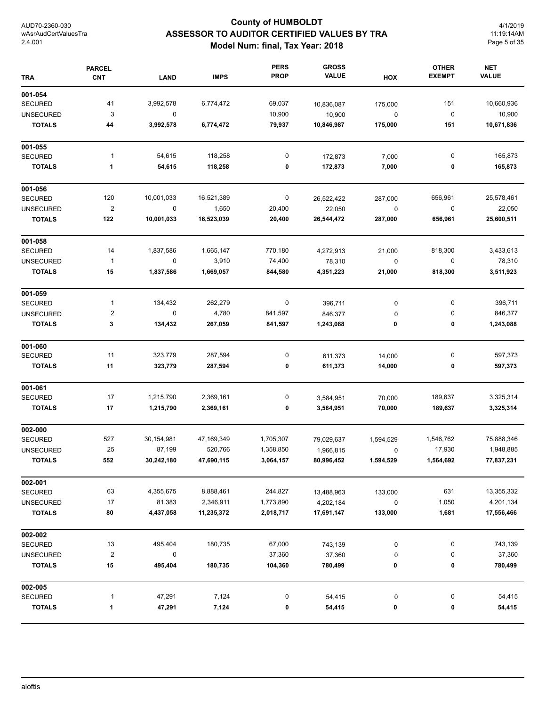# **County of HUMBOLDT ASSESSOR TO AUDITOR CERTIFIED VALUES BY TRA Model Num: final, Tax Year: 2018**

4/1/2019 11:19:14AM Page 5 of 35

| <b>TRA</b>       | <b>PARCEL</b><br><b>CNT</b> | <b>LAND</b> | <b>IMPS</b> | <b>PERS</b><br><b>PROP</b> | <b>GROSS</b><br><b>VALUE</b> | HOX         | <b>OTHER</b><br><b>EXEMPT</b> | <b>NET</b><br><b>VALUE</b> |
|------------------|-----------------------------|-------------|-------------|----------------------------|------------------------------|-------------|-------------------------------|----------------------------|
| 001-054          |                             |             |             |                            |                              |             |                               |                            |
| <b>SECURED</b>   | 41                          | 3,992,578   | 6,774,472   | 69,037                     | 10,836,087                   | 175,000     | 151                           | 10,660,936                 |
| <b>UNSECURED</b> | 3                           | $\mathbf 0$ |             | 10,900                     | 10,900                       | $\mathbf 0$ | 0                             | 10,900                     |
| <b>TOTALS</b>    | 44                          | 3,992,578   | 6,774,472   | 79,937                     | 10,846,987                   | 175,000     | 151                           | 10,671,836                 |
| 001-055          |                             |             |             |                            |                              |             |                               |                            |
| <b>SECURED</b>   | 1                           | 54,615      | 118,258     | 0                          | 172,873                      | 7,000       | 0                             | 165,873                    |
| <b>TOTALS</b>    | 1                           | 54,615      | 118,258     | 0                          | 172,873                      | 7,000       | 0                             | 165,873                    |
| 001-056          |                             |             |             |                            |                              |             |                               |                            |
| <b>SECURED</b>   | 120                         | 10,001,033  | 16,521,389  | 0                          | 26,522,422                   | 287,000     | 656,961                       | 25,578,461                 |
| <b>UNSECURED</b> | $\overline{\mathbf{c}}$     | $\mathbf 0$ | 1,650       | 20,400                     | 22,050                       | $\pmb{0}$   | $\pmb{0}$                     | 22,050                     |
| <b>TOTALS</b>    | 122                         | 10,001,033  | 16,523,039  | 20,400                     | 26,544,472                   | 287,000     | 656,961                       | 25,600,511                 |
| 001-058          |                             |             |             |                            |                              |             |                               |                            |
| <b>SECURED</b>   | 14                          | 1,837,586   | 1,665,147   | 770,180                    | 4,272,913                    | 21,000      | 818,300                       | 3,433,613                  |
| <b>UNSECURED</b> | $\mathbf{1}$                | $\mathbf 0$ | 3,910       | 74,400                     | 78,310                       | 0           | 0                             | 78,310                     |
| <b>TOTALS</b>    | 15                          | 1,837,586   | 1,669,057   | 844,580                    | 4,351,223                    | 21,000      | 818,300                       | 3,511,923                  |
| 001-059          |                             |             |             |                            |                              |             |                               |                            |
| <b>SECURED</b>   | 1                           | 134,432     | 262,279     | $\boldsymbol{0}$           | 396,711                      | 0           | 0                             | 396,711                    |
| <b>UNSECURED</b> | $\mathbf 2$                 | 0           | 4,780       | 841,597                    | 846,377                      | 0           | 0                             | 846,377                    |
| <b>TOTALS</b>    | 3                           | 134,432     | 267,059     | 841,597                    | 1,243,088                    | 0           | 0                             | 1,243,088                  |
| 001-060          |                             |             |             |                            |                              |             |                               |                            |
| <b>SECURED</b>   | 11                          | 323,779     | 287,594     | 0                          | 611,373                      | 14,000      | 0                             | 597,373                    |
| <b>TOTALS</b>    | 11                          | 323,779     | 287,594     | 0                          | 611,373                      | 14,000      | 0                             | 597,373                    |
| 001-061          |                             |             |             |                            |                              |             |                               |                            |
| SECURED          | 17                          | 1,215,790   | 2,369,161   | 0                          | 3,584,951                    | 70,000      | 189,637                       | 3,325,314                  |
| <b>TOTALS</b>    | 17                          | 1,215,790   | 2,369,161   | 0                          | 3,584,951                    | 70,000      | 189,637                       | 3,325,314                  |
| 002-000          |                             |             |             |                            |                              |             |                               |                            |
| <b>SECURED</b>   | 527                         | 30,154,981  | 47,169,349  | 1,705,307                  | 79,029,637                   | 1,594,529   | 1,546,762                     | 75,888,346                 |
| <b>UNSECURED</b> | 25                          | 87,199      | 520,766     | 1,358,850                  | 1,966,815                    | 0           | 17,930                        | 1,948,885                  |
| <b>TOTALS</b>    | 552                         | 30,242,180  | 47,690,115  | 3,064,157                  | 80,996,452                   | 1,594,529   | 1,564,692                     | 77,837,231                 |
| 002-001          |                             |             |             |                            |                              |             |                               |                            |
| <b>SECURED</b>   | 63                          | 4,355,675   | 8,888,461   | 244,827                    | 13,488,963                   | 133,000     | 631                           | 13,355,332                 |
| <b>UNSECURED</b> | 17                          | 81,383      | 2,346,911   | 1,773,890                  | 4,202,184                    | 0           | 1,050                         | 4,201,134                  |
| <b>TOTALS</b>    | 80                          | 4,437,058   | 11,235,372  | 2,018,717                  | 17,691,147                   | 133,000     | 1,681                         | 17,556,466                 |
| 002-002          |                             |             |             |                            |                              |             |                               |                            |
| <b>SECURED</b>   | 13                          | 495,404     | 180,735     | 67,000                     | 743,139                      | 0           | 0                             | 743,139                    |
| <b>UNSECURED</b> | $\overline{\mathbf{c}}$     | 0           |             | 37,360                     | 37,360                       | 0           | 0                             | 37,360                     |
| <b>TOTALS</b>    | 15                          | 495,404     | 180,735     | 104,360                    | 780,499                      | 0           | 0                             | 780,499                    |
| 002-005          |                             |             |             |                            |                              |             |                               |                            |
| SECURED          | 1                           | 47,291      | 7,124       | 0                          | 54,415                       | 0           | 0                             | 54,415                     |
| <b>TOTALS</b>    | 1                           | 47,291      | 7,124       | 0                          | 54,415                       | 0           | 0                             | 54,415                     |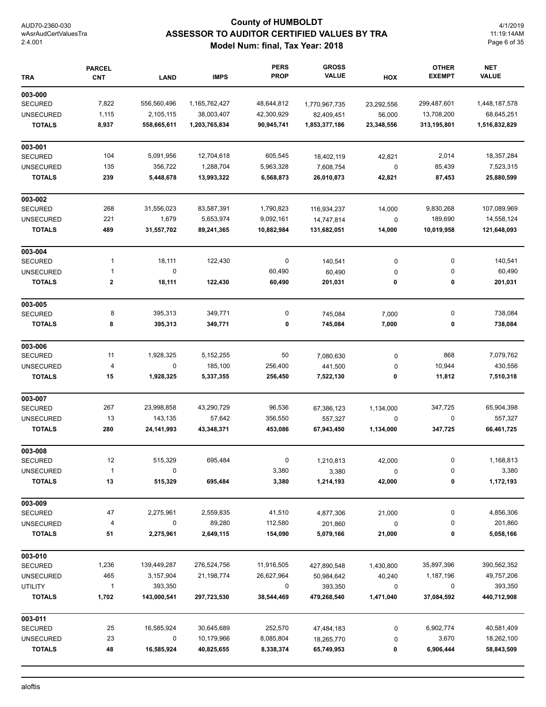# **County of HUMBOLDT ASSESSOR TO AUDITOR CERTIFIED VALUES BY TRA Model Num: final, Tax Year: 2018**

4/1/2019 11:19:14AM Page 6 of 35

| <b>TRA</b>                        | <b>PARCEL</b><br><b>CNT</b> | <b>LAND</b>    | <b>IMPS</b>         | <b>PERS</b><br><b>PROP</b> | <b>GROSS</b><br><b>VALUE</b> | HOX         | <b>OTHER</b><br><b>EXEMPT</b> | <b>NET</b><br><b>VALUE</b> |
|-----------------------------------|-----------------------------|----------------|---------------------|----------------------------|------------------------------|-------------|-------------------------------|----------------------------|
| 003-000                           |                             |                |                     |                            |                              |             |                               |                            |
| <b>SECURED</b>                    | 7,822                       | 556,560,496    | 1,165,762,427       | 48,644,812                 | 1,770,967,735                | 23,292,556  | 299,487,601                   | 1,448,187,578              |
| <b>UNSECURED</b>                  | 1,115                       | 2,105,115      | 38,003,407          | 42,300,929                 | 82,409,451                   | 56,000      | 13,708,200                    | 68,645,251                 |
| <b>TOTALS</b>                     | 8,937                       | 558,665,611    | 1,203,765,834       | 90,945,741                 | 1,853,377,186                | 23,348,556  | 313,195,801                   | 1,516,832,829              |
| 003-001                           |                             |                |                     |                            |                              |             |                               |                            |
| <b>SECURED</b>                    | 104                         | 5,091,956      | 12,704,618          | 605,545                    | 18,402,119                   | 42,821      | 2,014                         | 18,357,284                 |
| <b>UNSECURED</b>                  | 135                         | 356,722        | 1,288,704           | 5,963,328                  | 7,608,754                    | 0           | 85,439                        | 7,523,315                  |
| <b>TOTALS</b>                     | 239                         | 5,448,678      | 13,993,322          | 6,568,873                  | 26,010,873                   | 42,821      | 87,453                        | 25,880,599                 |
| 003-002                           |                             |                |                     |                            |                              |             |                               |                            |
| SECURED                           | 268                         | 31,556,023     | 83,587,391          | 1,790,823                  | 116,934,237                  | 14,000      | 9,830,268                     | 107,089,969                |
| <b>UNSECURED</b>                  | 221                         | 1,679          | 5,653,974           | 9,092,161                  | 14,747,814                   | $\mathbf 0$ | 189,690                       | 14,558,124                 |
| <b>TOTALS</b>                     | 489                         | 31,557,702     | 89,241,365          | 10,882,984                 | 131,682,051                  | 14,000      | 10,019,958                    | 121,648,093                |
| 003-004                           |                             |                |                     |                            |                              |             |                               |                            |
| <b>SECURED</b>                    | $\mathbf{1}$                | 18,111         | 122,430             | 0                          | 140,541                      | 0           | 0                             | 140,541                    |
| <b>UNSECURED</b>                  | $\mathbf{1}$                | 0              |                     | 60,490                     | 60,490                       | 0           | 0                             | 60,490                     |
| <b>TOTALS</b>                     | 2                           | 18,111         | 122,430             | 60,490                     | 201,031                      | 0           | 0                             | 201,031                    |
| 003-005                           |                             |                |                     |                            |                              |             |                               |                            |
| <b>SECURED</b>                    | 8                           | 395,313        | 349,771             | 0                          | 745,084                      | 7,000       | 0                             | 738,084                    |
| <b>TOTALS</b>                     | 8                           | 395,313        | 349,771             | 0                          | 745,084                      | 7,000       | 0                             | 738,084                    |
| 003-006                           |                             |                |                     |                            |                              |             |                               |                            |
| <b>SECURED</b>                    | 11                          | 1,928,325      | 5,152,255           | 50                         | 7,080,630                    | 0           | 868                           | 7,079,762                  |
| <b>UNSECURED</b>                  | 4                           | 0              | 185,100             | 256,400                    | 441,500                      | 0           | 10,944                        | 430,556                    |
| <b>TOTALS</b>                     | 15                          | 1,928,325      | 5,337,355           | 256,450                    | 7,522,130                    | 0           | 11,812                        | 7,510,318                  |
| 003-007                           |                             |                |                     |                            |                              |             |                               |                            |
| <b>SECURED</b>                    | 267                         | 23,998,858     | 43,290,729          | 96,536                     | 67,386,123                   | 1,134,000   | 347,725                       | 65,904,398                 |
| <b>UNSECURED</b>                  | 13                          | 143,135        | 57,642              | 356,550                    | 557,327                      | 0           | 0                             | 557,327                    |
| <b>TOTALS</b>                     | 280                         | 24,141,993     | 43,348,371          | 453,086                    | 67,943,450                   | 1,134,000   | 347,725                       | 66,461,725                 |
| 003-008                           |                             |                |                     |                            |                              |             |                               |                            |
| <b>SECURED</b>                    | 12                          | 515,329        | 695,484             | 0                          | 1,210,813                    | 42,000      | U                             | 1,168,813                  |
| <b>UNSECURED</b>                  | $\mathbf{1}$                | 0              |                     | 3,380                      | 3,380                        | 0           | 0                             | 3,380                      |
| <b>TOTALS</b>                     | 13                          | 515,329        | 695,484             | 3,380                      | 1,214,193                    | 42,000      | 0                             | 1,172,193                  |
| 003-009                           |                             |                |                     |                            |                              |             |                               |                            |
| <b>SECURED</b>                    | 47                          | 2,275,961      | 2,559,835           | 41,510                     | 4,877,306                    | 21,000      | 0                             | 4,856,306                  |
| <b>UNSECURED</b><br><b>TOTALS</b> | 4<br>51                     | 0<br>2,275,961 | 89,280<br>2,649,115 | 112,580<br>154,090         | 201,860<br>5,079,166         | 0<br>21,000 | 0<br>0                        | 201,860<br>5,058,166       |
|                                   |                             |                |                     |                            |                              |             |                               |                            |
| 003-010<br><b>SECURED</b>         | 1,236                       | 139,449,287    | 276,524,756         | 11,916,505                 | 427,890,548                  | 1,430,800   | 35,897,396                    | 390,562,352                |
| <b>UNSECURED</b>                  | 465                         | 3,157,904      | 21,198,774          | 26,627,964                 | 50,984,642                   | 40,240      | 1,187,196                     | 49,757,206                 |
| <b>UTILITY</b>                    | 1                           | 393,350        |                     | 0                          | 393,350                      | 0           | 0                             | 393,350                    |
| <b>TOTALS</b>                     | 1,702                       | 143,000,541    | 297,723,530         | 38,544,469                 | 479,268,540                  | 1,471,040   | 37,084,592                    | 440,712,908                |
| 003-011                           |                             |                |                     |                            |                              |             |                               |                            |
| <b>SECURED</b>                    | 25                          | 16,585,924     | 30,645,689          | 252,570                    | 47,484,183                   | 0           | 6,902,774                     | 40,581,409                 |
| <b>UNSECURED</b>                  | 23                          | 0              | 10,179,966          | 8,085,804                  |                              |             |                               |                            |
|                                   |                             |                |                     |                            | 18,265,770                   | 0           | 3,670                         | 18,262,100                 |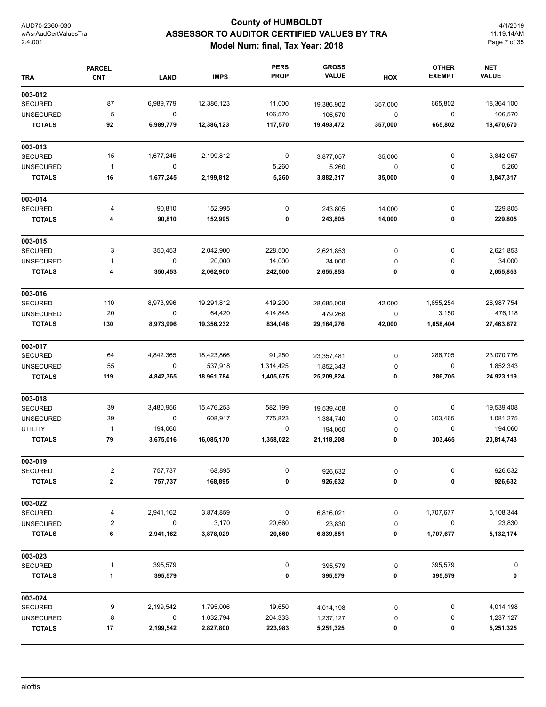# **County of HUMBOLDT ASSESSOR TO AUDITOR CERTIFIED VALUES BY TRA Model Num: final, Tax Year: 2018**

4/1/2019 11:19:14AM Page 7 of 35

| <b>TRA</b>       | <b>PARCEL</b><br><b>CNT</b> | <b>LAND</b> | <b>IMPS</b> | <b>PERS</b><br><b>PROP</b> | <b>GROSS</b><br><b>VALUE</b> | HOX         | <b>OTHER</b><br><b>EXEMPT</b> | <b>NET</b><br><b>VALUE</b> |
|------------------|-----------------------------|-------------|-------------|----------------------------|------------------------------|-------------|-------------------------------|----------------------------|
| 003-012          |                             |             |             |                            |                              |             |                               |                            |
| <b>SECURED</b>   | 87                          | 6,989,779   | 12,386,123  | 11,000                     | 19,386,902                   | 357,000     | 665,802                       | 18,364,100                 |
| <b>UNSECURED</b> | 5                           | $\mathbf 0$ |             | 106,570                    | 106,570                      | $\pmb{0}$   | $\pmb{0}$                     | 106,570                    |
| <b>TOTALS</b>    | 92                          | 6,989,779   | 12,386,123  | 117,570                    | 19,493,472                   | 357,000     | 665,802                       | 18,470,670                 |
| 003-013          |                             |             |             |                            |                              |             |                               |                            |
| <b>SECURED</b>   | 15                          | 1,677,245   | 2,199,812   | 0                          | 3,877,057                    | 35,000      | 0                             | 3,842,057                  |
| <b>UNSECURED</b> | $\overline{1}$              | 0           |             | 5,260                      | 5,260                        | $\mathbf 0$ | 0                             | 5,260                      |
| <b>TOTALS</b>    | 16                          | 1,677,245   | 2,199,812   | 5,260                      | 3,882,317                    | 35,000      | 0                             | 3,847,317                  |
| 003-014          |                             |             |             |                            |                              |             |                               |                            |
| <b>SECURED</b>   | 4                           | 90,810      | 152,995     | 0                          | 243,805                      | 14,000      | 0                             | 229,805                    |
| <b>TOTALS</b>    | 4                           | 90,810      | 152,995     | 0                          | 243,805                      | 14,000      | 0                             | 229,805                    |
| 003-015          |                             |             |             |                            |                              |             |                               |                            |
| <b>SECURED</b>   | 3                           | 350,453     | 2,042,900   | 228,500                    | 2,621,853                    | 0           | 0                             | 2,621,853                  |
| <b>UNSECURED</b> | 1                           | $\pmb{0}$   | 20,000      | 14,000                     | 34,000                       | 0           | 0                             | 34,000                     |
| <b>TOTALS</b>    | 4                           | 350,453     | 2,062,900   | 242,500                    | 2,655,853                    | 0           | 0                             | 2,655,853                  |
| 003-016          |                             |             |             |                            |                              |             |                               |                            |
| <b>SECURED</b>   | 110                         | 8,973,996   | 19,291,812  | 419,200                    | 28,685,008                   | 42,000      | 1,655,254                     | 26,987,754                 |
| <b>UNSECURED</b> | 20                          | $\pmb{0}$   | 64,420      | 414,848                    | 479,268                      | 0           | 3,150                         | 476,118                    |
| <b>TOTALS</b>    | 130                         | 8,973,996   | 19,356,232  | 834,048                    | 29,164,276                   | 42,000      | 1,658,404                     | 27,463,872                 |
| 003-017          |                             |             |             |                            |                              |             |                               |                            |
| <b>SECURED</b>   | 64                          | 4,842,365   | 18,423,866  | 91,250                     | 23,357,481                   | 0           | 286,705                       | 23,070,776                 |
| <b>UNSECURED</b> | 55                          | 0           | 537,918     | 1,314,425                  | 1,852,343                    | 0           | 0                             | 1,852,343                  |
| <b>TOTALS</b>    | 119                         | 4,842,365   | 18,961,784  | 1,405,675                  | 25,209,824                   | 0           | 286,705                       | 24,923,119                 |
| 003-018          |                             |             |             |                            |                              |             |                               |                            |
| <b>SECURED</b>   | 39                          | 3,480,956   | 15,476,253  | 582,199                    | 19,539,408                   | 0           | 0                             | 19,539,408                 |
| <b>UNSECURED</b> | 39                          | $\pmb{0}$   | 608,917     | 775,823                    | 1,384,740                    | 0           | 303,465                       | 1,081,275                  |
| <b>UTILITY</b>   | $\overline{1}$              | 194,060     |             | 0                          | 194,060                      | 0           | 0                             | 194,060                    |
| <b>TOTALS</b>    | 79                          | 3,675,016   | 16,085,170  | 1,358,022                  | 21,118,208                   | 0           | 303,465                       | 20,814,743                 |
| 003-019          |                             |             |             |                            |                              |             |                               |                            |
| <b>SECURED</b>   | 2                           | 757,737     | 168,895     | 0                          | 926,632                      | 0           | 0                             | 926,632                    |
| <b>TOTALS</b>    | 2                           | 757,737     | 168,895     | 0                          | 926,632                      | 0           | 0                             | 926,632                    |
| 003-022          |                             |             |             |                            |                              |             |                               |                            |
| <b>SECURED</b>   | 4                           | 2,941,162   | 3,874,859   | 0                          | 6,816,021                    | 0           | 1,707,677                     | 5,108,344                  |
| <b>UNSECURED</b> | $\overline{\mathbf{c}}$     | 0           | 3,170       | 20,660                     | 23,830                       | 0           | 0                             | 23,830                     |
| <b>TOTALS</b>    | 6                           | 2,941,162   | 3,878,029   | 20,660                     | 6,839,851                    | 0           | 1,707,677                     | 5,132,174                  |
| 003-023          |                             |             |             |                            |                              |             |                               |                            |
| SECURED          | 1                           | 395,579     |             | 0                          | 395,579                      | 0           | 395,579                       | 0                          |
| <b>TOTALS</b>    | 1                           | 395,579     |             | 0                          | 395,579                      | 0           | 395,579                       | 0                          |
| 003-024          |                             |             |             |                            |                              |             |                               |                            |
| <b>SECURED</b>   | 9                           | 2,199,542   | 1,795,006   | 19,650                     | 4,014,198                    | 0           | 0                             | 4,014,198                  |
| <b>UNSECURED</b> | 8                           | 0           | 1,032,794   | 204,333                    | 1,237,127                    | 0           | 0                             | 1,237,127                  |
| <b>TOTALS</b>    | 17                          | 2,199,542   | 2,827,800   | 223,983                    | 5,251,325                    | 0           | 0                             | 5,251,325                  |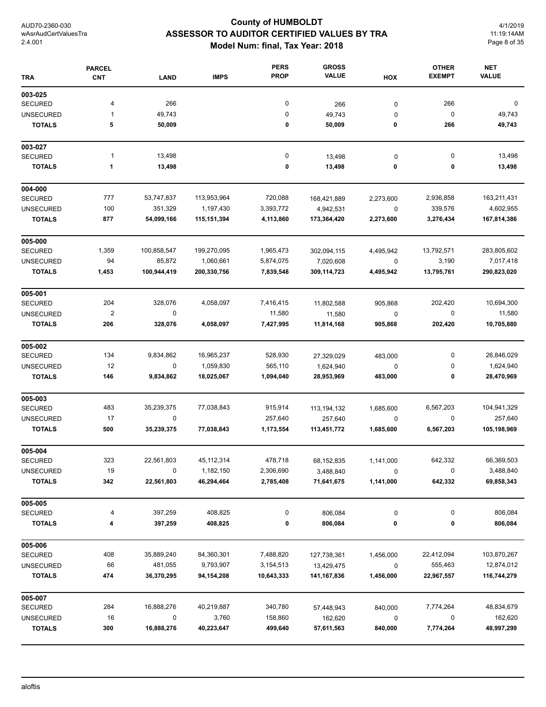# **County of HUMBOLDT ASSESSOR TO AUDITOR CERTIFIED VALUES BY TRA Model Num: final, Tax Year: 2018**

4/1/2019 11:19:14AM Page 8 of 35

| <b>TRA</b>       | <b>PARCEL</b><br><b>CNT</b> | <b>LAND</b> | <b>IMPS</b>  | <b>PERS</b><br><b>PROP</b> | <b>GROSS</b><br><b>VALUE</b> | HOX       | <b>OTHER</b><br><b>EXEMPT</b> | <b>NET</b><br><b>VALUE</b> |
|------------------|-----------------------------|-------------|--------------|----------------------------|------------------------------|-----------|-------------------------------|----------------------------|
| 003-025          |                             |             |              |                            |                              |           |                               |                            |
| <b>SECURED</b>   | 4                           | 266         |              | 0                          | 266                          | $\pmb{0}$ | 266                           | 0                          |
| <b>UNSECURED</b> | 1                           | 49,743      |              | 0                          | 49,743                       | 0         | $\pmb{0}$                     | 49,743                     |
| <b>TOTALS</b>    | 5                           | 50,009      |              | 0                          | 50,009                       | 0         | 266                           | 49,743                     |
| 003-027          |                             |             |              |                            |                              |           |                               |                            |
| <b>SECURED</b>   | 1                           | 13,498      |              | $\pmb{0}$                  | 13,498                       | 0         | 0                             | 13,498                     |
| <b>TOTALS</b>    | 1                           | 13,498      |              | 0                          | 13,498                       | 0         | 0                             | 13,498                     |
| 004-000          |                             |             |              |                            |                              |           |                               |                            |
| <b>SECURED</b>   | 777                         | 53,747,837  | 113,953,964  | 720,088                    | 168,421,889                  | 2,273,600 | 2,936,858                     | 163,211,431                |
| <b>UNSECURED</b> | 100                         | 351,329     | 1,197,430    | 3,393,772                  | 4,942,531                    | 0         | 339,576                       | 4,602,955                  |
| <b>TOTALS</b>    | 877                         | 54,099,166  | 115,151,394  | 4,113,860                  | 173,364,420                  | 2,273,600 | 3,276,434                     | 167,814,386                |
| 005-000          |                             |             |              |                            |                              |           |                               |                            |
| <b>SECURED</b>   | 1,359                       | 100,858,547 | 199,270,095  | 1,965,473                  | 302,094,115                  | 4,495,942 | 13,792,571                    | 283,805,602                |
| <b>UNSECURED</b> | 94                          | 85,872      | 1,060,661    | 5,874,075                  | 7,020,608                    | 0         | 3,190                         | 7,017,418                  |
| <b>TOTALS</b>    | 1,453                       | 100,944,419 | 200,330,756  | 7,839,548                  | 309,114,723                  | 4,495,942 | 13,795,761                    | 290,823,020                |
| 005-001          |                             |             |              |                            |                              |           |                               |                            |
| <b>SECURED</b>   | 204                         | 328,076     | 4,058,097    | 7,416,415                  | 11,802,588                   | 905,868   | 202,420                       | 10,694,300                 |
| <b>UNSECURED</b> | $\mathbf 2$                 | 0           |              | 11,580                     | 11,580                       | $\pmb{0}$ | 0                             | 11,580                     |
| <b>TOTALS</b>    | 206                         | 328,076     | 4,058,097    | 7,427,995                  | 11,814,168                   | 905,868   | 202,420                       | 10,705,880                 |
| 005-002          |                             |             |              |                            |                              |           |                               |                            |
| <b>SECURED</b>   | 134                         | 9,834,862   | 16,965,237   | 528,930                    | 27,329,029                   | 483,000   | 0                             | 26,846,029                 |
| <b>UNSECURED</b> | 12                          | 0           | 1,059,830    | 565,110                    | 1,624,940                    | 0         | 0                             | 1,624,940                  |
| <b>TOTALS</b>    | 146                         | 9,834,862   | 18,025,067   | 1,094,040                  | 28,953,969                   | 483,000   | 0                             | 28,470,969                 |
| 005-003          |                             |             |              |                            |                              |           |                               |                            |
| <b>SECURED</b>   | 483                         | 35,239,375  | 77,038,843   | 915,914                    | 113, 194, 132                | 1,685,600 | 6,567,203                     | 104,941,329                |
| <b>UNSECURED</b> | 17                          | 0           |              | 257,640                    | 257,640                      | 0         | 0                             | 257,640                    |
| <b>TOTALS</b>    | 500                         | 35,239,375  | 77,038,843   | 1,173,554                  | 113,451,772                  | 1,685,600 | 6,567,203                     | 105,198,969                |
| 005-004          |                             |             |              |                            |                              |           |                               |                            |
| <b>SECURED</b>   | 323                         | 22,561,803  | 45, 112, 314 | 478,718                    | 68,152,835                   | 1,141,000 | 642,332                       | 66,369,503                 |
| <b>UNSECURED</b> | 19                          | 0           | 1,182,150    | 2,306,690                  | 3,488,840                    | 0         | 0                             | 3,488,840                  |
| <b>TOTALS</b>    | 342                         | 22,561,803  | 46,294,464   | 2,785,408                  | 71,641,675                   | 1,141,000 | 642,332                       | 69,858,343                 |
| 005-005          |                             |             |              |                            |                              |           |                               |                            |
| <b>SECURED</b>   | 4                           | 397,259     | 408,825      | 0                          | 806,084                      | 0         | 0                             | 806,084                    |
| <b>TOTALS</b>    | 4                           | 397,259     | 408,825      | 0                          | 806,084                      | 0         | 0                             | 806,084                    |
| 005-006          |                             |             |              |                            |                              |           |                               |                            |
| <b>SECURED</b>   | 408                         | 35,889,240  | 84,360,301   | 7,488,820                  | 127,738,361                  | 1,456,000 | 22,412,094                    | 103,870,267                |
| <b>UNSECURED</b> | 66                          | 481,055     | 9,793,907    | 3,154,513                  | 13,429,475                   | 0         | 555,463                       | 12,874,012                 |
| <b>TOTALS</b>    | 474                         | 36,370,295  | 94,154,208   | 10,643,333                 | 141,167,836                  | 1,456,000 | 22,967,557                    | 116,744,279                |
| 005-007          |                             |             |              |                            |                              |           |                               |                            |
| <b>SECURED</b>   | 284                         | 16,888,276  | 40,219,887   | 340,780                    | 57,448,943                   | 840,000   | 7,774,264                     | 48,834,679                 |
| <b>UNSECURED</b> | 16                          | 0           | 3,760        | 158,860                    | 162,620                      | 0         | 0                             | 162,620                    |
| <b>TOTALS</b>    | 300                         | 16,888,276  | 40,223,647   | 499,640                    | 57,611,563                   | 840,000   | 7,774,264                     | 48,997,299                 |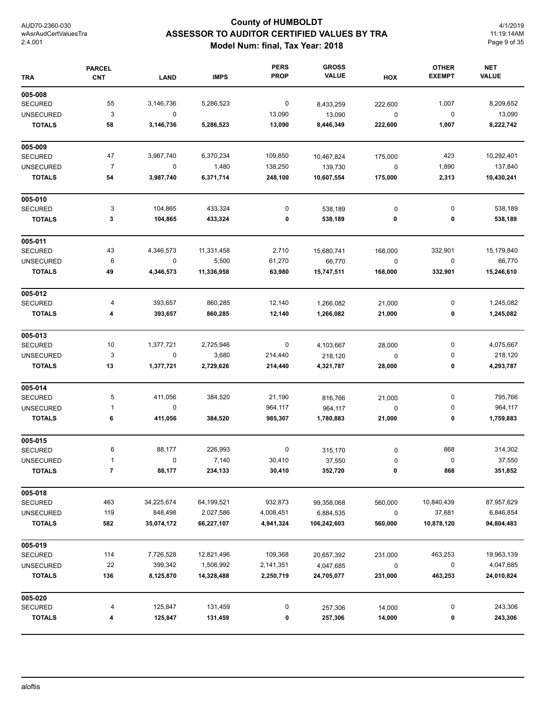# **County of HUMBOLDT ASSESSOR TO AUDITOR CERTIFIED VALUES BY TRA Model Num: final, Tax Year: 2018**

4/1/2019 11:19:14AM Page 9 of 35

| <b>TRA</b>       | <b>PARCEL</b><br><b>CNT</b> | <b>LAND</b>             | <b>IMPS</b> | <b>PERS</b><br><b>PROP</b> | <b>GROSS</b><br><b>VALUE</b> | HOX       | <b>OTHER</b><br><b>EXEMPT</b> | <b>NET</b><br><b>VALUE</b> |
|------------------|-----------------------------|-------------------------|-------------|----------------------------|------------------------------|-----------|-------------------------------|----------------------------|
| 005-008          |                             |                         |             |                            |                              |           |                               |                            |
| <b>SECURED</b>   | 55                          | 3,146,736               | 5,286,523   | 0                          | 8,433,259                    | 222,600   | 1,007                         | 8,209,652                  |
| <b>UNSECURED</b> | 3                           | $\mathbf 0$             |             | 13,090                     | 13,090                       | $\pmb{0}$ | 0                             | 13,090                     |
| <b>TOTALS</b>    | 58                          | 3,146,736               | 5,286,523   | 13,090                     | 8,446,349                    | 222,600   | 1,007                         | 8,222,742                  |
| 005-009          |                             |                         |             |                            |                              |           |                               |                            |
| <b>SECURED</b>   | 47                          | 3,987,740               | 6,370,234   | 109,850                    | 10,467,824                   | 175,000   | 423                           | 10,292,401                 |
| <b>UNSECURED</b> | $\overline{7}$              | $\mathbf 0$             | 1,480       | 138,250                    | 139,730                      | 0         | 1,890                         | 137,840                    |
| <b>TOTALS</b>    | 54                          | 3,987,740               | 6,371,714   | 248,100                    | 10,607,554                   | 175,000   | 2,313                         | 10,430,241                 |
| 005-010          |                             |                         |             |                            |                              |           |                               |                            |
| <b>SECURED</b>   | 3                           | 104,865                 | 433,324     | 0                          | 538,189                      | 0         | 0                             | 538,189                    |
| <b>TOTALS</b>    | 3                           | 104,865                 | 433,324     | 0                          | 538,189                      | 0         | 0                             | 538,189                    |
| 005-011          |                             |                         |             |                            |                              |           |                               |                            |
| <b>SECURED</b>   | 43                          | 4,346,573               | 11,331,458  | 2,710                      | 15,680,741                   | 168,000   | 332,901                       | 15,179,840                 |
| <b>UNSECURED</b> | 6                           | 0                       | 5,500       | 61,270                     | 66,770                       | $\pmb{0}$ | 0                             | 66,770                     |
| <b>TOTALS</b>    | 49                          | 4,346,573               | 11,336,958  | 63,980                     | 15,747,511                   | 168,000   | 332,901                       | 15,246,610                 |
| 005-012          |                             |                         |             |                            |                              |           |                               |                            |
| <b>SECURED</b>   | 4                           | 393,657                 | 860,285     | 12,140                     | 1,266,082                    | 21,000    | 0                             | 1,245,082                  |
| <b>TOTALS</b>    | 4                           | 393,657                 | 860,285     | 12,140                     | 1,266,082                    | 21,000    | 0                             | 1,245,082                  |
| 005-013          |                             |                         |             |                            |                              |           |                               |                            |
| <b>SECURED</b>   | 10                          | 1,377,721               | 2,725,946   | 0                          | 4,103,667                    | 28,000    | 0                             | 4,075,667                  |
| <b>UNSECURED</b> | 3                           | $\mathbf 0$             | 3,680       | 214,440                    | 218,120                      | 0         | 0                             | 218,120                    |
| <b>TOTALS</b>    | 13                          | 1,377,721               | 2,729,626   | 214,440                    | 4,321,787                    | 28,000    | 0                             | 4,293,787                  |
| 005-014          |                             |                         |             |                            |                              |           |                               |                            |
| <b>SECURED</b>   | 5                           | 411,056                 | 384,520     | 21,190                     | 816,766                      | 21,000    | 0                             | 795,766                    |
| <b>UNSECURED</b> | 1                           | 0                       |             | 964,117                    | 964,117                      | 0         | 0                             | 964,117                    |
| <b>TOTALS</b>    | 6                           | 411,056                 | 384,520     | 985,307                    | 1,780,883                    | 21,000    | 0                             | 1,759,883                  |
| 005-015          |                             |                         |             |                            |                              |           |                               |                            |
| <b>SECURED</b>   | 6                           | 88,177                  | 226,993     | 0                          | 315,170                      | 0         | 868                           | 314,302                    |
| UNSECURED        |                             | $\overline{\mathbf{0}}$ | 7,140       | 30,410                     | 37,550                       | 0         | 0                             | 37,550                     |
| <b>TOTALS</b>    | $\overline{7}$              | 88,177                  | 234,133     | 30,410                     | 352,720                      | 0         | 868                           | 351,852                    |
| 005-018          |                             |                         |             |                            |                              |           |                               |                            |
| <b>SECURED</b>   | 463                         | 34,225,674              | 64,199,521  | 932,873                    | 99,358,068                   | 560,000   | 10,840,439                    | 87,957,629                 |
| <b>UNSECURED</b> | 119                         | 848,498                 | 2,027,586   | 4,008,451                  | 6,884,535                    | 0         | 37,681                        | 6,846,854                  |
| <b>TOTALS</b>    | 582                         | 35,074,172              | 66,227,107  | 4,941,324                  | 106,242,603                  | 560,000   | 10,878,120                    | 94,804,483                 |
| 005-019          |                             |                         |             |                            |                              |           |                               |                            |
| SECURED          | 114                         | 7,726,528               | 12,821,496  | 109,368                    | 20,657,392                   | 231,000   | 463,253                       | 19,963,139                 |
| <b>UNSECURED</b> | 22                          | 399,342                 | 1,506,992   | 2,141,351                  | 4,047,685                    | 0         | 0                             | 4,047,685                  |
| <b>TOTALS</b>    | 136                         | 8,125,870               | 14,328,488  | 2,250,719                  | 24,705,077                   | 231,000   | 463,253                       | 24,010,824                 |
| 005-020          |                             |                         |             |                            |                              |           |                               |                            |
| SECURED          | 4                           | 125,847                 | 131,459     | 0                          | 257,306                      | 14,000    | 0                             | 243,306                    |
| <b>TOTALS</b>    | 4                           | 125,847                 | 131,459     | 0                          | 257,306                      | 14,000    | 0                             | 243,306                    |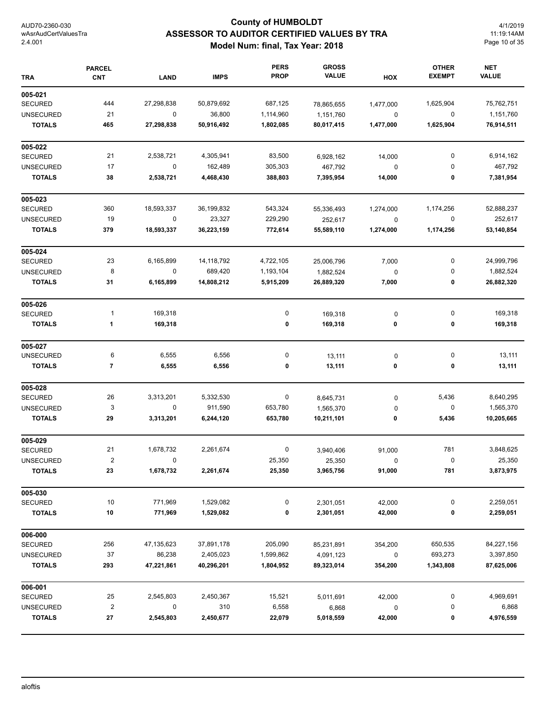# **County of HUMBOLDT ASSESSOR TO AUDITOR CERTIFIED VALUES BY TRA Model Num: final, Tax Year: 2018**

4/1/2019 11:19:14AM Page 10 of 35

| <b>TRA</b>       | <b>PARCEL</b><br><b>CNT</b> | <b>LAND</b> | <b>IMPS</b> | <b>PERS</b><br><b>PROP</b> | <b>GROSS</b><br><b>VALUE</b> | HOX         | <b>OTHER</b><br><b>EXEMPT</b> | <b>NET</b><br><b>VALUE</b> |
|------------------|-----------------------------|-------------|-------------|----------------------------|------------------------------|-------------|-------------------------------|----------------------------|
| 005-021          |                             |             |             |                            |                              |             |                               |                            |
| <b>SECURED</b>   | 444                         | 27,298,838  | 50,879,692  | 687,125                    | 78,865,655                   | 1,477,000   | 1,625,904                     | 75,762,751                 |
| <b>UNSECURED</b> | 21                          | $\pmb{0}$   | 36,800      | 1,114,960                  | 1,151,760                    | $\mathbf 0$ | $\pmb{0}$                     | 1,151,760                  |
| <b>TOTALS</b>    | 465                         | 27,298,838  | 50,916,492  | 1,802,085                  | 80,017,415                   | 1,477,000   | 1,625,904                     | 76,914,511                 |
| 005-022          |                             |             |             |                            |                              |             |                               |                            |
| <b>SECURED</b>   | 21                          | 2,538,721   | 4,305,941   | 83,500                     | 6,928,162                    | 14,000      | 0                             | 6,914,162                  |
| <b>UNSECURED</b> | 17                          | $\mathbf 0$ | 162,489     | 305,303                    | 467,792                      | $\pmb{0}$   | 0                             | 467,792                    |
| <b>TOTALS</b>    | 38                          | 2,538,721   | 4,468,430   | 388,803                    | 7,395,954                    | 14,000      | 0                             | 7,381,954                  |
| 005-023          |                             |             |             |                            |                              |             |                               |                            |
| <b>SECURED</b>   | 360                         | 18,593,337  | 36,199,832  | 543,324                    | 55,336,493                   | 1,274,000   | 1,174,256                     | 52,888,237                 |
| <b>UNSECURED</b> | 19                          | $\pmb{0}$   | 23,327      | 229,290                    | 252,617                      | 0           | 0                             | 252,617                    |
| <b>TOTALS</b>    | 379                         | 18,593,337  | 36,223,159  | 772,614                    | 55,589,110                   | 1,274,000   | 1,174,256                     | 53,140,854                 |
| 005-024          |                             |             |             |                            |                              |             |                               |                            |
| <b>SECURED</b>   | 23                          | 6,165,899   | 14,118,792  | 4,722,105                  | 25,006,796                   | 7,000       | 0                             | 24,999,796                 |
| <b>UNSECURED</b> | 8                           | 0           | 689,420     | 1,193,104                  | 1,882,524                    | $\pmb{0}$   | 0                             | 1,882,524                  |
| <b>TOTALS</b>    | 31                          | 6,165,899   | 14,808,212  | 5,915,209                  | 26,889,320                   | 7,000       | 0                             | 26,882,320                 |
| 005-026          |                             |             |             |                            |                              |             |                               |                            |
| <b>SECURED</b>   | 1                           | 169,318     |             | 0                          | 169,318                      | 0           | 0                             | 169,318                    |
| <b>TOTALS</b>    | 1                           | 169,318     |             | 0                          | 169,318                      | 0           | 0                             | 169,318                    |
| 005-027          |                             |             |             |                            |                              |             |                               |                            |
| <b>UNSECURED</b> | 6                           | 6,555       | 6,556       | 0                          | 13,111                       | 0           | 0                             | 13,111                     |
| <b>TOTALS</b>    | 7                           | 6,555       | 6,556       | 0                          | 13,111                       | 0           | 0                             | 13,111                     |
| 005-028          |                             |             |             |                            |                              |             |                               |                            |
| <b>SECURED</b>   | 26                          | 3,313,201   | 5,332,530   | 0                          | 8,645,731                    | 0           | 5,436                         | 8,640,295                  |
| <b>UNSECURED</b> | 3                           | $\mathbf 0$ | 911,590     | 653,780                    | 1,565,370                    | 0           | 0                             | 1,565,370                  |
| <b>TOTALS</b>    | 29                          | 3,313,201   | 6,244,120   | 653,780                    | 10,211,101                   | 0           | 5,436                         | 10,205,665                 |
| 005-029          |                             |             |             |                            |                              |             |                               |                            |
| <b>SECURED</b>   | 21                          | 1,678,732   | 2,261,674   | 0                          | 3,940,406                    | 91,000      | 781                           | 3,848,625                  |
| <b>UNSECURED</b> | $\overline{2}$              |             |             | 25,350                     | 25,350                       | $\mathbf 0$ | $\overline{0}$                | 25,350                     |
| <b>TOTALS</b>    | 23                          | 1,678,732   | 2,261,674   | 25,350                     | 3,965,756                    | 91,000      | 781                           | 3,873,975                  |
| 005-030          |                             |             |             |                            |                              |             |                               |                            |
| <b>SECURED</b>   | 10                          | 771,969     | 1,529,082   | 0                          | 2,301,051                    | 42,000      | 0                             | 2,259,051                  |
| <b>TOTALS</b>    | 10                          | 771,969     | 1,529,082   | 0                          | 2,301,051                    | 42,000      | 0                             | 2,259,051                  |
| 006-000          |                             |             |             |                            |                              |             |                               |                            |
| <b>SECURED</b>   | 256                         | 47,135,623  | 37,891,178  | 205,090                    | 85,231,891                   | 354,200     | 650,535                       | 84,227,156                 |
| <b>UNSECURED</b> | 37                          | 86,238      | 2,405,023   | 1,599,862                  | 4,091,123                    | 0           | 693,273                       | 3,397,850                  |
| <b>TOTALS</b>    | 293                         | 47,221,861  | 40,296,201  | 1,804,952                  | 89,323,014                   | 354,200     | 1,343,808                     | 87,625,006                 |
| 006-001          |                             |             |             |                            |                              |             |                               |                            |
| SECURED          | 25                          | 2,545,803   | 2,450,367   | 15,521                     | 5,011,691                    | 42,000      | 0                             | 4,969,691                  |
| <b>UNSECURED</b> | $\overline{\mathbf{c}}$     | 0           | 310         | 6,558                      | 6,868                        | 0           | 0                             | 6,868                      |
| <b>TOTALS</b>    | 27                          | 2,545,803   | 2,450,677   | 22,079                     | 5,018,559                    | 42,000      | 0                             | 4,976,559                  |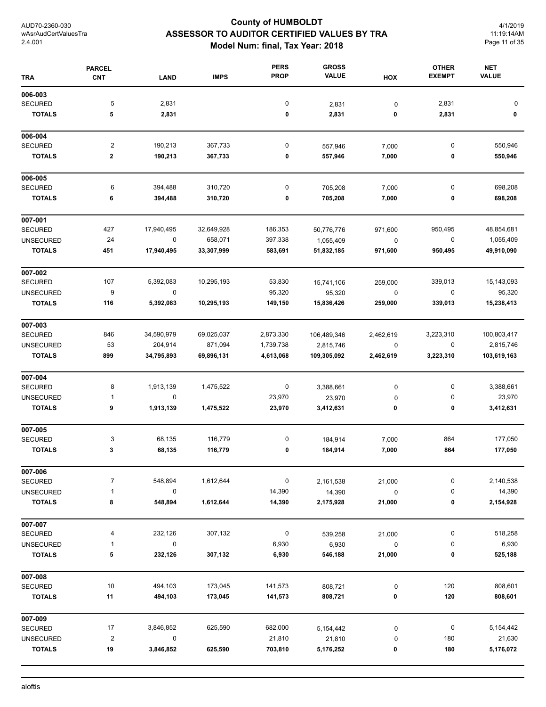# **County of HUMBOLDT ASSESSOR TO AUDITOR CERTIFIED VALUES BY TRA Model Num: final, Tax Year: 2018**

4/1/2019 11:19:14AM Page 11 of 35

| <b>TRA</b>       | <b>PARCEL</b><br><b>CNT</b> | <b>LAND</b> | <b>IMPS</b> | <b>PERS</b><br><b>PROP</b> | <b>GROSS</b><br><b>VALUE</b> | HOX       | <b>OTHER</b><br><b>EXEMPT</b> | <b>NET</b><br><b>VALUE</b> |
|------------------|-----------------------------|-------------|-------------|----------------------------|------------------------------|-----------|-------------------------------|----------------------------|
| 006-003          |                             |             |             |                            |                              |           |                               |                            |
| <b>SECURED</b>   | 5                           | 2,831       |             | $\pmb{0}$                  | 2,831                        | 0         | 2,831                         | 0                          |
| <b>TOTALS</b>    | 5                           | 2,831       |             | 0                          | 2,831                        | 0         | 2,831                         | 0                          |
| 006-004          |                             |             |             |                            |                              |           |                               |                            |
| <b>SECURED</b>   | $\overline{\mathbf{c}}$     | 190,213     | 367,733     | 0                          | 557,946                      | 7,000     | 0                             | 550,946                    |
| <b>TOTALS</b>    | 2                           | 190,213     | 367,733     | 0                          | 557,946                      | 7,000     | 0                             | 550,946                    |
| 006-005          |                             |             |             |                            |                              |           |                               |                            |
| <b>SECURED</b>   | 6                           | 394,488     | 310,720     | $\pmb{0}$                  | 705,208                      | 7,000     | $\pmb{0}$                     | 698,208                    |
| <b>TOTALS</b>    | 6                           | 394,488     | 310,720     | 0                          | 705,208                      | 7,000     | 0                             | 698,208                    |
| 007-001          |                             |             |             |                            |                              |           |                               |                            |
| <b>SECURED</b>   | 427                         | 17,940,495  | 32,649,928  | 186,353                    | 50,776,776                   | 971,600   | 950,495                       | 48,854,681                 |
| <b>UNSECURED</b> | 24                          | 0           | 658,071     | 397,338                    | 1,055,409                    | $\pmb{0}$ | $\pmb{0}$                     | 1,055,409                  |
| <b>TOTALS</b>    | 451                         | 17,940,495  | 33,307,999  | 583,691                    | 51,832,185                   | 971,600   | 950,495                       | 49,910,090                 |
| 007-002          |                             |             |             |                            |                              |           |                               |                            |
| <b>SECURED</b>   | 107                         | 5,392,083   | 10,295,193  | 53,830                     | 15,741,106                   | 259,000   | 339,013                       | 15,143,093                 |
| <b>UNSECURED</b> | 9                           | $\pmb{0}$   |             | 95,320                     | 95,320                       | $\pmb{0}$ | $\mathbf 0$                   | 95,320                     |
| <b>TOTALS</b>    | 116                         | 5,392,083   | 10,295,193  | 149,150                    | 15,836,426                   | 259,000   | 339,013                       | 15,238,413                 |
| 007-003          |                             |             |             |                            |                              |           |                               |                            |
| <b>SECURED</b>   | 846                         | 34,590,979  | 69,025,037  | 2,873,330                  | 106,489,346                  | 2,462,619 | 3,223,310                     | 100,803,417                |
| <b>UNSECURED</b> | 53                          | 204,914     | 871,094     | 1,739,738                  | 2,815,746                    | 0         | 0                             | 2,815,746                  |
| <b>TOTALS</b>    | 899                         | 34,795,893  | 69,896,131  | 4,613,068                  | 109,305,092                  | 2,462,619 | 3,223,310                     | 103,619,163                |
| 007-004          |                             |             |             |                            |                              |           |                               |                            |
| <b>SECURED</b>   | 8                           | 1,913,139   | 1,475,522   | 0                          | 3,388,661                    | 0         | 0                             | 3,388,661                  |
| <b>UNSECURED</b> | $\mathbf{1}$                | 0           |             | 23,970                     | 23,970                       | 0         | 0                             | 23,970                     |
| <b>TOTALS</b>    | 9                           | 1,913,139   | 1,475,522   | 23,970                     | 3,412,631                    | 0         | 0                             | 3,412,631                  |
| 007-005          |                             |             |             |                            |                              |           |                               |                            |
| <b>SECURED</b>   | 3                           | 68,135      | 116,779     | 0                          | 184,914                      | 7,000     | 864                           | 177,050                    |
| <b>TOTALS</b>    | 3                           | 68,135      | 116,779     | 0                          | 184,914                      | 7,000     | 864                           | 177,050                    |
| 007-006          |                             |             |             |                            |                              |           |                               |                            |
| <b>SECURED</b>   | $\overline{7}$              | 548,894     | 1,612,644   | $\pmb{0}$                  | 2,161,538                    | 21,000    | $\pmb{0}$                     | 2,140,538                  |
| <b>UNSECURED</b> | $\mathbf{1}$                | 0           |             | 14,390                     | 14,390                       | $\pmb{0}$ | 0                             | 14,390                     |
| <b>TOTALS</b>    | 8                           | 548,894     | 1,612,644   | 14,390                     | 2,175,928                    | 21,000    | 0                             | 2,154,928                  |
| 007-007          |                             |             |             |                            |                              |           |                               |                            |
| <b>SECURED</b>   | 4                           | 232,126     | 307,132     | $\pmb{0}$                  | 539,258                      | 21,000    | 0                             | 518,258                    |
| <b>UNSECURED</b> | $\mathbf{1}$                | $\pmb{0}$   |             | 6,930                      | 6,930                        | 0         | 0                             | 6,930                      |
| <b>TOTALS</b>    | 5                           | 232,126     | 307,132     | 6,930                      | 546,188                      | 21,000    | 0                             | 525,188                    |
| 007-008          |                             |             |             |                            |                              |           |                               |                            |
| <b>SECURED</b>   | 10                          | 494,103     | 173,045     | 141,573                    | 808,721                      | 0         | 120                           | 808,601                    |
| <b>TOTALS</b>    | 11                          | 494,103     | 173,045     | 141,573                    | 808,721                      | $\pmb{0}$ | 120                           | 808,601                    |
| 007-009          |                             |             |             |                            |                              |           |                               |                            |
| <b>SECURED</b>   | 17                          | 3,846,852   | 625,590     | 682,000                    | 5,154,442                    | 0         | 0                             | 5,154,442                  |
| <b>UNSECURED</b> | $\overline{\mathbf{c}}$     | 0           |             | 21,810                     | 21,810                       | 0         | 180                           | 21,630                     |
| <b>TOTALS</b>    | 19                          | 3,846,852   | 625,590     | 703,810                    | 5,176,252                    | 0         | 180                           | 5,176,072                  |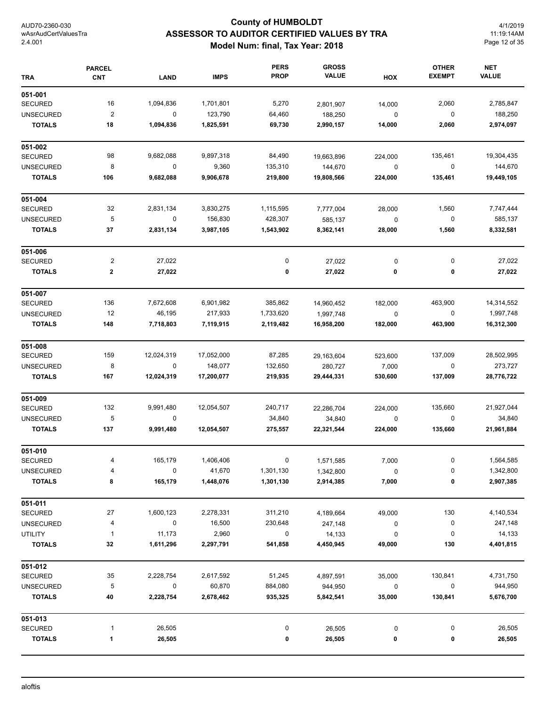# **County of HUMBOLDT ASSESSOR TO AUDITOR CERTIFIED VALUES BY TRA Model Num: final, Tax Year: 2018**

4/1/2019 11:19:14AM Page 12 of 35

| <b>TRA</b>       | <b>PARCEL</b><br><b>CNT</b> | <b>LAND</b> | <b>IMPS</b> | <b>PERS</b><br><b>PROP</b> | <b>GROSS</b><br><b>VALUE</b> | HOX         | <b>OTHER</b><br><b>EXEMPT</b> | <b>NET</b><br><b>VALUE</b> |
|------------------|-----------------------------|-------------|-------------|----------------------------|------------------------------|-------------|-------------------------------|----------------------------|
| 051-001          |                             |             |             |                            |                              |             |                               |                            |
| <b>SECURED</b>   | 16                          | 1,094,836   | 1,701,801   | 5,270                      | 2,801,907                    | 14,000      | 2,060                         | 2,785,847                  |
| <b>UNSECURED</b> | $\overline{c}$              | $\mathbf 0$ | 123,790     | 64,460                     | 188,250                      | 0           | 0                             | 188,250                    |
| <b>TOTALS</b>    | 18                          | 1,094,836   | 1,825,591   | 69,730                     | 2,990,157                    | 14,000      | 2,060                         | 2,974,097                  |
| 051-002          |                             |             |             |                            |                              |             |                               |                            |
| <b>SECURED</b>   | 98                          | 9,682,088   | 9,897,318   | 84,490                     | 19,663,896                   | 224,000     | 135,461                       | 19,304,435                 |
| <b>UNSECURED</b> | 8                           | 0           | 9,360       | 135,310                    | 144,670                      | 0           | 0                             | 144,670                    |
| <b>TOTALS</b>    | 106                         | 9,682,088   | 9,906,678   | 219,800                    | 19,808,566                   | 224,000     | 135,461                       | 19,449,105                 |
| 051-004          |                             |             |             |                            |                              |             |                               |                            |
| <b>SECURED</b>   | 32                          | 2,831,134   | 3,830,275   | 1,115,595                  | 7,777,004                    | 28,000      | 1,560                         | 7,747,444                  |
| <b>UNSECURED</b> | 5                           | 0           | 156,830     | 428,307                    | 585,137                      | $\pmb{0}$   | 0                             | 585,137                    |
| <b>TOTALS</b>    | 37                          | 2,831,134   | 3,987,105   | 1,543,902                  | 8,362,141                    | 28,000      | 1,560                         | 8,332,581                  |
| 051-006          |                             |             |             |                            |                              |             |                               |                            |
| <b>SECURED</b>   | $\overline{\mathbf{c}}$     | 27,022      |             | 0                          | 27,022                       | 0           | 0                             | 27,022                     |
| <b>TOTALS</b>    | $\mathbf 2$                 | 27,022      |             | 0                          | 27,022                       | 0           | 0                             | 27,022                     |
| 051-007          |                             |             |             |                            |                              |             |                               |                            |
| <b>SECURED</b>   | 136                         | 7,672,608   | 6,901,982   | 385,862                    | 14,960,452                   | 182,000     | 463,900                       | 14,314,552                 |
| <b>UNSECURED</b> | 12                          | 46,195      | 217,933     | 1,733,620                  | 1,997,748                    | $\pmb{0}$   | 0                             | 1,997,748                  |
| <b>TOTALS</b>    | 148                         | 7,718,803   | 7,119,915   | 2,119,482                  | 16,958,200                   | 182,000     | 463,900                       | 16,312,300                 |
| 051-008          |                             |             |             |                            |                              |             |                               |                            |
| <b>SECURED</b>   | 159                         | 12,024,319  | 17,052,000  | 87,285                     | 29,163,604                   | 523,600     | 137,009                       | 28,502,995                 |
| <b>UNSECURED</b> | 8                           | $\mathbf 0$ | 148,077     | 132,650                    | 280,727                      | 7,000       | 0                             | 273,727                    |
| <b>TOTALS</b>    | 167                         | 12,024,319  | 17,200,077  | 219,935                    | 29,444,331                   | 530,600     | 137,009                       | 28,776,722                 |
| 051-009          |                             |             |             |                            |                              |             |                               |                            |
| <b>SECURED</b>   | 132                         | 9,991,480   | 12,054,507  | 240,717                    | 22,286,704                   | 224,000     | 135,660                       | 21,927,044                 |
| <b>UNSECURED</b> | 5                           | 0           |             | 34,840                     | 34,840                       | $\mathbf 0$ | 0                             | 34,840                     |
| <b>TOTALS</b>    | 137                         | 9,991,480   | 12,054,507  | 275,557                    | 22,321,544                   | 224,000     | 135,660                       | 21,961,884                 |
| 051-010          |                             |             |             |                            |                              |             |                               |                            |
| SECURED          |                             | 165,179     | 1,406,406   |                            | 1,571,585                    | 7,000       |                               | 1,564,585                  |
| <b>UNSECURED</b> | 4                           | 0           | 41,670      | 1,301,130                  | 1,342,800                    | 0           | 0                             | 1,342,800                  |
| <b>TOTALS</b>    | 8                           | 165,179     | 1,448,076   | 1,301,130                  | 2,914,385                    | 7,000       | 0                             | 2,907,385                  |
| 051-011          |                             |             |             |                            |                              |             |                               |                            |
| <b>SECURED</b>   | 27                          | 1,600,123   | 2,278,331   | 311,210                    | 4,189,664                    | 49,000      | 130                           | 4,140,534                  |
| <b>UNSECURED</b> | 4                           | $\pmb{0}$   | 16,500      | 230,648                    | 247,148                      | 0           | 0                             | 247,148                    |
| <b>UTILITY</b>   | 1                           | 11,173      | 2,960       | 0                          | 14,133                       | 0           | 0                             | 14,133                     |
| <b>TOTALS</b>    | 32                          | 1,611,296   | 2,297,791   | 541,858                    | 4,450,945                    | 49,000      | 130                           | 4,401,815                  |
| 051-012          |                             |             |             |                            |                              |             |                               |                            |
| <b>SECURED</b>   | 35                          | 2,228,754   | 2,617,592   | 51,245                     | 4,897,591                    | 35,000      | 130,841                       | 4,731,750                  |
| <b>UNSECURED</b> | 5                           | 0           | 60,870      | 884,080                    | 944,950                      | 0           | 0                             | 944,950                    |
| <b>TOTALS</b>    | 40                          | 2,228,754   | 2,678,462   | 935,325                    | 5,842,541                    | 35,000      | 130,841                       | 5,676,700                  |
| 051-013          |                             |             |             |                            |                              |             |                               |                            |
| <b>SECURED</b>   | 1                           | 26,505      |             | 0                          | 26,505                       | 0           | 0                             | 26,505                     |
| <b>TOTALS</b>    | 1                           | 26,505      |             | 0                          | 26,505                       | 0           | 0                             | 26,505                     |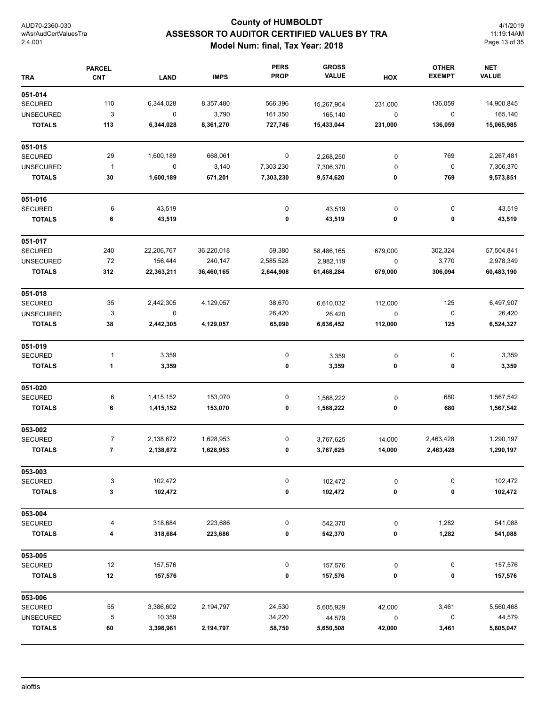# **County of HUMBOLDT ASSESSOR TO AUDITOR CERTIFIED VALUES BY TRA Model Num: final, Tax Year: 2018**

4/1/2019 11:19:14AM Page 13 of 35

| <b>TRA</b>       | <b>PARCEL</b><br><b>CNT</b> | LAND        | <b>IMPS</b> | <b>PERS</b><br><b>PROP</b> | <b>GROSS</b><br><b>VALUE</b> | HOX       | <b>OTHER</b><br><b>EXEMPT</b> | <b>NET</b><br><b>VALUE</b> |
|------------------|-----------------------------|-------------|-------------|----------------------------|------------------------------|-----------|-------------------------------|----------------------------|
| 051-014          |                             |             |             |                            |                              |           |                               |                            |
| <b>SECURED</b>   | 110                         | 6,344,028   | 8,357,480   | 566,396                    | 15,267,904                   | 231,000   | 136,059                       | 14,900,845                 |
| <b>UNSECURED</b> | 3                           | $\mathbf 0$ | 3,790       | 161,350                    | 165,140                      | $\pmb{0}$ | $\pmb{0}$                     | 165,140                    |
| <b>TOTALS</b>    | 113                         | 6,344,028   | 8,361,270   | 727,746                    | 15,433,044                   | 231,000   | 136,059                       | 15,065,985                 |
| 051-015          |                             |             |             |                            |                              |           |                               |                            |
| <b>SECURED</b>   | 29                          | 1,600,189   | 668,061     | 0                          | 2,268,250                    | $\pmb{0}$ | 769                           | 2,267,481                  |
| <b>UNSECURED</b> | $\mathbf{1}$                | $\pmb{0}$   | 3,140       | 7,303,230                  | 7,306,370                    | 0         | $\pmb{0}$                     | 7,306,370                  |
| <b>TOTALS</b>    | 30                          | 1,600,189   | 671,201     | 7,303,230                  | 9,574,620                    | 0         | 769                           | 9,573,851                  |
| 051-016          |                             |             |             |                            |                              |           |                               |                            |
| <b>SECURED</b>   | 6                           | 43,519      |             | 0                          | 43,519                       | $\pmb{0}$ | 0                             | 43,519                     |
| <b>TOTALS</b>    | 6                           | 43,519      |             | 0                          | 43,519                       | 0         | 0                             | 43,519                     |
| 051-017          |                             |             |             |                            |                              |           |                               |                            |
| <b>SECURED</b>   | 240                         | 22,206,767  | 36,220,018  | 59,380                     | 58,486,165                   | 679,000   | 302,324                       | 57,504,841                 |
| <b>UNSECURED</b> | 72                          | 156,444     | 240,147     | 2,585,528                  | 2,982,119                    | $\pmb{0}$ | 3,770                         | 2,978,349                  |
| <b>TOTALS</b>    | 312                         | 22,363,211  | 36,460,165  | 2,644,908                  | 61,468,284                   | 679,000   | 306,094                       | 60,483,190                 |
| 051-018          |                             |             |             |                            |                              |           |                               |                            |
| <b>SECURED</b>   | 35                          | 2,442,305   | 4,129,057   | 38,670                     | 6,610,032                    | 112,000   | 125                           | 6,497,907                  |
| <b>UNSECURED</b> | 3                           | 0           |             | 26,420                     | 26,420                       | $\pmb{0}$ | 0                             | 26,420                     |
| <b>TOTALS</b>    | 38                          | 2,442,305   | 4,129,057   | 65,090                     | 6,636,452                    | 112,000   | 125                           | 6,524,327                  |
| 051-019          |                             |             |             |                            |                              |           |                               |                            |
| <b>SECURED</b>   | $\mathbf{1}$                | 3,359       |             | 0                          | 3,359                        | $\pmb{0}$ | 0                             | 3,359                      |
| <b>TOTALS</b>    | 1                           | 3,359       |             | 0                          | 3,359                        | 0         | 0                             | 3,359                      |
| 051-020          |                             |             |             |                            |                              |           |                               |                            |
| <b>SECURED</b>   | 6                           | 1,415,152   | 153,070     | 0                          | 1,568,222                    | 0         | 680                           | 1,567,542                  |
| <b>TOTALS</b>    | 6                           | 1,415,152   | 153,070     | 0                          | 1,568,222                    | 0         | 680                           | 1,567,542                  |
| 053-002          |                             |             |             |                            |                              |           |                               |                            |
| <b>SECURED</b>   | $\overline{7}$              | 2,138,672   | 1,628,953   | 0                          | 3,767,625                    | 14,000    | 2,463,428                     | 1,290,197                  |
| <b>TOTALS</b>    | 7                           | 2,138,672   | 1,628,953   | 0                          | 3,767,625                    | 14,000    | 2,463,428                     | 1,290,197                  |
| 053-003          |                             |             |             |                            |                              |           |                               |                            |
| <b>SECURED</b>   | 3                           | 102,472     |             | 0                          | 102,472                      | $\pmb{0}$ | 0                             | 102,472                    |
| <b>TOTALS</b>    | 3                           | 102,472     |             | 0                          | 102,472                      | 0         | 0                             | 102,472                    |
| 053-004          |                             |             |             |                            |                              |           |                               |                            |
| <b>SECURED</b>   | 4                           | 318,684     | 223,686     | 0                          | 542,370                      | $\pmb{0}$ | 1,282                         | 541,088                    |
| <b>TOTALS</b>    | 4                           | 318,684     | 223,686     | 0                          | 542,370                      | 0         | 1,282                         | 541,088                    |
| 053-005          |                             |             |             |                            |                              |           |                               |                            |
| <b>SECURED</b>   | 12                          | 157,576     |             | 0                          | 157,576                      | $\pmb{0}$ | 0                             | 157,576                    |
| <b>TOTALS</b>    | 12                          | 157,576     |             | 0                          | 157,576                      | 0         | 0                             | 157,576                    |
| 053-006          |                             |             |             |                            |                              |           |                               |                            |
| SECURED          | 55                          | 3,386,602   | 2,194,797   | 24,530                     | 5,605,929                    | 42,000    | 3,461                         | 5,560,468                  |
| <b>UNSECURED</b> | 5                           | 10,359      |             | 34,220                     | 44,579                       | $\pmb{0}$ | 0                             | 44,579                     |
| <b>TOTALS</b>    | 60                          | 3,396,961   | 2,194,797   | 58,750                     | 5,650,508                    | 42,000    | 3,461                         | 5,605,047                  |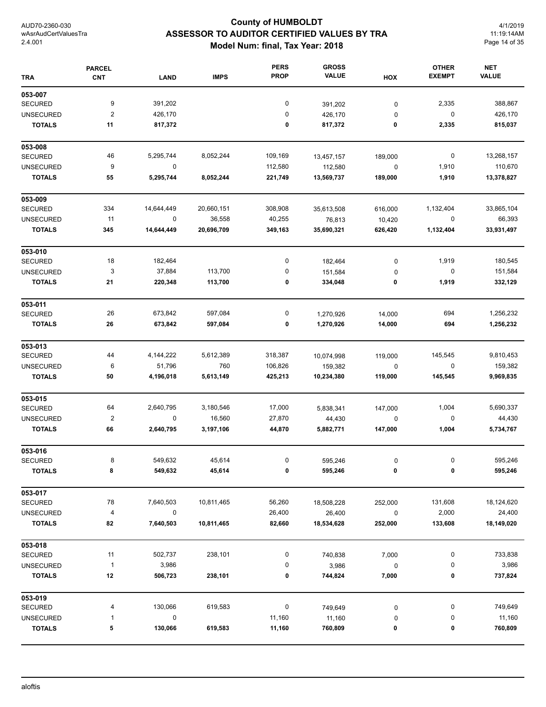# **County of HUMBOLDT ASSESSOR TO AUDITOR CERTIFIED VALUES BY TRA Model Num: final, Tax Year: 2018**

4/1/2019 11:19:14AM Page 14 of 35

| <b>TRA</b>       | <b>PARCEL</b><br><b>CNT</b> | <b>LAND</b> | <b>IMPS</b> | <b>PERS</b><br><b>PROP</b> | <b>GROSS</b><br><b>VALUE</b> | HOX         | <b>OTHER</b><br><b>EXEMPT</b> | <b>NET</b><br><b>VALUE</b> |
|------------------|-----------------------------|-------------|-------------|----------------------------|------------------------------|-------------|-------------------------------|----------------------------|
|                  |                             |             |             |                            |                              |             |                               |                            |
| 053-007          |                             |             |             |                            |                              |             |                               |                            |
| <b>SECURED</b>   | 9                           | 391,202     |             | 0                          | 391,202                      | $\pmb{0}$   | 2,335                         | 388,867                    |
| <b>UNSECURED</b> | $\overline{\mathbf{c}}$     | 426,170     |             | 0                          | 426,170                      | 0           | 0                             | 426,170                    |
| <b>TOTALS</b>    | 11                          | 817,372     |             | 0                          | 817,372                      | 0           | 2,335                         | 815,037                    |
| 053-008          |                             |             |             |                            |                              |             |                               |                            |
| <b>SECURED</b>   | 46                          | 5,295,744   | 8,052,244   | 109,169                    | 13,457,157                   | 189,000     | 0                             | 13,268,157                 |
| <b>UNSECURED</b> | 9                           | 0           |             | 112,580                    | 112,580                      | $\mathbf 0$ | 1,910                         | 110,670                    |
| <b>TOTALS</b>    | 55                          | 5,295,744   | 8,052,244   | 221,749                    | 13,569,737                   | 189,000     | 1,910                         | 13,378,827                 |
| 053-009          |                             |             |             |                            |                              |             |                               |                            |
| <b>SECURED</b>   | 334                         | 14,644,449  | 20,660,151  | 308,908                    | 35,613,508                   | 616,000     | 1,132,404                     | 33,865,104                 |
| <b>UNSECURED</b> | 11                          | $\mathbf 0$ | 36,558      | 40,255                     | 76,813                       | 10,420      | 0                             | 66,393                     |
| <b>TOTALS</b>    | 345                         | 14,644,449  | 20,696,709  | 349,163                    | 35,690,321                   | 626,420     | 1,132,404                     | 33,931,497                 |
| 053-010          |                             |             |             |                            |                              |             |                               |                            |
| <b>SECURED</b>   | 18                          | 182,464     |             | 0                          | 182,464                      | 0           | 1,919                         | 180,545                    |
| <b>UNSECURED</b> | 3                           | 37,884      | 113,700     | 0                          | 151,584                      | 0           | 0                             | 151,584                    |
| <b>TOTALS</b>    | 21                          | 220,348     | 113,700     | 0                          | 334,048                      | 0           | 1,919                         | 332,129                    |
| 053-011          |                             |             |             |                            |                              |             |                               |                            |
| <b>SECURED</b>   | 26                          | 673,842     | 597,084     | 0                          | 1,270,926                    | 14,000      | 694                           | 1,256,232                  |
| <b>TOTALS</b>    | 26                          | 673,842     | 597,084     | 0                          | 1,270,926                    | 14,000      | 694                           | 1,256,232                  |
| 053-013          |                             |             |             |                            |                              |             |                               |                            |
| <b>SECURED</b>   | 44                          | 4, 144, 222 | 5,612,389   | 318,387                    | 10,074,998                   | 119,000     | 145,545                       | 9,810,453                  |
| <b>UNSECURED</b> | 6                           | 51,796      | 760         | 106,826                    | 159,382                      | 0           | 0                             | 159,382                    |
| <b>TOTALS</b>    | 50                          | 4,196,018   | 5,613,149   | 425,213                    | 10,234,380                   | 119,000     | 145,545                       | 9,969,835                  |
| 053-015          |                             |             |             |                            |                              |             |                               |                            |
| <b>SECURED</b>   | 64                          | 2,640,795   | 3,180,546   | 17,000                     | 5,838,341                    | 147,000     | 1,004                         | 5,690,337                  |
| <b>UNSECURED</b> | $\overline{\mathbf{c}}$     | 0           | 16,560      | 27,870                     | 44,430                       | 0           | 0                             | 44,430                     |
| <b>TOTALS</b>    | 66                          | 2,640,795   | 3,197,106   | 44,870                     | 5,882,771                    | 147,000     | 1,004                         | 5,734,767                  |
| 053-016          |                             |             |             |                            |                              |             |                               |                            |
| SECURED          | 8                           | 549,632     | 45,614      | 0                          | 595,246                      | 0           |                               | 595,246                    |
| <b>TOTALS</b>    | 8                           | 549,632     | 45,614      | 0                          | 595,246                      | 0           | 0                             | 595,246                    |
| 053-017          |                             |             |             |                            |                              |             |                               |                            |
| SECURED          | 78                          | 7,640,503   | 10,811,465  | 56,260                     | 18,508,228                   | 252,000     | 131,608                       | 18,124,620                 |
| <b>UNSECURED</b> | 4                           | 0           |             | 26,400                     | 26,400                       | $\pmb{0}$   | 2,000                         | 24,400                     |
| <b>TOTALS</b>    | 82                          | 7,640,503   | 10,811,465  | 82,660                     | 18,534,628                   | 252,000     | 133,608                       | 18,149,020                 |
| 053-018          |                             |             |             |                            |                              |             |                               |                            |
| SECURED          | 11                          | 502,737     | 238,101     | 0                          | 740,838                      | 7,000       | 0                             | 733,838                    |
| <b>UNSECURED</b> | $\mathbf{1}$                | 3,986       |             | 0                          | 3,986                        | $\pmb{0}$   | 0                             | 3,986                      |
| <b>TOTALS</b>    | 12                          | 506,723     | 238,101     | 0                          | 744,824                      | 7,000       | 0                             | 737,824                    |
| 053-019          |                             |             |             |                            |                              |             |                               |                            |
| SECURED          | 4                           | 130,066     | 619,583     | 0                          | 749,649                      | 0           | 0                             | 749,649                    |
| <b>UNSECURED</b> | 1                           | 0           |             | 11,160                     | 11,160                       | 0           | 0                             | 11,160                     |
| <b>TOTALS</b>    | 5                           | 130,066     | 619,583     | 11,160                     | 760,809                      | 0           | 0                             | 760,809                    |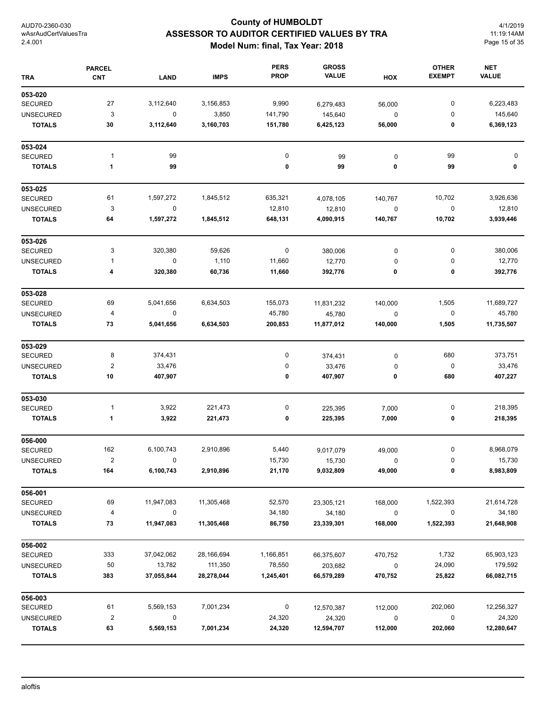# **County of HUMBOLDT ASSESSOR TO AUDITOR CERTIFIED VALUES BY TRA Model Num: final, Tax Year: 2018**

4/1/2019 11:19:14AM Page 15 of 35

| <b>TRA</b>       | <b>PARCEL</b><br><b>CNT</b> | <b>LAND</b> | <b>IMPS</b> | <b>PERS</b><br><b>PROP</b> | <b>GROSS</b><br><b>VALUE</b> | HOX         | <b>OTHER</b><br><b>EXEMPT</b> | <b>NET</b><br><b>VALUE</b> |
|------------------|-----------------------------|-------------|-------------|----------------------------|------------------------------|-------------|-------------------------------|----------------------------|
| 053-020          |                             |             |             |                            |                              |             |                               |                            |
| <b>SECURED</b>   | 27                          | 3,112,640   | 3,156,853   | 9,990                      | 6,279,483                    | 56,000      | 0                             | 6,223,483                  |
| <b>UNSECURED</b> | 3                           | $\mathbf 0$ | 3,850       | 141,790                    | 145,640                      | 0           | 0                             | 145,640                    |
| <b>TOTALS</b>    | 30                          | 3,112,640   | 3,160,703   | 151,780                    | 6,425,123                    | 56,000      | 0                             | 6,369,123                  |
| 053-024          |                             |             |             |                            |                              |             |                               |                            |
| <b>SECURED</b>   | 1                           | 99          |             | $\pmb{0}$                  | 99                           | $\mathbf 0$ | 99                            | 0                          |
| <b>TOTALS</b>    | 1                           | 99          |             | 0                          | 99                           | 0           | 99                            | 0                          |
| 053-025          |                             |             |             |                            |                              |             |                               |                            |
| <b>SECURED</b>   | 61                          | 1,597,272   | 1,845,512   | 635,321                    | 4,078,105                    | 140,767     | 10,702                        | 3,926,636                  |
| <b>UNSECURED</b> | 3                           | 0           |             | 12,810                     | 12,810                       | $\pmb{0}$   | 0                             | 12,810                     |
| <b>TOTALS</b>    | 64                          | 1,597,272   | 1,845,512   | 648,131                    | 4,090,915                    | 140,767     | 10,702                        | 3,939,446                  |
| 053-026          |                             |             |             |                            |                              |             |                               |                            |
| <b>SECURED</b>   | 3                           | 320,380     | 59,626      | 0                          | 380,006                      | 0           | 0                             | 380,006                    |
| <b>UNSECURED</b> | 1                           | 0           | 1,110       | 11,660                     | 12,770                       | 0           | 0                             | 12,770                     |
| <b>TOTALS</b>    | 4                           | 320,380     | 60,736      | 11,660                     | 392,776                      | 0           | 0                             | 392,776                    |
| 053-028          |                             |             |             |                            |                              |             |                               |                            |
| <b>SECURED</b>   | 69                          | 5,041,656   | 6,634,503   | 155,073                    | 11,831,232                   | 140,000     | 1,505                         | 11,689,727                 |
| <b>UNSECURED</b> | 4                           | 0           |             | 45,780                     | 45,780                       | 0           | 0                             | 45,780                     |
| <b>TOTALS</b>    | 73                          | 5,041,656   | 6,634,503   | 200,853                    | 11,877,012                   | 140,000     | 1,505                         | 11,735,507                 |
| 053-029          |                             |             |             |                            |                              |             |                               |                            |
| <b>SECURED</b>   | 8                           | 374,431     |             | 0                          | 374,431                      | 0           | 680                           | 373,751                    |
| <b>UNSECURED</b> | $\boldsymbol{2}$            | 33,476      |             | 0                          | 33,476                       | 0           | $\pmb{0}$                     | 33,476                     |
| <b>TOTALS</b>    | 10                          | 407,907     |             | 0                          | 407,907                      | 0           | 680                           | 407,227                    |
| 053-030          |                             |             |             |                            |                              |             |                               |                            |
| <b>SECURED</b>   | 1                           | 3,922       | 221,473     | 0                          | 225,395                      | 7,000       | 0                             | 218,395                    |
| <b>TOTALS</b>    | 1                           | 3,922       | 221,473     | 0                          | 225,395                      | 7,000       | 0                             | 218,395                    |
| 056-000          |                             |             |             |                            |                              |             |                               |                            |
| <b>SECURED</b>   | 162                         | 6,100,743   | 2,910,896   | 5,440                      | 9,017,079                    | 49,000      | 0                             | 8,968,079                  |
| <b>UNSECURED</b> | $\overline{2}$              | $\sqrt{ }$  |             | 15,730                     | 15,730                       | $\mathbf 0$ | 0                             | 15,730                     |
| <b>TOTALS</b>    | 164                         | 6,100,743   | 2,910,896   | 21,170                     | 9,032,809                    | 49,000      | 0                             | 8,983,809                  |
| 056-001          |                             |             |             |                            |                              |             |                               |                            |
| SECURED          | 69                          | 11,947,083  | 11,305,468  | 52,570                     | 23,305,121                   | 168,000     | 1,522,393                     | 21,614,728                 |
| <b>UNSECURED</b> | 4                           | 0           |             | 34,180                     | 34,180                       | $\pmb{0}$   | 0                             | 34,180                     |
| <b>TOTALS</b>    | 73                          | 11,947,083  | 11,305,468  | 86,750                     | 23,339,301                   | 168,000     | 1,522,393                     | 21,648,908                 |
| 056-002          |                             |             |             |                            |                              |             |                               |                            |
| SECURED          | 333                         | 37,042,062  | 28,166,694  | 1,166,851                  | 66,375,607                   | 470,752     | 1,732                         | 65,903,123                 |
| <b>UNSECURED</b> | 50                          | 13,782      | 111,350     | 78,550                     | 203,682                      | $\pmb{0}$   | 24,090                        | 179,592                    |
| <b>TOTALS</b>    | 383                         | 37,055,844  | 28,278,044  | 1,245,401                  | 66,579,289                   | 470,752     | 25,822                        | 66,082,715                 |
| 056-003          |                             |             |             |                            |                              |             |                               |                            |
| SECURED          | 61                          | 5,569,153   | 7,001,234   | 0                          | 12,570,387                   | 112,000     | 202,060                       | 12,256,327                 |
| <b>UNSECURED</b> | $\overline{2}$              | 0           |             | 24,320                     | 24,320                       | 0           | 0                             | 24,320                     |
| <b>TOTALS</b>    | 63                          | 5,569,153   | 7,001,234   | 24,320                     | 12,594,707                   | 112,000     | 202,060                       | 12,280,647                 |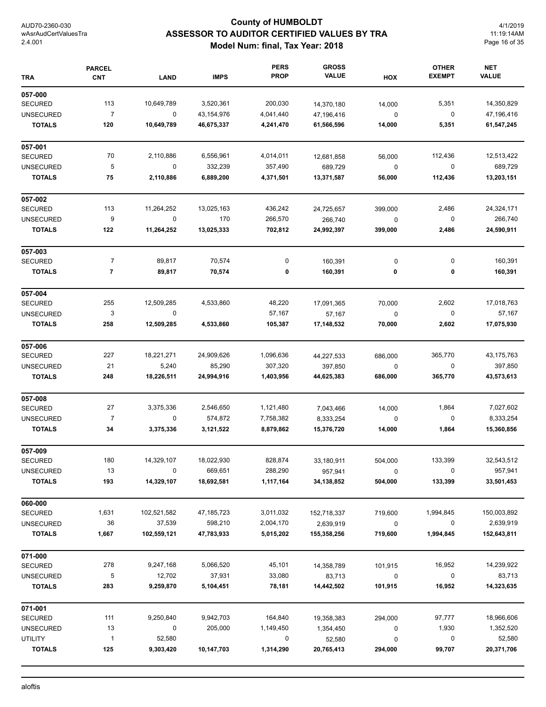# **County of HUMBOLDT ASSESSOR TO AUDITOR CERTIFIED VALUES BY TRA Model Num: final, Tax Year: 2018**

4/1/2019 11:19:14AM Page 16 of 35

| <b>TRA</b>                        | <b>PARCEL</b><br><b>CNT</b> | <b>LAND</b>           | <b>IMPS</b>           | <b>PERS</b><br><b>PROP</b> | <b>GROSS</b><br><b>VALUE</b> | HOX          | <b>OTHER</b><br><b>EXEMPT</b> | <b>NET</b><br><b>VALUE</b> |
|-----------------------------------|-----------------------------|-----------------------|-----------------------|----------------------------|------------------------------|--------------|-------------------------------|----------------------------|
| 057-000                           |                             |                       |                       |                            |                              |              |                               |                            |
| <b>SECURED</b>                    | 113                         | 10,649,789            | 3,520,361             | 200,030                    | 14,370,180                   | 14,000       | 5,351                         | 14,350,829                 |
| <b>UNSECURED</b>                  | $\overline{7}$              | $\mathbf 0$           | 43,154,976            | 4,041,440                  | 47,196,416                   | 0            | 0                             | 47,196,416                 |
| <b>TOTALS</b>                     | 120                         | 10,649,789            | 46,675,337            | 4,241,470                  | 61,566,596                   | 14,000       | 5,351                         | 61,547,245                 |
| 057-001                           |                             |                       |                       |                            |                              |              |                               |                            |
| <b>SECURED</b>                    | 70                          | 2,110,886             | 6,556,961             | 4,014,011                  | 12,681,858                   | 56,000       | 112,436                       | 12,513,422                 |
| <b>UNSECURED</b>                  | 5                           | 0                     | 332,239               | 357,490                    | 689,729                      | 0            | $\mathbf 0$                   | 689,729                    |
| <b>TOTALS</b>                     | 75                          | 2,110,886             | 6,889,200             | 4,371,501                  | 13,371,587                   | 56,000       | 112,436                       | 13,203,151                 |
| 057-002                           |                             |                       |                       |                            |                              |              |                               |                            |
| <b>SECURED</b>                    | 113                         | 11,264,252            | 13,025,163            | 436,242                    | 24,725,657                   | 399,000      | 2,486                         | 24,324,171                 |
| <b>UNSECURED</b>                  | 9                           | 0                     | 170                   | 266,570                    | 266,740                      | 0            | 0                             | 266,740                    |
| <b>TOTALS</b>                     | 122                         | 11,264,252            | 13,025,333            | 702,812                    | 24,992,397                   | 399,000      | 2,486                         | 24,590,911                 |
| 057-003                           |                             |                       |                       |                            |                              |              |                               |                            |
| <b>SECURED</b>                    | 7                           | 89,817                | 70,574                | 0                          | 160,391                      | 0            | 0                             | 160,391                    |
| <b>TOTALS</b>                     | $\overline{\mathbf{r}}$     | 89,817                | 70,574                | 0                          | 160,391                      | 0            | 0                             | 160,391                    |
| 057-004                           |                             |                       |                       |                            |                              |              |                               |                            |
| <b>SECURED</b>                    | 255                         | 12,509,285            | 4,533,860             | 48,220                     | 17,091,365                   | 70,000       | 2,602                         | 17,018,763                 |
| <b>UNSECURED</b>                  | 3                           | $\mathbf 0$           |                       | 57,167                     | 57,167                       | 0            | 0                             | 57,167                     |
| <b>TOTALS</b>                     | 258                         | 12,509,285            | 4,533,860             | 105,387                    | 17,148,532                   | 70,000       | 2,602                         | 17,075,930                 |
| 057-006                           |                             |                       |                       |                            |                              |              |                               |                            |
| <b>SECURED</b>                    | 227                         | 18,221,271            | 24,909,626            | 1,096,636                  | 44,227,533                   | 686,000      | 365,770                       | 43,175,763                 |
| <b>UNSECURED</b>                  | 21                          | 5,240                 | 85,290                | 307,320                    | 397,850                      | 0            | 0                             | 397,850                    |
| <b>TOTALS</b>                     | 248                         | 18,226,511            | 24,994,916            | 1,403,956                  | 44,625,383                   | 686,000      | 365,770                       | 43,573,613                 |
| 057-008                           |                             |                       |                       |                            |                              |              |                               |                            |
| <b>SECURED</b>                    | 27                          | 3,375,336             | 2,546,650             | 1,121,480                  | 7,043,466                    | 14,000       | 1,864                         | 7,027,602                  |
| <b>UNSECURED</b>                  | $\overline{7}$              | 0                     | 574,872               | 7,758,382                  | 8,333,254                    | 0            | 0                             | 8,333,254                  |
| <b>TOTALS</b>                     | 34                          | 3,375,336             | 3,121,522             | 8,879,862                  | 15,376,720                   | 14,000       | 1,864                         | 15,360,856                 |
| 057-009                           |                             |                       |                       |                            |                              |              |                               |                            |
| SECURED                           | 180                         | 14,329,107            | 18,022,930            | 828,874                    | 33,180,911                   | 504,000      | 133,399                       | 32,543,512                 |
| <b>UNSECURED</b>                  | 13                          | 0                     | 669,651               | 288,290                    | 957,941                      | 0            | 0                             | 957,941                    |
| <b>TOTALS</b>                     | 193                         | 14,329,107            | 18,692,581            | 1,117,164                  | 34, 138, 852                 | 504,000      | 133,399                       | 33,501,453                 |
| 060-000                           |                             |                       |                       |                            |                              |              |                               |                            |
| <b>SECURED</b>                    | 1,631                       | 102,521,582           | 47, 185, 723          | 3,011,032                  | 152,718,337                  | 719,600      | 1,994,845                     | 150,003,892                |
| <b>UNSECURED</b><br><b>TOTALS</b> | 36<br>1,667                 | 37,539<br>102,559,121 | 598,210<br>47,783,933 | 2,004,170<br>5,015,202     | 2,639,919<br>155,358,256     | 0<br>719,600 | 0<br>1,994,845                | 2,639,919<br>152,643,811   |
|                                   |                             |                       |                       |                            |                              |              |                               |                            |
| 071-000<br><b>SECURED</b>         | 278                         | 9,247,168             | 5,066,520             | 45,101                     | 14,358,789                   | 101,915      | 16,952                        | 14,239,922                 |
| <b>UNSECURED</b>                  | 5                           | 12,702                | 37,931                | 33,080                     | 83,713                       | $\pmb{0}$    | 0                             | 83,713                     |
| <b>TOTALS</b>                     | 283                         | 9,259,870             | 5,104,451             | 78,181                     | 14,442,502                   | 101,915      | 16,952                        | 14,323,635                 |
| 071-001                           |                             |                       |                       |                            |                              |              |                               |                            |
| <b>SECURED</b>                    | 111                         | 9,250,840             | 9,942,703             | 164,840                    | 19,358,383                   | 294,000      | 97,777                        | 18,966,606                 |
| <b>UNSECURED</b>                  | 13                          | 0                     | 205,000               | 1,149,450                  | 1,354,450                    | 0            | 1,930                         | 1,352,520                  |
| <b>UTILITY</b>                    |                             |                       |                       |                            |                              |              |                               |                            |
|                                   | $\mathbf{1}$                | 52,580                |                       | 0                          | 52,580                       | 0            | 0                             | 52,580                     |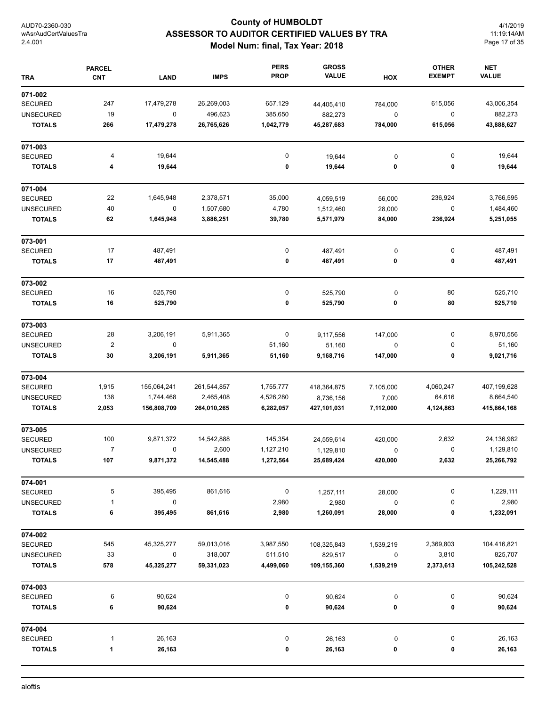# **County of HUMBOLDT ASSESSOR TO AUDITOR CERTIFIED VALUES BY TRA Model Num: final, Tax Year: 2018**

4/1/2019 11:19:14AM Page 17 of 35

| <b>TRA</b>                         | <b>PARCEL</b><br><b>CNT</b> | LAND        | <b>IMPS</b> | <b>PERS</b><br><b>PROP</b> | <b>GROSS</b><br><b>VALUE</b> | HOX                   | <b>OTHER</b><br><b>EXEMPT</b> | <b>NET</b><br><b>VALUE</b> |
|------------------------------------|-----------------------------|-------------|-------------|----------------------------|------------------------------|-----------------------|-------------------------------|----------------------------|
| 071-002                            |                             |             |             |                            |                              |                       |                               |                            |
| <b>SECURED</b>                     | 247                         | 17,479,278  | 26,269,003  | 657,129                    | 44,405,410                   | 784,000               | 615,056                       | 43,006,354                 |
| <b>UNSECURED</b>                   | 19                          | $\mathbf 0$ | 496,623     | 385,650                    | 882,273                      | $\pmb{0}$             | 0                             | 882,273                    |
| <b>TOTALS</b>                      | 266                         | 17,479,278  | 26,765,626  | 1,042,779                  | 45,287,683                   | 784,000               | 615,056                       | 43,888,627                 |
| 071-003                            |                             |             |             |                            |                              |                       |                               |                            |
| <b>SECURED</b>                     | 4                           | 19,644      |             | 0                          | 19,644                       | 0                     | 0                             | 19,644                     |
| <b>TOTALS</b>                      | 4                           | 19,644      |             | 0                          | 19,644                       | 0                     | 0                             | 19,644                     |
| 071-004                            |                             |             |             |                            |                              |                       |                               |                            |
| <b>SECURED</b>                     | 22                          | 1,645,948   | 2,378,571   | 35,000                     | 4,059,519                    | 56,000                | 236,924                       | 3,766,595                  |
| <b>UNSECURED</b>                   | 40                          | 0           | 1,507,680   | 4,780                      | 1,512,460                    | 28,000                | 0                             | 1,484,460                  |
| <b>TOTALS</b>                      | 62                          | 1,645,948   | 3,886,251   | 39,780                     | 5,571,979                    | 84,000                | 236,924                       | 5,251,055                  |
| 073-001                            |                             |             |             |                            |                              |                       |                               |                            |
| <b>SECURED</b>                     | 17                          | 487,491     |             | 0                          | 487,491                      | 0                     | 0                             | 487,491                    |
| <b>TOTALS</b>                      | 17                          | 487,491     |             | 0                          | 487,491                      | 0                     | 0                             | 487,491                    |
| 073-002                            |                             |             |             |                            |                              |                       |                               |                            |
| <b>SECURED</b>                     | 16                          | 525,790     |             | $\pmb{0}$                  | 525,790                      | 0                     | 80                            | 525,710                    |
| <b>TOTALS</b>                      | 16                          | 525,790     |             | 0                          | 525,790                      | 0                     | 80                            | 525,710                    |
| 073-003                            |                             |             |             |                            |                              |                       |                               |                            |
| <b>SECURED</b>                     | 28                          | 3,206,191   | 5,911,365   | 0                          | 9,117,556                    | 147,000               | 0                             | 8,970,556                  |
| <b>UNSECURED</b>                   | $\boldsymbol{2}$            | $\mathbf 0$ |             | 51,160                     | 51,160                       | 0                     | 0                             | 51,160                     |
| <b>TOTALS</b>                      | 30                          | 3,206,191   | 5,911,365   | 51,160                     | 9,168,716                    | 147,000               | 0                             | 9,021,716                  |
| 073-004                            |                             |             |             |                            |                              |                       |                               |                            |
| <b>SECURED</b>                     | 1,915                       | 155,064,241 | 261,544,857 | 1,755,777                  | 418,364,875                  | 7,105,000             | 4,060,247                     | 407,199,628                |
| <b>UNSECURED</b>                   | 138                         | 1,744,468   | 2,465,408   | 4,526,280                  | 8,736,156                    | 7,000                 | 64,616                        | 8,664,540                  |
| <b>TOTALS</b>                      | 2,053                       | 156,808,709 | 264,010,265 | 6,282,057                  | 427,101,031                  | 7,112,000             | 4,124,863                     | 415,864,168                |
| 073-005                            |                             |             |             |                            |                              |                       |                               |                            |
| <b>SECURED</b>                     | 100                         | 9,871,372   | 14,542,888  | 145,354                    | 24,559,614                   | 420,000               | 2,632                         | 24,136,982                 |
| <b>UNSECURED</b>                   | 7                           | 0           | 2,600       | 1,127,210                  | 1,129,810                    | 0                     | 0                             | 1,129,810                  |
| <b>TOTALS</b>                      | 107                         | 9,871,372   | 14,545,488  | 1,272,564                  | 25,689,424                   | 420,000               | 2,632                         | 25,266,792                 |
| 074-001                            | 5                           | 395,495     | 861,616     | 0                          |                              |                       | 0                             | 1,229,111                  |
| <b>SECURED</b><br><b>UNSECURED</b> | 1                           | 0           |             | 2,980                      | 1,257,111<br>2,980           | 28,000<br>$\mathbf 0$ | 0                             | 2,980                      |
| <b>TOTALS</b>                      | 6                           | 395,495     | 861,616     | 2,980                      | 1,260,091                    | 28,000                | 0                             | 1,232,091                  |
| 074-002                            |                             |             |             |                            |                              |                       |                               |                            |
| SECURED                            | 545                         | 45,325,277  | 59,013,016  | 3,987,550                  | 108,325,843                  | 1,539,219             | 2,369,803                     | 104,416,821                |
| <b>UNSECURED</b>                   | 33                          | 0           | 318,007     | 511,510                    | 829,517                      | $\pmb{0}$             | 3,810                         | 825,707                    |
| <b>TOTALS</b>                      | 578                         | 45,325,277  | 59,331,023  | 4,499,060                  | 109,155,360                  | 1,539,219             | 2,373,613                     | 105,242,528                |
| 074-003                            |                             |             |             |                            |                              |                       |                               |                            |
| <b>SECURED</b>                     | 6                           | 90,624      |             | 0                          | 90,624                       | 0                     | 0                             | 90,624                     |
| <b>TOTALS</b>                      | 6                           | 90,624      |             | 0                          | 90,624                       | 0                     | 0                             | 90,624                     |
| 074-004                            |                             |             |             |                            |                              |                       |                               |                            |
| <b>SECURED</b>                     | 1                           | 26,163      |             | 0                          | 26,163                       | 0                     | 0                             | 26,163                     |
| <b>TOTALS</b>                      | 1                           | 26,163      |             | 0                          | 26,163                       | 0                     | 0                             | 26,163                     |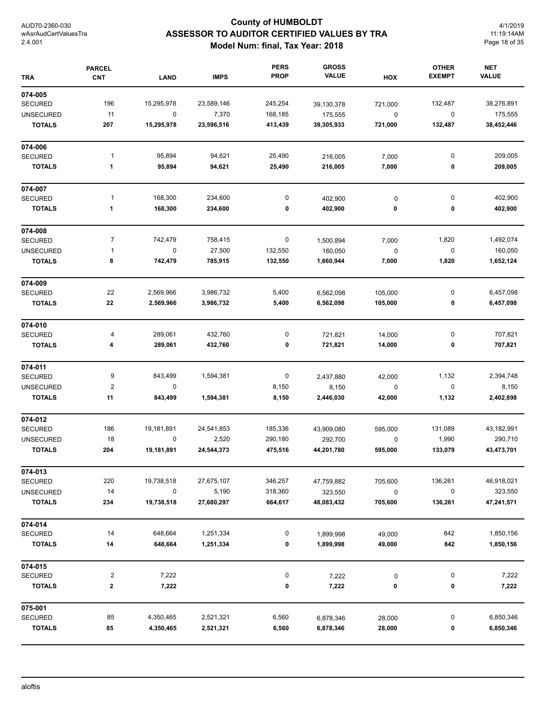# **County of HUMBOLDT ASSESSOR TO AUDITOR CERTIFIED VALUES BY TRA Model Num: final, Tax Year: 2018**

4/1/2019 11:19:14AM Page 18 of 35

| <b>TRA</b>       | <b>PARCEL</b><br><b>CNT</b> | <b>LAND</b> | <b>IMPS</b> | <b>PERS</b><br><b>PROP</b> | <b>GROSS</b><br><b>VALUE</b> | HOX       | <b>OTHER</b><br><b>EXEMPT</b> | <b>NET</b><br><b>VALUE</b> |
|------------------|-----------------------------|-------------|-------------|----------------------------|------------------------------|-----------|-------------------------------|----------------------------|
| 074-005          |                             |             |             |                            |                              |           |                               |                            |
| <b>SECURED</b>   | 196                         | 15,295,978  | 23,589,146  | 245,254                    | 39,130,378                   | 721,000   | 132,487                       | 38,276,891                 |
| <b>UNSECURED</b> | 11                          | $\pmb{0}$   | 7,370       | 168,185                    | 175,555                      | $\pmb{0}$ | 0                             | 175,555                    |
| <b>TOTALS</b>    | 207                         | 15,295,978  | 23,596,516  | 413,439                    | 39,305,933                   | 721,000   | 132,487                       | 38,452,446                 |
| 074-006          |                             |             |             |                            |                              |           |                               |                            |
| <b>SECURED</b>   | 1                           | 95,894      | 94,621      | 25,490                     | 216,005                      | 7,000     | 0                             | 209,005                    |
| <b>TOTALS</b>    | 1                           | 95,894      | 94,621      | 25,490                     | 216,005                      | 7,000     | 0                             | 209,005                    |
| 074-007          |                             |             |             |                            |                              |           |                               |                            |
| <b>SECURED</b>   | 1                           | 168,300     | 234,600     | 0                          | 402,900                      | $\pmb{0}$ | 0                             | 402,900                    |
| <b>TOTALS</b>    | 1                           | 168,300     | 234,600     | 0                          | 402,900                      | 0         | 0                             | 402,900                    |
| 074-008          |                             |             |             |                            |                              |           |                               |                            |
| <b>SECURED</b>   | $\overline{7}$              | 742,479     | 758,415     | 0                          | 1,500,894                    | 7,000     | 1,820                         | 1,492,074                  |
| <b>UNSECURED</b> | 1                           | $\pmb{0}$   | 27,500      | 132,550                    | 160,050                      | $\pmb{0}$ | 0                             | 160,050                    |
| <b>TOTALS</b>    | 8                           | 742,479     | 785,915     | 132,550                    | 1,660,944                    | 7,000     | 1,820                         | 1,652,124                  |
| 074-009          |                             |             |             |                            |                              |           |                               |                            |
| <b>SECURED</b>   | 22                          | 2,569,966   | 3,986,732   | 5,400                      | 6,562,098                    | 105,000   | 0                             | 6,457,098                  |
| <b>TOTALS</b>    | 22                          | 2,569,966   | 3,986,732   | 5,400                      | 6,562,098                    | 105,000   | 0                             | 6,457,098                  |
| 074-010          |                             |             |             |                            |                              |           |                               |                            |
| <b>SECURED</b>   | 4                           | 289,061     | 432,760     | 0                          | 721,821                      | 14,000    | 0                             | 707,821                    |
| <b>TOTALS</b>    | 4                           | 289,061     | 432,760     | 0                          | 721,821                      | 14,000    | 0                             | 707,821                    |
| 074-011          |                             |             |             |                            |                              |           |                               |                            |
| <b>SECURED</b>   | 9                           | 843,499     | 1,594,381   | 0                          | 2,437,880                    | 42,000    | 1,132                         | 2,394,748                  |
| <b>UNSECURED</b> | $\mathbf 2$                 | $\mathbf 0$ |             | 8,150                      | 8,150                        | $\pmb{0}$ | 0                             | 8,150                      |
| <b>TOTALS</b>    | 11                          | 843,499     | 1,594,381   | 8,150                      | 2,446,030                    | 42,000    | 1,132                         | 2,402,898                  |
| 074-012          |                             |             |             |                            |                              |           |                               |                            |
| <b>SECURED</b>   | 186                         | 19,181,891  | 24,541,853  | 185,336                    | 43,909,080                   | 595,000   | 131,089                       | 43,182,991                 |
| <b>UNSECURED</b> | 18                          | 0           | 2,520       | 290,180                    | 292,700                      | $\pmb{0}$ | 1,990                         | 290,710                    |
| <b>TOTALS</b>    | 204                         | 19,181,891  | 24,544,373  | 475,516                    | 44,201,780                   | 595,000   | 133,079                       | 43,473,701                 |
| 074-013          |                             |             |             |                            |                              |           |                               |                            |
| <b>SECURED</b>   | 220                         | 19,738,518  | 27,675,107  | 346,257                    | 47,759,882                   | 705,600   | 136,261                       | 46,918,021                 |
| <b>UNSECURED</b> | 14                          | $\pmb{0}$   | 5,190       | 318,360                    | 323,550                      | $\pmb{0}$ | $\pmb{0}$                     | 323,550                    |
| <b>TOTALS</b>    | 234                         | 19,738,518  | 27,680,297  | 664,617                    | 48,083,432                   | 705,600   | 136,261                       | 47,241,571                 |
| 074-014          |                             |             |             |                            |                              |           |                               |                            |
| <b>SECURED</b>   | 14                          | 648,664     | 1,251,334   | 0                          | 1,899,998                    | 49,000    | 842                           | 1,850,156                  |
| <b>TOTALS</b>    | 14                          | 648,664     | 1,251,334   | 0                          | 1,899,998                    | 49,000    | 842                           | 1,850,156                  |
| 074-015          |                             |             |             |                            |                              |           |                               |                            |
| <b>SECURED</b>   | 2                           | 7,222       |             | 0                          | 7,222                        | $\pmb{0}$ | 0                             | 7,222                      |
| <b>TOTALS</b>    | $\bf{2}$                    | 7,222       |             | 0                          | 7,222                        | 0         | 0                             | 7,222                      |
| 075-001          |                             |             |             |                            |                              |           |                               |                            |
| <b>SECURED</b>   | 85                          | 4,350,465   | 2,521,321   | 6,560                      | 6,878,346                    | 28,000    | 0                             | 6,850,346                  |
| <b>TOTALS</b>    | 85                          | 4,350,465   | 2,521,321   | 6,560                      | 6,878,346                    | 28,000    | 0                             | 6,850,346                  |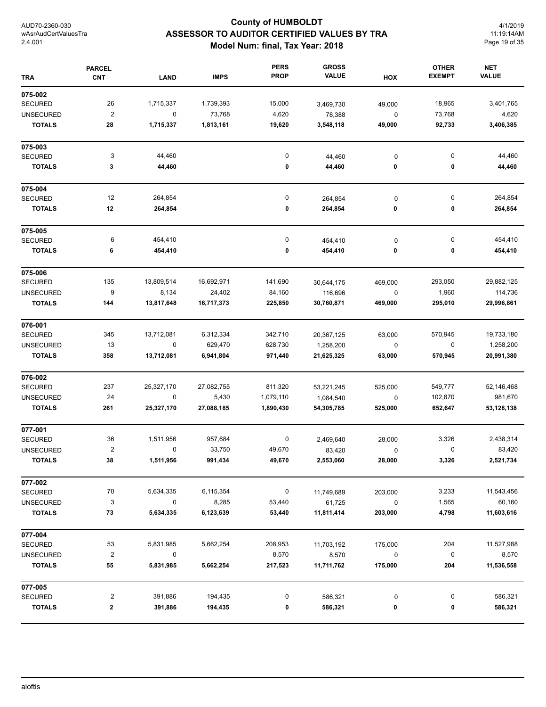# **County of HUMBOLDT ASSESSOR TO AUDITOR CERTIFIED VALUES BY TRA Model Num: final, Tax Year: 2018**

4/1/2019 11:19:14AM Page 19 of 35

| <b>TRA</b>       | <b>PARCEL</b><br><b>CNT</b> | <b>LAND</b> | <b>IMPS</b> | <b>PERS</b><br><b>PROP</b> | <b>GROSS</b><br><b>VALUE</b> | HOX         | <b>OTHER</b><br><b>EXEMPT</b> | <b>NET</b><br><b>VALUE</b> |
|------------------|-----------------------------|-------------|-------------|----------------------------|------------------------------|-------------|-------------------------------|----------------------------|
| 075-002          |                             |             |             |                            |                              |             |                               |                            |
| <b>SECURED</b>   | 26                          | 1,715,337   | 1,739,393   | 15,000                     | 3,469,730                    | 49,000      | 18,965                        | 3,401,765                  |
| <b>UNSECURED</b> | $\overline{\mathbf{c}}$     | 0           | 73,768      | 4,620                      | 78,388                       | 0           | 73,768                        | 4,620                      |
| <b>TOTALS</b>    | 28                          | 1,715,337   | 1,813,161   | 19,620                     | 3,548,118                    | 49,000      | 92,733                        | 3,406,385                  |
| 075-003          |                             |             |             |                            |                              |             |                               |                            |
| <b>SECURED</b>   | 3                           | 44,460      |             | 0                          | 44,460                       | 0           | 0                             | 44,460                     |
| <b>TOTALS</b>    | 3                           | 44,460      |             | 0                          | 44,460                       | 0           | 0                             | 44,460                     |
| 075-004          |                             |             |             |                            |                              |             |                               |                            |
| <b>SECURED</b>   | 12                          | 264,854     |             | 0                          | 264,854                      | 0           | 0                             | 264,854                    |
| <b>TOTALS</b>    | 12                          | 264,854     |             | 0                          | 264,854                      | 0           | 0                             | 264,854                    |
| 075-005          |                             |             |             |                            |                              |             |                               |                            |
| <b>SECURED</b>   | 6                           | 454,410     |             | 0                          | 454,410                      | 0           | 0                             | 454,410                    |
| <b>TOTALS</b>    | 6                           | 454,410     |             | 0                          | 454,410                      | 0           | 0                             | 454,410                    |
| 075-006          |                             |             |             |                            |                              |             |                               |                            |
| <b>SECURED</b>   | 135                         | 13,809,514  | 16,692,971  | 141,690                    | 30,644,175                   | 469,000     | 293,050                       | 29,882,125                 |
| <b>UNSECURED</b> | 9                           | 8,134       | 24,402      | 84,160                     | 116,696                      | 0           | 1,960                         | 114,736                    |
| <b>TOTALS</b>    | 144                         | 13,817,648  | 16,717,373  | 225,850                    | 30,760,871                   | 469,000     | 295,010                       | 29,996,861                 |
| 076-001          |                             |             |             |                            |                              |             |                               |                            |
| <b>SECURED</b>   | 345                         | 13,712,081  | 6,312,334   | 342,710                    | 20,367,125                   | 63,000      | 570,945                       | 19,733,180                 |
| <b>UNSECURED</b> | 13                          | 0           | 629,470     | 628,730                    | 1,258,200                    | 0           | 0                             | 1,258,200                  |
| <b>TOTALS</b>    | 358                         | 13,712,081  | 6,941,804   | 971,440                    | 21,625,325                   | 63,000      | 570,945                       | 20,991,380                 |
| 076-002          |                             |             |             |                            |                              |             |                               |                            |
| <b>SECURED</b>   | 237                         | 25,327,170  | 27,082,755  | 811,320                    | 53,221,245                   | 525,000     | 549,777                       | 52,146,468                 |
| <b>UNSECURED</b> | 24                          | 0           | 5,430       | 1,079,110                  | 1,084,540                    | 0           | 102,870                       | 981,670                    |
| <b>TOTALS</b>    | 261                         | 25,327,170  | 27,088,185  | 1,890,430                  | 54,305,785                   | 525,000     | 652,647                       | 53,128,138                 |
| 077-001          |                             |             |             |                            |                              |             |                               |                            |
| <b>SECURED</b>   | 36                          | 1,511,956   | 957,684     | 0                          | 2,469,640                    | 28,000      | 3,326                         | 2,438,314                  |
| <b>UNSECURED</b> | 2                           | 0           | 33,750      | 49,670                     | 83,420                       | 0           | 0                             | 83,420                     |
| TOTALS           | 38                          | 1,511,956   | 991,434     | 49,670                     | 2,553,060                    | 28,000      | 3,326                         | 2,521,734                  |
| 077-002          |                             |             |             |                            |                              |             |                               |                            |
| SECURED          | 70                          | 5,634,335   | 6,115,354   | $\mathsf 0$                | 11,749,689                   | 203,000     | 3,233                         | 11,543,456                 |
| <b>UNSECURED</b> | 3                           | 0           | 8,285       | 53,440                     | 61,725                       | $\mathsf 0$ | 1,565                         | 60,160                     |
| <b>TOTALS</b>    | ${\bf 73}$                  | 5,634,335   | 6,123,639   | 53,440                     | 11,811,414                   | 203,000     | 4,798                         | 11,603,616                 |
| 077-004          |                             |             |             |                            |                              |             |                               |                            |
| <b>SECURED</b>   | 53                          | 5,831,985   | 5,662,254   | 208,953                    | 11,703,192                   | 175,000     | 204                           | 11,527,988                 |
| <b>UNSECURED</b> | $\mathbf 2$                 | 0           |             | 8,570                      | 8,570                        | 0           | $\pmb{0}$                     | 8,570                      |
| <b>TOTALS</b>    | 55                          | 5,831,985   | 5,662,254   | 217,523                    | 11,711,762                   | 175,000     | 204                           | 11,536,558                 |
| 077-005          |                             |             |             |                            |                              |             |                               |                            |
| <b>SECURED</b>   | 2                           | 391,886     | 194,435     | 0                          | 586,321                      | 0           | 0                             | 586,321                    |
| <b>TOTALS</b>    | $\mathbf 2$                 | 391,886     | 194,435     | 0                          | 586,321                      | 0           | 0                             | 586,321                    |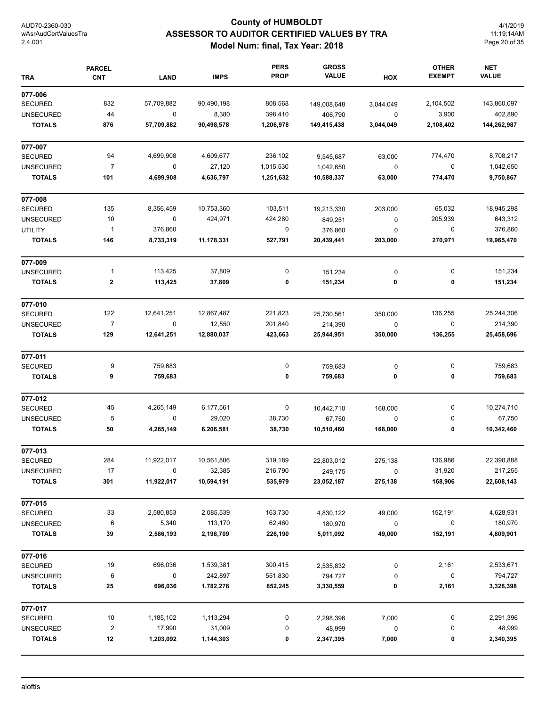# **County of HUMBOLDT ASSESSOR TO AUDITOR CERTIFIED VALUES BY TRA Model Num: final, Tax Year: 2018**

4/1/2019 11:19:14AM Page 20 of 35

| <b>TRA</b>       | <b>PARCEL</b><br><b>CNT</b> | <b>LAND</b> | <b>IMPS</b> | <b>PERS</b><br><b>PROP</b> | <b>GROSS</b><br><b>VALUE</b> | HOX       | <b>OTHER</b><br><b>EXEMPT</b> | <b>NET</b><br><b>VALUE</b> |
|------------------|-----------------------------|-------------|-------------|----------------------------|------------------------------|-----------|-------------------------------|----------------------------|
| 077-006          |                             |             |             |                            |                              |           |                               |                            |
| <b>SECURED</b>   | 832                         | 57,709,882  | 90,490,198  | 808,568                    | 149,008,648                  | 3,044,049 | 2,104,502                     | 143,860,097                |
| <b>UNSECURED</b> | 44                          | $\mathbf 0$ | 8,380       | 398,410                    | 406,790                      | 0         | 3,900                         | 402,890                    |
| <b>TOTALS</b>    | 876                         | 57,709,882  | 90,498,578  | 1,206,978                  | 149,415,438                  | 3,044,049 | 2,108,402                     | 144,262,987                |
| 077-007          |                             |             |             |                            |                              |           |                               |                            |
| <b>SECURED</b>   | 94                          | 4,699,908   | 4,609,677   | 236,102                    | 9,545,687                    | 63,000    | 774,470                       | 8,708,217                  |
| <b>UNSECURED</b> | $\overline{7}$              | 0           | 27,120      | 1,015,530                  | 1,042,650                    | 0         | 0                             | 1,042,650                  |
| <b>TOTALS</b>    | 101                         | 4,699,908   | 4,636,797   | 1,251,632                  | 10,588,337                   | 63,000    | 774,470                       | 9,750,867                  |
| 077-008          |                             |             |             |                            |                              |           |                               |                            |
| <b>SECURED</b>   | 135                         | 8,356,459   | 10,753,360  | 103,511                    | 19,213,330                   | 203,000   | 65,032                        | 18,945,298                 |
| <b>UNSECURED</b> | 10                          | 0           | 424,971     | 424,280                    | 849,251                      | $\pmb{0}$ | 205,939                       | 643,312                    |
| <b>UTILITY</b>   | $\mathbf{1}$                | 376,860     |             | 0                          | 376,860                      | $\pmb{0}$ | 0                             | 376,860                    |
| <b>TOTALS</b>    | 146                         | 8,733,319   | 11,178,331  | 527,791                    | 20,439,441                   | 203,000   | 270,971                       | 19,965,470                 |
| 077-009          |                             |             |             |                            |                              |           |                               |                            |
| <b>UNSECURED</b> | $\mathbf{1}$                | 113,425     | 37,809      | 0                          | 151,234                      | 0         | 0                             | 151,234                    |
| <b>TOTALS</b>    | $\boldsymbol{2}$            | 113,425     | 37,809      | 0                          | 151,234                      | 0         | 0                             | 151,234                    |
| 077-010          |                             |             |             |                            |                              |           |                               |                            |
| <b>SECURED</b>   | 122                         | 12,641,251  | 12,867,487  | 221,823                    | 25,730,561                   | 350,000   | 136,255                       | 25,244,306                 |
| <b>UNSECURED</b> | $\overline{7}$              | 0           | 12,550      | 201,840                    | 214,390                      | 0         | 0                             | 214,390                    |
| <b>TOTALS</b>    | 129                         | 12,641,251  | 12,880,037  | 423,663                    | 25,944,951                   | 350,000   | 136,255                       | 25,458,696                 |
| 077-011          |                             |             |             |                            |                              |           |                               |                            |
| <b>SECURED</b>   | 9                           | 759,683     |             | 0                          | 759,683                      | 0         | 0                             | 759,683                    |
| <b>TOTALS</b>    | 9                           | 759,683     |             | 0                          | 759,683                      | 0         | 0                             | 759,683                    |
| 077-012          |                             |             |             |                            |                              |           |                               |                            |
| <b>SECURED</b>   | 45                          | 4,265,149   | 6,177,561   | 0                          | 10,442,710                   | 168,000   | 0                             | 10,274,710                 |
| <b>UNSECURED</b> | 5                           | 0           | 29,020      | 38,730                     | 67,750                       | 0         | 0                             | 67,750                     |
| <b>TOTALS</b>    | 50                          | 4,265,149   | 6,206,581   | 38,730                     | 10,510,460                   | 168,000   | 0                             | 10,342,460                 |
| 077-013          |                             |             |             |                            |                              |           |                               |                            |
| SECURED          | 284                         | 11,922,017  | 10,561,806  | 319,189                    | 22,803,012                   | 275,138   | 136,986                       | 22,390,888                 |
| <b>UNSECURED</b> | 17                          | 0           | 32,385      | 216,790                    | 249,175                      | 0         | 31,920                        | 217,255                    |
| <b>TOTALS</b>    | 301                         | 11,922,017  | 10,594,191  | 535,979                    | 23,052,187                   | 275,138   | 168,906                       | 22,608,143                 |
| 077-015          |                             |             |             |                            |                              |           |                               |                            |
| <b>SECURED</b>   | 33                          | 2,580,853   | 2,085,539   | 163,730                    | 4,830,122                    | 49,000    | 152,191                       | 4,628,931                  |
| <b>UNSECURED</b> | 6                           | 5,340       | 113,170     | 62,460                     | 180,970                      | $\pmb{0}$ | 0                             | 180,970                    |
| <b>TOTALS</b>    | 39                          | 2,586,193   | 2,198,709   | 226,190                    | 5,011,092                    | 49,000    | 152,191                       | 4,809,901                  |
| 077-016          |                             |             |             |                            |                              |           |                               |                            |
| <b>SECURED</b>   | 19                          | 696,036     | 1,539,381   | 300,415                    | 2,535,832                    | 0         | 2,161                         | 2,533,671                  |
| <b>UNSECURED</b> | 6                           | $\mathbf 0$ | 242,897     | 551,830                    | 794,727                      | 0         | 0                             | 794,727                    |
| <b>TOTALS</b>    | 25                          | 696,036     | 1,782,278   | 852,245                    | 3,330,559                    | 0         | 2,161                         | 3,328,398                  |
| 077-017          |                             |             |             |                            |                              |           |                               |                            |
| <b>SECURED</b>   | 10                          | 1,185,102   | 1,113,294   | 0                          | 2,298,396                    | 7,000     | 0                             | 2,291,396                  |
| <b>UNSECURED</b> | $\boldsymbol{2}$            | 17,990      | 31,009      | 0                          | 48,999                       | $\pmb{0}$ | 0                             | 48,999                     |
| <b>TOTALS</b>    | 12                          | 1,203,092   | 1,144,303   | 0                          | 2,347,395                    | 7,000     | 0                             | 2,340,395                  |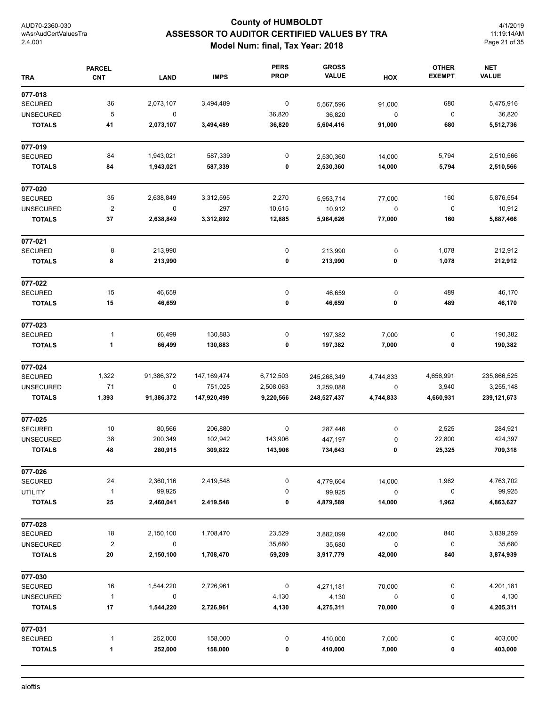# **County of HUMBOLDT ASSESSOR TO AUDITOR CERTIFIED VALUES BY TRA Model Num: final, Tax Year: 2018**

4/1/2019 11:19:14AM Page 21 of 35

| <b>TRA</b>       | <b>PARCEL</b><br><b>CNT</b> | <b>LAND</b> | <b>IMPS</b>   | <b>PERS</b><br><b>PROP</b> | <b>GROSS</b><br><b>VALUE</b> | HOX       | <b>OTHER</b><br><b>EXEMPT</b> | <b>NET</b><br><b>VALUE</b> |
|------------------|-----------------------------|-------------|---------------|----------------------------|------------------------------|-----------|-------------------------------|----------------------------|
| 077-018          |                             |             |               |                            |                              |           |                               |                            |
| <b>SECURED</b>   | 36                          | 2,073,107   | 3,494,489     | $\boldsymbol{0}$           | 5,567,596                    | 91,000    | 680                           | 5,475,916                  |
| <b>UNSECURED</b> | 5                           | $\mathbf 0$ |               | 36,820                     | 36,820                       | 0         | 0                             | 36,820                     |
| <b>TOTALS</b>    | 41                          | 2,073,107   | 3,494,489     | 36,820                     | 5,604,416                    | 91,000    | 680                           | 5,512,736                  |
| 077-019          |                             |             |               |                            |                              |           |                               |                            |
| <b>SECURED</b>   | 84                          | 1,943,021   | 587,339       | 0                          | 2,530,360                    | 14,000    | 5,794                         | 2,510,566                  |
| <b>TOTALS</b>    | 84                          | 1,943,021   | 587,339       | 0                          | 2,530,360                    | 14,000    | 5,794                         | 2,510,566                  |
| 077-020          |                             |             |               |                            |                              |           |                               |                            |
| <b>SECURED</b>   | 35                          | 2,638,849   | 3,312,595     | 2,270                      | 5,953,714                    | 77,000    | 160                           | 5,876,554                  |
| <b>UNSECURED</b> | $\sqrt{2}$                  | $\pmb{0}$   | 297           | 10,615                     | 10,912                       | 0         | $\pmb{0}$                     | 10,912                     |
| <b>TOTALS</b>    | 37                          | 2,638,849   | 3,312,892     | 12,885                     | 5,964,626                    | 77,000    | 160                           | 5,887,466                  |
| 077-021          |                             |             |               |                            |                              |           |                               |                            |
| <b>SECURED</b>   | 8                           | 213,990     |               | $\pmb{0}$                  | 213,990                      | 0         | 1,078                         | 212,912                    |
| <b>TOTALS</b>    | 8                           | 213,990     |               | 0                          | 213,990                      | 0         | 1,078                         | 212,912                    |
| 077-022          |                             |             |               |                            |                              |           |                               |                            |
| <b>SECURED</b>   | 15                          | 46,659      |               | 0                          | 46,659                       | 0         | 489                           | 46,170                     |
| <b>TOTALS</b>    | 15                          | 46,659      |               | 0                          | 46,659                       | 0         | 489                           | 46,170                     |
| 077-023          |                             |             |               |                            |                              |           |                               |                            |
| <b>SECURED</b>   | $\mathbf{1}$                | 66,499      | 130,883       | 0                          | 197,382                      | 7,000     | 0                             | 190,382                    |
| <b>TOTALS</b>    | 1                           | 66,499      | 130,883       | 0                          | 197,382                      | 7,000     | 0                             | 190,382                    |
| 077-024          |                             |             |               |                            |                              |           |                               |                            |
| <b>SECURED</b>   | 1,322                       | 91,386,372  | 147, 169, 474 | 6,712,503                  | 245,268,349                  | 4,744,833 | 4,656,991                     | 235,866,525                |
| <b>UNSECURED</b> | 71                          | $\mathbf 0$ | 751,025       | 2,508,063                  | 3,259,088                    | 0         | 3,940                         | 3,255,148                  |
| <b>TOTALS</b>    | 1,393                       | 91,386,372  | 147,920,499   | 9,220,566                  | 248,527,437                  | 4,744,833 | 4,660,931                     | 239, 121, 673              |
| 077-025          |                             |             |               |                            |                              |           |                               |                            |
| <b>SECURED</b>   | 10                          | 80,566      | 206,880       | 0                          | 287,446                      | 0         | 2,525                         | 284,921                    |
| <b>UNSECURED</b> | 38                          | 200,349     | 102,942       | 143,906                    | 447,197                      | 0         | 22,800                        | 424,397                    |
| <b>TOTALS</b>    | 48                          | 280,915     | 309,822       | 143,906                    | 734,643                      | 0         | 25,325                        | 709,318                    |
| 077-026          |                             |             |               |                            |                              |           |                               |                            |
| <b>SECURED</b>   | 24                          | 2,360,116   | 2,419,548     | 0                          | 4,779,664                    | 14,000    | 1,962                         | 4,763,702                  |
| <b>UTILITY</b>   | $\mathbf{1}$                | 99,925      |               | 0                          | 99,925                       | $\pmb{0}$ | $\pmb{0}$                     | 99,925                     |
| <b>TOTALS</b>    | 25                          | 2,460,041   | 2,419,548     | 0                          | 4,879,589                    | 14,000    | 1,962                         | 4,863,627                  |
| 077-028          |                             |             |               |                            |                              |           |                               |                            |
| <b>SECURED</b>   | 18                          | 2,150,100   | 1,708,470     | 23,529                     | 3,882,099                    | 42,000    | 840                           | 3,839,259                  |
| <b>UNSECURED</b> | $\boldsymbol{2}$            | $\mathbf 0$ |               | 35,680                     | 35,680                       | $\pmb{0}$ | 0                             | 35,680                     |
| <b>TOTALS</b>    | 20                          | 2,150,100   | 1,708,470     | 59,209                     | 3,917,779                    | 42,000    | 840                           | 3,874,939                  |
| 077-030          |                             |             |               |                            |                              |           |                               |                            |
| <b>SECURED</b>   | 16                          | 1,544,220   | 2,726,961     | $\boldsymbol{0}$           | 4,271,181                    | 70,000    | 0                             | 4,201,181                  |
| <b>UNSECURED</b> | $\mathbf{1}$                | 0           |               | 4,130                      | 4,130                        | $\pmb{0}$ | 0                             | 4,130                      |
| <b>TOTALS</b>    | 17                          | 1,544,220   | 2,726,961     | 4,130                      | 4,275,311                    | 70,000    | 0                             | 4,205,311                  |
| 077-031          |                             |             |               |                            |                              |           |                               |                            |
| <b>SECURED</b>   | 1                           | 252,000     | 158,000       | 0                          | 410,000                      | 7,000     | 0                             | 403,000                    |
| <b>TOTALS</b>    | 1                           | 252,000     | 158,000       | 0                          | 410,000                      | 7,000     | 0                             | 403,000                    |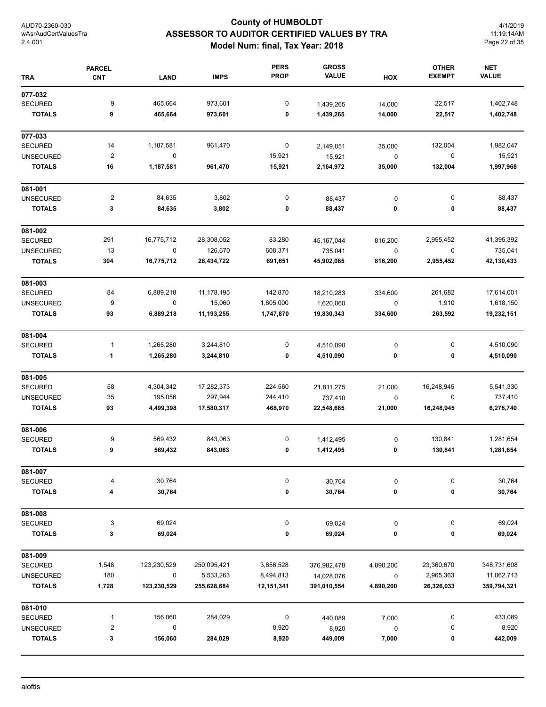# **County of HUMBOLDT ASSESSOR TO AUDITOR CERTIFIED VALUES BY TRA Model Num: final, Tax Year: 2018**

4/1/2019 11:19:14AM Page 22 of 35

| <b>TRA</b>       | <b>PARCEL</b><br><b>CNT</b> | <b>LAND</b> | <b>IMPS</b> | <b>PERS</b><br><b>PROP</b> | <b>GROSS</b><br><b>VALUE</b> | HOX       | <b>OTHER</b><br><b>EXEMPT</b> | <b>NET</b><br><b>VALUE</b> |
|------------------|-----------------------------|-------------|-------------|----------------------------|------------------------------|-----------|-------------------------------|----------------------------|
| 077-032          |                             |             |             |                            |                              |           |                               |                            |
| <b>SECURED</b>   | 9                           | 465,664     | 973,601     | 0                          | 1,439,265                    | 14,000    | 22,517                        | 1,402,748                  |
| <b>TOTALS</b>    | 9                           | 465,664     | 973,601     | 0                          | 1,439,265                    | 14,000    | 22,517                        | 1,402,748                  |
| 077-033          |                             |             |             |                            |                              |           |                               |                            |
| <b>SECURED</b>   | 14                          | 1,187,581   | 961,470     | $\boldsymbol{0}$           | 2,149,051                    | 35,000    | 132,004                       | 1,982,047                  |
| <b>UNSECURED</b> | $\overline{\mathbf{c}}$     | $\pmb{0}$   |             | 15,921                     | 15,921                       | $\pmb{0}$ | $\mathbf 0$                   | 15,921                     |
| <b>TOTALS</b>    | 16                          | 1,187,581   | 961,470     | 15,921                     | 2,164,972                    | 35,000    | 132,004                       | 1,997,968                  |
| 081-001          |                             |             |             |                            |                              |           |                               |                            |
| <b>UNSECURED</b> | $\overline{\mathbf{c}}$     | 84,635      | 3,802       | 0                          | 88,437                       | 0         | $\pmb{0}$                     | 88,437                     |
| <b>TOTALS</b>    | 3                           | 84,635      | 3,802       | 0                          | 88,437                       | 0         | 0                             | 88,437                     |
| 081-002          |                             |             |             |                            |                              |           |                               |                            |
| <b>SECURED</b>   | 291                         | 16,775,712  | 28,308,052  | 83,280                     | 45, 167, 044                 | 816,200   | 2,955,452                     | 41,395,392                 |
| <b>UNSECURED</b> | 13                          | $\pmb{0}$   | 126,670     | 608,371                    | 735,041                      | $\pmb{0}$ | 0                             | 735,041                    |
| <b>TOTALS</b>    | 304                         | 16,775,712  | 28,434,722  | 691,651                    | 45,902,085                   | 816,200   | 2,955,452                     | 42,130,433                 |
| 081-003          |                             |             |             |                            |                              |           |                               |                            |
| <b>SECURED</b>   | 84                          | 6,889,218   | 11,178,195  | 142,870                    | 18,210,283                   | 334,600   | 261,682                       | 17,614,001                 |
| <b>UNSECURED</b> | 9                           | 0           | 15,060      | 1,605,000                  | 1,620,060                    | $\pmb{0}$ | 1,910                         | 1,618,150                  |
| <b>TOTALS</b>    | 93                          | 6,889,218   | 11,193,255  | 1,747,870                  | 19,830,343                   | 334,600   | 263,592                       | 19,232,151                 |
| 081-004          |                             |             |             |                            |                              |           |                               |                            |
| <b>SECURED</b>   | 1                           | 1,265,280   | 3,244,810   | 0                          | 4,510,090                    | 0         | 0                             | 4,510,090                  |
| <b>TOTALS</b>    | 1                           | 1,265,280   | 3,244,810   | 0                          | 4,510,090                    | 0         | 0                             | 4,510,090                  |
| 081-005          |                             |             |             |                            |                              |           |                               |                            |
| <b>SECURED</b>   | 58                          | 4,304,342   | 17,282,373  | 224,560                    | 21,811,275                   | 21,000    | 16,248,945                    | 5,541,330                  |
| <b>UNSECURED</b> | 35                          | 195,056     | 297,944     | 244,410                    | 737,410                      | 0         | 0                             | 737,410                    |
| <b>TOTALS</b>    | 93                          | 4,499,398   | 17,580,317  | 468,970                    | 22,548,685                   | 21,000    | 16,248,945                    | 6,278,740                  |
| 081-006          |                             |             |             |                            |                              |           |                               |                            |
| <b>SECURED</b>   | 9                           | 569,432     | 843,063     | 0                          | 1,412,495                    | $\pmb{0}$ | 130,841                       | 1,281,654                  |
| <b>TOTALS</b>    | 9                           | 569,432     | 843,063     | 0                          | 1,412,495                    | 0         | 130,841                       | 1,281,654                  |
| 081-007          |                             |             |             |                            |                              |           |                               |                            |
| <b>SECURED</b>   | 4                           | 30,764      |             | 0                          | 30,764                       | $\pmb{0}$ | 0                             | 30,764                     |
| <b>TOTALS</b>    | 4                           | 30,764      |             | 0                          | 30,764                       | 0         | 0                             | 30,764                     |
| 081-008          |                             |             |             |                            |                              |           |                               |                            |
| <b>SECURED</b>   | 3                           | 69,024      |             | 0                          | 69,024                       | $\pmb{0}$ | $\pmb{0}$                     | 69,024                     |
| <b>TOTALS</b>    | 3                           | 69,024      |             | 0                          | 69,024                       | 0         | 0                             | 69,024                     |
| 081-009          |                             |             |             |                            |                              |           |                               |                            |
| <b>SECURED</b>   | 1,548                       | 123,230,529 | 250,095,421 | 3,656,528                  | 376,982,478                  | 4,890,200 | 23,360,670                    | 348,731,608                |
| <b>UNSECURED</b> | 180                         | $\pmb{0}$   | 5,533,263   | 8,494,813                  | 14,028,076                   | 0         | 2,965,363                     | 11,062,713                 |
| <b>TOTALS</b>    | 1,728                       | 123,230,529 | 255,628,684 | 12,151,341                 | 391,010,554                  | 4,890,200 | 26,326,033                    | 359,794,321                |
| 081-010          |                             |             |             |                            |                              |           |                               |                            |
| <b>SECURED</b>   | 1                           | 156,060     | 284,029     | $\boldsymbol{0}$           | 440,089                      | 7,000     | 0                             | 433,089                    |
| <b>UNSECURED</b> | 2                           | 0           |             | 8,920                      | 8,920                        | 0         | 0                             | 8,920                      |
| <b>TOTALS</b>    | 3                           | 156,060     | 284,029     | 8,920                      | 449,009                      | 7,000     | 0                             | 442,009                    |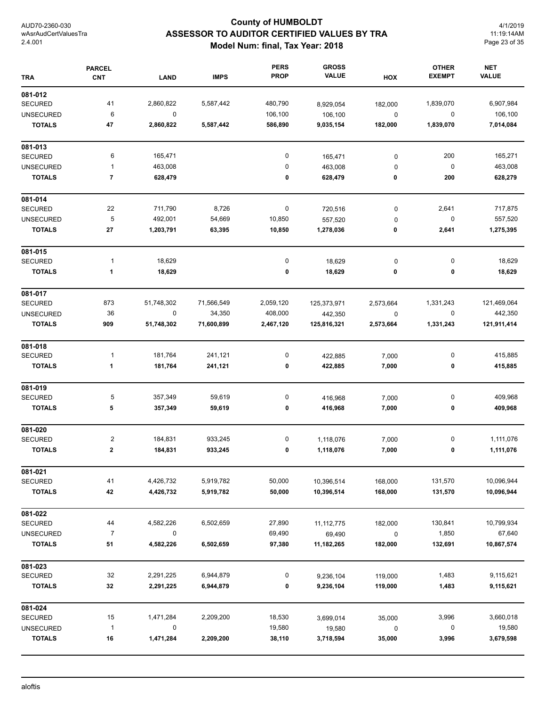# **County of HUMBOLDT ASSESSOR TO AUDITOR CERTIFIED VALUES BY TRA Model Num: final, Tax Year: 2018**

4/1/2019 11:19:14AM Page 23 of 35

|                  | <b>PARCEL</b>           |             |             | <b>PERS</b> | <b>GROSS</b> |           | <b>OTHER</b>  | <b>NET</b>   |
|------------------|-------------------------|-------------|-------------|-------------|--------------|-----------|---------------|--------------|
| <b>TRA</b>       | <b>CNT</b>              | <b>LAND</b> | <b>IMPS</b> | <b>PROP</b> | <b>VALUE</b> | HOX       | <b>EXEMPT</b> | <b>VALUE</b> |
| 081-012          |                         |             |             |             |              |           |               |              |
| <b>SECURED</b>   | 41                      | 2,860,822   | 5,587,442   | 480,790     | 8,929,054    | 182,000   | 1,839,070     | 6,907,984    |
| <b>UNSECURED</b> | 6                       | $\pmb{0}$   |             | 106,100     | 106,100      | $\pmb{0}$ | $\pmb{0}$     | 106,100      |
| <b>TOTALS</b>    | 47                      | 2,860,822   | 5,587,442   | 586,890     | 9,035,154    | 182,000   | 1,839,070     | 7,014,084    |
| 081-013          |                         |             |             |             |              |           |               |              |
| SECURED          | 6                       | 165,471     |             | 0           | 165,471      | $\pmb{0}$ | 200           | 165,271      |
| <b>UNSECURED</b> | $\mathbf{1}$            | 463,008     |             | 0           | 463,008      | 0         | $\pmb{0}$     | 463,008      |
| <b>TOTALS</b>    | $\overline{7}$          | 628,479     |             | 0           | 628,479      | 0         | 200           | 628,279      |
| 081-014          |                         |             |             |             |              |           |               |              |
| <b>SECURED</b>   | 22                      | 711,790     | 8,726       | 0           | 720,516      | 0         | 2,641         | 717,875      |
| <b>UNSECURED</b> | 5                       | 492,001     | 54,669      | 10,850      | 557,520      | 0         | 0             | 557,520      |
| <b>TOTALS</b>    | 27                      | 1,203,791   | 63,395      | 10,850      | 1,278,036    | 0         | 2,641         | 1,275,395    |
| 081-015          |                         |             |             |             |              |           |               |              |
| SECURED          | $\mathbf{1}$            | 18,629      |             | 0           | 18,629       | $\pmb{0}$ | 0             | 18,629       |
| <b>TOTALS</b>    | 1                       | 18,629      |             | 0           | 18,629       | 0         | 0             | 18,629       |
| 081-017          |                         |             |             |             |              |           |               |              |
| <b>SECURED</b>   | 873                     | 51,748,302  | 71,566,549  | 2,059,120   | 125,373,971  | 2,573,664 | 1,331,243     | 121,469,064  |
| <b>UNSECURED</b> | 36                      | 0           | 34,350      | 408,000     | 442,350      | 0         | 0             | 442,350      |
| <b>TOTALS</b>    | 909                     | 51,748,302  | 71,600,899  | 2,467,120   | 125,816,321  | 2,573,664 | 1,331,243     | 121,911,414  |
| 081-018          |                         |             |             |             |              |           |               |              |
| <b>SECURED</b>   | 1                       | 181,764     | 241,121     | 0           | 422,885      | 7,000     | 0             | 415,885      |
| <b>TOTALS</b>    | 1                       | 181,764     | 241,121     | 0           | 422,885      | 7,000     | 0             | 415,885      |
| 081-019          |                         |             |             |             |              |           |               |              |
| <b>SECURED</b>   | 5                       | 357,349     | 59,619      | 0           | 416,968      | 7,000     | 0             | 409,968      |
| <b>TOTALS</b>    | 5                       | 357,349     | 59,619      | 0           | 416,968      | 7,000     | 0             | 409,968      |
| 081-020          |                         |             |             |             |              |           |               |              |
| SECURED          | $\overline{\mathbf{c}}$ | 184,831     | 933,245     | 0           | 1,118,076    | 7,000     | 0             | 1,111,076    |
| <b>TOTALS</b>    | $\mathbf 2$             | 184,831     | 933,245     | 0           | 1,118,076    | 7,000     | 0             | 1,111,076    |
| 081-021          |                         |             |             |             |              |           |               |              |
| <b>SECURED</b>   | 41                      | 4,426,732   | 5,919,782   | 50,000      | 10,396,514   | 168,000   | 131,570       | 10,096,944   |
| <b>TOTALS</b>    | 42                      | 4,426,732   | 5,919,782   | 50,000      | 10,396,514   | 168,000   | 131,570       | 10,096,944   |
| 081-022          |                         |             |             |             |              |           |               |              |
| <b>SECURED</b>   | 44                      | 4,582,226   | 6,502,659   | 27,890      | 11, 112, 775 | 182,000   | 130,841       | 10,799,934   |
| <b>UNSECURED</b> | $\overline{7}$          | $\pmb{0}$   |             | 69,490      | 69,490       | $\pmb{0}$ | 1,850         | 67,640       |
| <b>TOTALS</b>    | 51                      | 4,582,226   | 6,502,659   | 97,380      | 11,182,265   | 182,000   | 132,691       | 10,867,574   |
| 081-023          |                         |             |             |             |              |           |               |              |
| <b>SECURED</b>   | 32                      | 2,291,225   | 6,944,879   | 0           | 9,236,104    | 119,000   | 1,483         | 9,115,621    |
| <b>TOTALS</b>    | 32                      | 2,291,225   | 6,944,879   | 0           | 9,236,104    | 119,000   | 1,483         | 9,115,621    |
| 081-024          |                         |             |             |             |              |           |               |              |
| <b>SECURED</b>   | 15                      | 1,471,284   | 2,209,200   | 18,530      | 3,699,014    | 35,000    | 3,996         | 3,660,018    |
| <b>UNSECURED</b> | $\mathbf{1}$            | 0           |             | 19,580      | 19,580       | $\pmb{0}$ | 0             | 19,580       |
| <b>TOTALS</b>    | 16                      | 1,471,284   | 2,209,200   | 38,110      | 3,718,594    | 35,000    | 3,996         | 3,679,598    |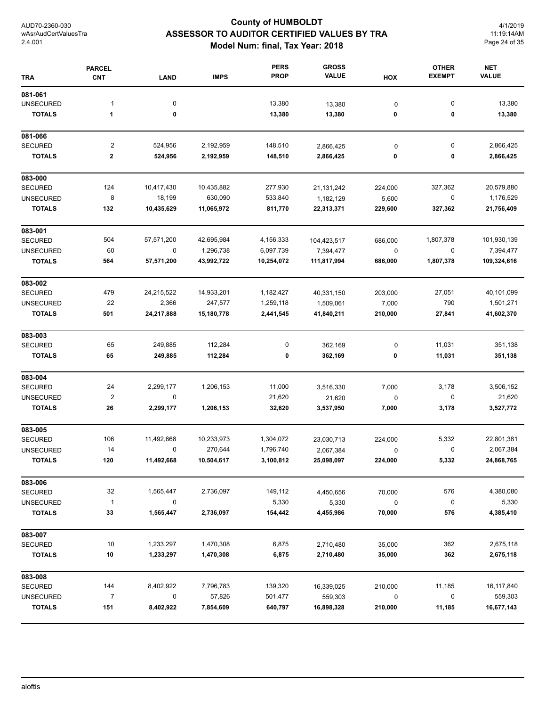# **County of HUMBOLDT ASSESSOR TO AUDITOR CERTIFIED VALUES BY TRA Model Num: final, Tax Year: 2018**

4/1/2019 11:19:14AM Page 24 of 35

| <b>TRA</b>       | <b>PARCEL</b><br><b>CNT</b> | <b>LAND</b> | <b>IMPS</b> | <b>PERS</b><br><b>PROP</b> | <b>GROSS</b><br><b>VALUE</b> | HOX       | <b>OTHER</b><br><b>EXEMPT</b> | <b>NET</b><br><b>VALUE</b> |
|------------------|-----------------------------|-------------|-------------|----------------------------|------------------------------|-----------|-------------------------------|----------------------------|
| 081-061          |                             |             |             |                            |                              |           |                               |                            |
| <b>UNSECURED</b> | $\mathbf{1}$                | 0           |             | 13,380                     | 13,380                       | 0         | 0                             | 13,380                     |
| <b>TOTALS</b>    | 1                           | 0           |             | 13,380                     | 13,380                       | 0         | 0                             | 13,380                     |
| 081-066          |                             |             |             |                            |                              |           |                               |                            |
| <b>SECURED</b>   | $\overline{\mathbf{c}}$     | 524,956     | 2,192,959   | 148,510                    | 2,866,425                    | $\pmb{0}$ | 0                             | 2,866,425                  |
| <b>TOTALS</b>    | 2                           | 524,956     | 2,192,959   | 148,510                    | 2,866,425                    | 0         | 0                             | 2,866,425                  |
| 083-000          |                             |             |             |                            |                              |           |                               |                            |
| <b>SECURED</b>   | 124                         | 10,417,430  | 10,435,882  | 277,930                    | 21, 131, 242                 | 224,000   | 327,362                       | 20,579,880                 |
| <b>UNSECURED</b> | 8                           | 18,199      | 630,090     | 533,840                    | 1,182,129                    | 5,600     | $\pmb{0}$                     | 1,176,529                  |
| <b>TOTALS</b>    | 132                         | 10,435,629  | 11,065,972  | 811,770                    | 22,313,371                   | 229,600   | 327,362                       | 21,756,409                 |
| 083-001          |                             |             |             |                            |                              |           |                               |                            |
| <b>SECURED</b>   | 504                         | 57,571,200  | 42,695,984  | 4,156,333                  | 104,423,517                  | 686,000   | 1,807,378                     | 101,930,139                |
| <b>UNSECURED</b> | 60                          | 0           | 1,296,738   | 6,097,739                  | 7,394,477                    | $\pmb{0}$ | 0                             | 7,394,477                  |
| <b>TOTALS</b>    | 564                         | 57,571,200  | 43,992,722  | 10,254,072                 | 111,817,994                  | 686,000   | 1,807,378                     | 109,324,616                |
| 083-002          |                             |             |             |                            |                              |           |                               |                            |
| <b>SECURED</b>   | 479                         | 24,215,522  | 14,933,201  | 1,182,427                  | 40,331,150                   | 203,000   | 27,051                        | 40,101,099                 |
| <b>UNSECURED</b> | 22                          | 2,366       | 247,577     | 1,259,118                  | 1,509,061                    | 7,000     | 790                           | 1,501,271                  |
| <b>TOTALS</b>    | 501                         | 24,217,888  | 15,180,778  | 2,441,545                  | 41,840,211                   | 210,000   | 27,841                        | 41,602,370                 |
| 083-003          |                             |             |             |                            |                              |           |                               |                            |
| <b>SECURED</b>   | 65                          | 249,885     | 112,284     | 0                          | 362,169                      | 0         | 11,031                        | 351,138                    |
| <b>TOTALS</b>    | 65                          | 249,885     | 112,284     | 0                          | 362,169                      | 0         | 11,031                        | 351,138                    |
| 083-004          |                             |             |             |                            |                              |           |                               |                            |
| <b>SECURED</b>   | 24                          | 2,299,177   | 1,206,153   | 11,000                     | 3,516,330                    | 7,000     | 3,178                         | 3,506,152                  |
| <b>UNSECURED</b> | $\boldsymbol{2}$            | 0           |             | 21,620                     | 21,620                       | 0         | 0                             | 21,620                     |
| <b>TOTALS</b>    | 26                          | 2,299,177   | 1,206,153   | 32,620                     | 3,537,950                    | 7,000     | 3,178                         | 3,527,772                  |
| 083-005          |                             |             |             |                            |                              |           |                               |                            |
| <b>SECURED</b>   | 106                         | 11,492,668  | 10,233,973  | 1,304,072                  | 23,030,713                   | 224,000   | 5,332                         | 22,801,381                 |
| <b>UNSECURED</b> | 14                          | 0           | 270,644     | 1,796,740                  | 2,067,384                    | $\pmb{0}$ | 0                             | 2,067,384                  |
| TOTALS           | 120                         | 11,492,668  | 10,504,617  | 3,100,812                  | 25,098,097                   | 224,000   | 5,332                         | 24,868,765                 |
| 083-006          |                             |             |             |                            |                              |           |                               |                            |
| <b>SECURED</b>   | 32                          | 1,565,447   | 2,736,097   | 149,112                    | 4,450,656                    | 70,000    | 576                           | 4,380,080                  |
| <b>UNSECURED</b> | $\mathbf{1}$                | 0           |             | 5,330                      | 5,330                        | 0         | 0                             | 5,330                      |
| <b>TOTALS</b>    | 33                          | 1,565,447   | 2,736,097   | 154,442                    | 4,455,986                    | 70,000    | 576                           | 4,385,410                  |
| 083-007          |                             |             |             |                            |                              |           |                               |                            |
| <b>SECURED</b>   | 10                          | 1,233,297   | 1,470,308   | 6,875                      | 2,710,480                    | 35,000    | 362                           | 2,675,118                  |
| <b>TOTALS</b>    | 10                          | 1,233,297   | 1,470,308   | 6,875                      | 2,710,480                    | 35,000    | 362                           | 2,675,118                  |
| 083-008          |                             |             |             |                            |                              |           |                               |                            |
| <b>SECURED</b>   | 144                         | 8,402,922   | 7,796,783   | 139,320                    | 16,339,025                   | 210,000   | 11,185                        | 16,117,840                 |
| <b>UNSECURED</b> | $\overline{7}$              | 0           | 57,826      | 501,477                    | 559,303                      | 0         | 0                             | 559,303                    |
| <b>TOTALS</b>    | 151                         | 8,402,922   | 7,854,609   | 640,797                    | 16,898,328                   | 210,000   | 11,185                        | 16,677,143                 |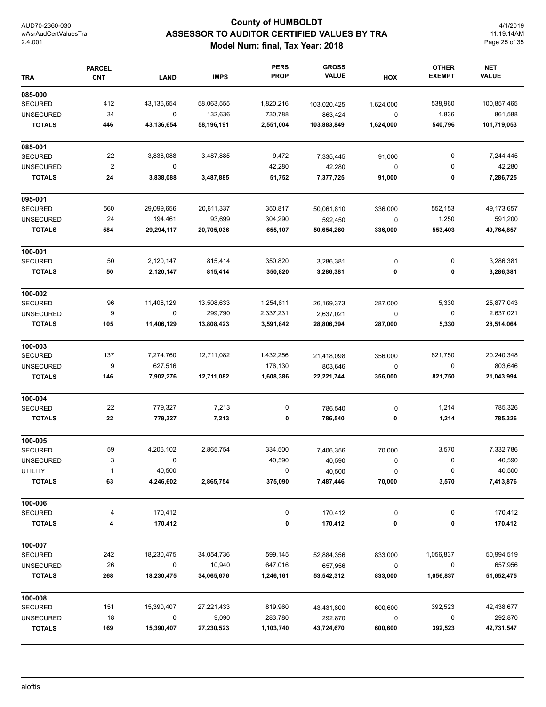# **County of HUMBOLDT ASSESSOR TO AUDITOR CERTIFIED VALUES BY TRA Model Num: final, Tax Year: 2018**

4/1/2019 11:19:14AM Page 25 of 35

| <b>TRA</b>       | <b>PARCEL</b><br><b>CNT</b> | <b>LAND</b> | <b>IMPS</b> | <b>PERS</b><br><b>PROP</b> | <b>GROSS</b><br><b>VALUE</b> | HOX         | <b>OTHER</b><br><b>EXEMPT</b> | <b>NET</b><br><b>VALUE</b> |
|------------------|-----------------------------|-------------|-------------|----------------------------|------------------------------|-------------|-------------------------------|----------------------------|
| 085-000          |                             |             |             |                            |                              |             |                               |                            |
| <b>SECURED</b>   | 412                         | 43,136,654  | 58,063,555  | 1,820,216                  | 103,020,425                  | 1,624,000   | 538,960                       | 100,857,465                |
| <b>UNSECURED</b> | 34                          | 0           | 132,636     | 730,788                    | 863,424                      | 0           | 1,836                         | 861,588                    |
| <b>TOTALS</b>    | 446                         | 43,136,654  | 58,196,191  | 2,551,004                  | 103,883,849                  | 1,624,000   | 540,796                       | 101,719,053                |
| 085-001          |                             |             |             |                            |                              |             |                               |                            |
| <b>SECURED</b>   | 22                          | 3,838,088   | 3,487,885   | 9,472                      | 7,335,445                    | 91,000      | 0                             | 7,244,445                  |
| <b>UNSECURED</b> | $\overline{\mathbf{c}}$     | 0           |             | 42,280                     | 42,280                       | $\mathbf 0$ | 0                             | 42,280                     |
| <b>TOTALS</b>    | 24                          | 3,838,088   | 3,487,885   | 51,752                     | 7,377,725                    | 91,000      | 0                             | 7,286,725                  |
| 095-001          |                             |             |             |                            |                              |             |                               |                            |
| <b>SECURED</b>   | 560                         | 29,099,656  | 20,611,337  | 350,817                    | 50,061,810                   | 336,000     | 552,153                       | 49,173,657                 |
| <b>UNSECURED</b> | 24                          | 194,461     | 93,699      | 304,290                    | 592,450                      | $\mathbf 0$ | 1,250                         | 591,200                    |
| <b>TOTALS</b>    | 584                         | 29,294,117  | 20,705,036  | 655,107                    | 50,654,260                   | 336,000     | 553,403                       | 49,764,857                 |
| 100-001          |                             |             |             |                            |                              |             |                               |                            |
| <b>SECURED</b>   | 50                          | 2,120,147   | 815,414     | 350,820                    | 3,286,381                    | 0           | 0                             | 3,286,381                  |
| <b>TOTALS</b>    | 50                          | 2,120,147   | 815,414     | 350,820                    | 3,286,381                    | 0           | 0                             | 3,286,381                  |
| 100-002          |                             |             |             |                            |                              |             |                               |                            |
| <b>SECURED</b>   | 96                          | 11,406,129  | 13,508,633  | 1,254,611                  | 26,169,373                   | 287,000     | 5,330                         | 25,877,043                 |
| <b>UNSECURED</b> | 9                           | 0           | 299,790     | 2,337,231                  | 2,637,021                    | 0           | 0                             | 2,637,021                  |
| <b>TOTALS</b>    | 105                         | 11,406,129  | 13,808,423  | 3,591,842                  | 28,806,394                   | 287,000     | 5,330                         | 28,514,064                 |
| 100-003          |                             |             |             |                            |                              |             |                               |                            |
| <b>SECURED</b>   | 137                         | 7,274,760   | 12,711,082  | 1,432,256                  | 21,418,098                   | 356,000     | 821,750                       | 20,240,348                 |
| <b>UNSECURED</b> | 9                           | 627,516     |             | 176,130                    | 803,646                      | 0           | 0                             | 803,646                    |
| <b>TOTALS</b>    | 146                         | 7,902,276   | 12,711,082  | 1,608,386                  | 22,221,744                   | 356,000     | 821,750                       | 21,043,994                 |
| 100-004          |                             |             |             |                            |                              |             |                               |                            |
| <b>SECURED</b>   | 22                          | 779,327     | 7,213       | 0                          | 786,540                      | 0           | 1,214                         | 785,326                    |
| <b>TOTALS</b>    | 22                          | 779,327     | 7,213       | 0                          | 786,540                      | 0           | 1,214                         | 785,326                    |
| 100-005          |                             |             |             |                            |                              |             |                               |                            |
| <b>SECURED</b>   | 59                          | 4,206,102   | 2,865,754   | 334,500                    | 7,406,356                    | 70,000      | 3,570                         | 7,332,786                  |
| <b>UNSECURED</b> | 3                           |             |             | 40,590                     | 40,590                       | 0           | $\Omega$                      | 40,590                     |
| <b>UTILITY</b>   | 1                           | 40,500      |             | 0                          | 40,500                       | 0           | 0                             | 40,500                     |
| <b>TOTALS</b>    | 63                          | 4,246,602   | 2,865,754   | 375,090                    | 7,487,446                    | 70,000      | 3,570                         | 7,413,876                  |
| 100-006          |                             |             |             |                            |                              |             |                               |                            |
| <b>SECURED</b>   | 4                           | 170,412     |             | 0                          | 170,412                      | 0           | 0                             | 170,412                    |
| <b>TOTALS</b>    | 4                           | 170,412     |             | 0                          | 170,412                      | 0           | 0                             | 170,412                    |
| 100-007          |                             |             |             |                            |                              |             |                               |                            |
| SECURED          | 242                         | 18,230,475  | 34,054,736  | 599,145                    | 52,884,356                   | 833,000     | 1,056,837                     | 50,994,519                 |
| <b>UNSECURED</b> | 26                          | 0           | 10,940      | 647,016                    | 657,956                      | 0           | 0                             | 657,956                    |
| <b>TOTALS</b>    | 268                         | 18,230,475  | 34,065,676  | 1,246,161                  | 53,542,312                   | 833,000     | 1,056,837                     | 51,652,475                 |
| 100-008          |                             |             |             |                            |                              |             |                               |                            |
| SECURED          | 151                         | 15,390,407  | 27,221,433  | 819,960                    | 43,431,800                   | 600,600     | 392,523                       | 42,438,677                 |
| <b>UNSECURED</b> | 18                          | 0           | 9,090       | 283,780                    | 292,870                      | $\mathbf 0$ | 0                             | 292,870                    |
| <b>TOTALS</b>    | 169                         | 15,390,407  | 27,230,523  | 1,103,740                  | 43,724,670                   | 600,600     | 392,523                       | 42,731,547                 |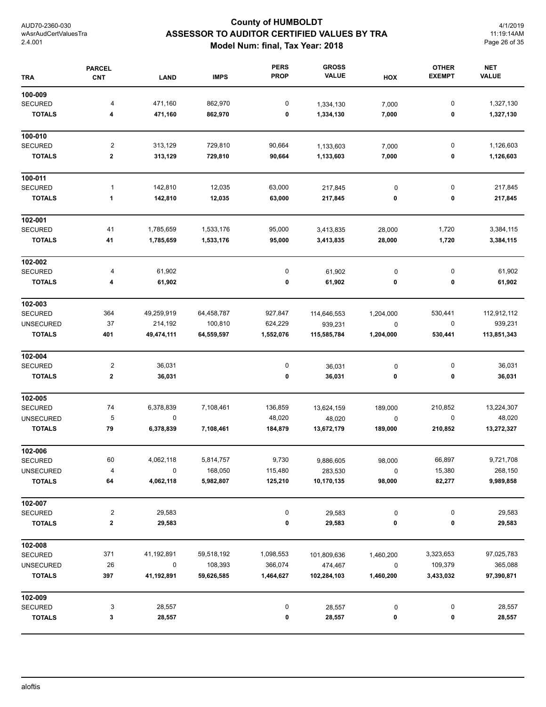# **County of HUMBOLDT ASSESSOR TO AUDITOR CERTIFIED VALUES BY TRA Model Num: final, Tax Year: 2018**

4/1/2019 11:19:14AM Page 26 of 35

| <b>TRA</b>       | <b>PARCEL</b><br><b>CNT</b> | LAND        | <b>IMPS</b> | <b>PERS</b><br><b>PROP</b> | <b>GROSS</b><br><b>VALUE</b> | HOX       | <b>OTHER</b><br><b>EXEMPT</b> | <b>NET</b><br><b>VALUE</b> |
|------------------|-----------------------------|-------------|-------------|----------------------------|------------------------------|-----------|-------------------------------|----------------------------|
| 100-009          |                             |             |             |                            |                              |           |                               |                            |
| <b>SECURED</b>   | 4                           | 471,160     | 862,970     | 0                          | 1,334,130                    | 7,000     | $\pmb{0}$                     | 1,327,130                  |
| <b>TOTALS</b>    | 4                           | 471,160     | 862,970     | 0                          | 1,334,130                    | 7,000     | 0                             | 1,327,130                  |
| 100-010          |                             |             |             |                            |                              |           |                               |                            |
| <b>SECURED</b>   | 2                           | 313,129     | 729,810     | 90,664                     | 1,133,603                    | 7,000     | $\mathbf 0$                   | 1,126,603                  |
| <b>TOTALS</b>    | $\mathbf 2$                 | 313,129     | 729,810     | 90,664                     | 1,133,603                    | 7,000     | 0                             | 1,126,603                  |
| 100-011          |                             |             |             |                            |                              |           |                               |                            |
| <b>SECURED</b>   | 1                           | 142,810     | 12,035      | 63,000                     | 217,845                      | 0         | $\pmb{0}$                     | 217,845                    |
| <b>TOTALS</b>    | $\mathbf{1}$                | 142,810     | 12,035      | 63,000                     | 217,845                      | 0         | 0                             | 217,845                    |
| 102-001          |                             |             |             |                            |                              |           |                               |                            |
| SECURED          | 41                          | 1,785,659   | 1,533,176   | 95,000                     | 3,413,835                    | 28,000    | 1,720                         | 3,384,115                  |
| <b>TOTALS</b>    | 41                          | 1,785,659   | 1,533,176   | 95,000                     | 3,413,835                    | 28,000    | 1,720                         | 3,384,115                  |
| 102-002          |                             |             |             |                            |                              |           |                               |                            |
| SECURED          | 4                           | 61,902      |             | 0                          | 61,902                       | $\pmb{0}$ | 0                             | 61,902                     |
| <b>TOTALS</b>    | 4                           | 61,902      |             | 0                          | 61,902                       | 0         | 0                             | 61,902                     |
| 102-003          |                             |             |             |                            |                              |           |                               |                            |
| SECURED          | 364                         | 49,259,919  | 64,458,787  | 927,847                    | 114,646,553                  | 1,204,000 | 530,441                       | 112,912,112                |
| <b>UNSECURED</b> | 37                          | 214,192     | 100,810     | 624,229                    | 939,231                      | $\pmb{0}$ | 0                             | 939,231                    |
| <b>TOTALS</b>    | 401                         | 49,474,111  | 64,559,597  | 1,552,076                  | 115,585,784                  | 1,204,000 | 530,441                       | 113,851,343                |
| 102-004          |                             |             |             |                            |                              |           |                               |                            |
| <b>SECURED</b>   | 2                           | 36,031      |             | 0                          | 36,031                       | 0         | 0                             | 36,031                     |
| <b>TOTALS</b>    | $\bf{2}$                    | 36,031      |             | 0                          | 36,031                       | 0         | 0                             | 36,031                     |
| 102-005          |                             |             |             |                            |                              |           |                               |                            |
| <b>SECURED</b>   | 74                          | 6,378,839   | 7,108,461   | 136,859                    | 13,624,159                   | 189,000   | 210,852                       | 13,224,307                 |
| <b>UNSECURED</b> | 5                           | $\mathbf 0$ |             | 48,020                     | 48,020                       | 0         | $\mathbf 0$                   | 48,020                     |
| <b>TOTALS</b>    | 79                          | 6,378,839   | 7,108,461   | 184,879                    | 13,672,179                   | 189,000   | 210,852                       | 13,272,327                 |
| 102-006          |                             |             |             |                            |                              |           |                               |                            |
| <b>SECURED</b>   | 60                          | 4,062,118   | 5,814,757   | 9,730                      | 9,886,605                    | 98,000    | 66,897                        | 9,721,708                  |
| <b>UNSECURED</b> | 4                           | 0           | 168,050     | 115,480                    | 283,530                      | 0         | 15,380                        | 268,150                    |
| <b>TOTALS</b>    | 64                          | 4,062,118   | 5,982,807   | 125,210                    | 10,170,135                   | 98,000    | 82,277                        | 9,989,858                  |
| 102-007          |                             |             |             |                            |                              |           |                               |                            |
| SECURED          | 2                           | 29,583      |             | 0                          | 29,583                       | 0         | 0                             | 29,583                     |
| <b>TOTALS</b>    | $\mathbf 2$                 | 29,583      |             | 0                          | 29,583                       | 0         | 0                             | 29,583                     |
| 102-008          |                             |             |             |                            |                              |           |                               |                            |
| <b>SECURED</b>   | 371                         | 41,192,891  | 59,518,192  | 1,098,553                  | 101,809,636                  | 1,460,200 | 3,323,653                     | 97,025,783                 |
| <b>UNSECURED</b> | 26                          | 0           | 108,393     | 366,074                    | 474,467                      | $\pmb{0}$ | 109,379                       | 365,088                    |
| <b>TOTALS</b>    | 397                         | 41,192,891  | 59,626,585  | 1,464,627                  | 102,284,103                  | 1,460,200 | 3,433,032                     | 97,390,871                 |
| 102-009          |                             |             |             |                            |                              |           |                               |                            |
| <b>SECURED</b>   | 3                           | 28,557      |             | 0                          | 28,557                       | 0         | 0                             | 28,557                     |
| <b>TOTALS</b>    | 3                           | 28,557      |             | 0                          | 28,557                       | 0         | 0                             | 28,557                     |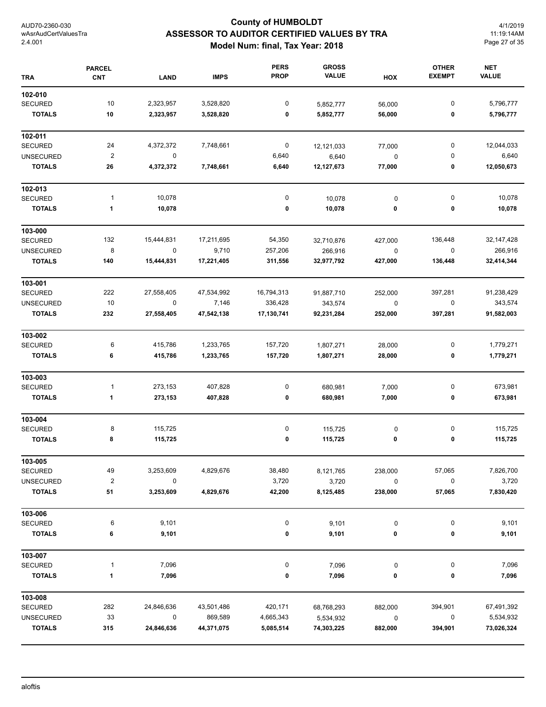# **County of HUMBOLDT ASSESSOR TO AUDITOR CERTIFIED VALUES BY TRA Model Num: final, Tax Year: 2018**

4/1/2019 11:19:14AM Page 27 of 35

| <b>TRA</b>       | <b>PARCEL</b><br><b>CNT</b> | <b>LAND</b> | <b>IMPS</b> | <b>PERS</b><br><b>PROP</b> | <b>GROSS</b><br><b>VALUE</b> | HOX       | <b>OTHER</b><br><b>EXEMPT</b> | <b>NET</b><br><b>VALUE</b> |
|------------------|-----------------------------|-------------|-------------|----------------------------|------------------------------|-----------|-------------------------------|----------------------------|
| 102-010          |                             |             |             |                            |                              |           |                               |                            |
| <b>SECURED</b>   | 10                          | 2,323,957   | 3,528,820   | 0                          | 5,852,777                    | 56,000    | $\pmb{0}$                     | 5,796,777                  |
| <b>TOTALS</b>    | 10                          | 2,323,957   | 3,528,820   | 0                          | 5,852,777                    | 56,000    | 0                             | 5,796,777                  |
| 102-011          |                             |             |             |                            |                              |           |                               |                            |
| <b>SECURED</b>   | 24                          | 4,372,372   | 7,748,661   | $\boldsymbol{0}$           | 12,121,033                   | 77,000    | 0                             | 12,044,033                 |
| <b>UNSECURED</b> | $\overline{\mathbf{c}}$     | 0           |             | 6,640                      | 6,640                        | 0         | 0                             | 6,640                      |
| <b>TOTALS</b>    | ${\bf 26}$                  | 4,372,372   | 7,748,661   | 6,640                      | 12,127,673                   | 77,000    | 0                             | 12,050,673                 |
| 102-013          |                             |             |             |                            |                              |           |                               |                            |
| <b>SECURED</b>   | 1                           | 10,078      |             | 0                          | 10,078                       | $\pmb{0}$ | 0                             | 10,078                     |
| <b>TOTALS</b>    | 1                           | 10,078      |             | 0                          | 10,078                       | 0         | 0                             | 10,078                     |
| 103-000          |                             |             |             |                            |                              |           |                               |                            |
| <b>SECURED</b>   | 132                         | 15,444,831  | 17,211,695  | 54,350                     | 32,710,876                   | 427,000   | 136,448                       | 32, 147, 428               |
| <b>UNSECURED</b> | 8                           | $\pmb{0}$   | 9,710       | 257,206                    | 266,916                      | $\pmb{0}$ | $\pmb{0}$                     | 266,916                    |
| <b>TOTALS</b>    | 140                         | 15,444,831  | 17,221,405  | 311,556                    | 32,977,792                   | 427,000   | 136,448                       | 32,414,344                 |
| 103-001          |                             |             |             |                            |                              |           |                               |                            |
| <b>SECURED</b>   | 222                         | 27,558,405  | 47,534,992  | 16,794,313                 | 91,887,710                   | 252,000   | 397,281                       | 91,238,429                 |
| <b>UNSECURED</b> | $10$                        | $\pmb{0}$   | 7,146       | 336,428                    | 343,574                      | $\pmb{0}$ | $\pmb{0}$                     | 343,574                    |
| <b>TOTALS</b>    | 232                         | 27,558,405  | 47,542,138  | 17,130,741                 | 92,231,284                   | 252,000   | 397,281                       | 91,582,003                 |
| 103-002          |                             |             |             |                            |                              |           |                               |                            |
| <b>SECURED</b>   | 6                           | 415,786     | 1,233,765   | 157,720                    | 1,807,271                    | 28,000    | 0                             | 1,779,271                  |
| <b>TOTALS</b>    | 6                           | 415,786     | 1,233,765   | 157,720                    | 1,807,271                    | 28,000    | 0                             | 1,779,271                  |
| 103-003          |                             |             |             |                            |                              |           |                               |                            |
| <b>SECURED</b>   | 1                           | 273,153     | 407,828     | 0                          | 680,981                      | 7,000     | 0                             | 673,981                    |
| <b>TOTALS</b>    | 1                           | 273,153     | 407,828     | 0                          | 680,981                      | 7,000     | 0                             | 673,981                    |
| 103-004          |                             |             |             |                            |                              |           |                               |                            |
| <b>SECURED</b>   | 8                           | 115,725     |             | 0                          | 115,725                      | 0         | 0                             | 115,725                    |
| <b>TOTALS</b>    | 8                           | 115,725     |             | 0                          | 115,725                      | 0         | 0                             | 115,725                    |
| 103-005          |                             |             |             |                            |                              |           |                               |                            |
| <b>SECURED</b>   | 49                          | 3,253,609   | 4,829,676   | 38,480                     | 8,121,765                    | 238,000   | 57,065                        | 7,826,700                  |
| <b>UNSECURED</b> | $\boldsymbol{2}$            | 0           |             | 3,720                      | 3,720                        | 0         | 0                             | 3,720                      |
| <b>TOTALS</b>    | 51                          | 3,253,609   | 4,829,676   | 42,200                     | 8,125,485                    | 238,000   | 57,065                        | 7,830,420                  |
| 103-006          |                             |             |             |                            |                              |           |                               |                            |
| <b>SECURED</b>   | 6                           | 9,101       |             | 0                          | 9,101                        | $\pmb{0}$ | 0                             | 9,101                      |
| <b>TOTALS</b>    | 6                           | 9,101       |             | 0                          | 9,101                        | 0         | 0                             | 9,101                      |
| 103-007          |                             |             |             |                            |                              |           |                               |                            |
| <b>SECURED</b>   | 1                           | 7,096       |             | 0                          | 7,096                        | $\pmb{0}$ | 0                             | 7,096                      |
| <b>TOTALS</b>    | 1                           | 7,096       |             | 0                          | 7,096                        | 0         | 0                             | 7,096                      |
| 103-008          |                             |             |             |                            |                              |           |                               |                            |
| <b>SECURED</b>   | 282                         | 24,846,636  | 43,501,486  | 420,171                    | 68,768,293                   | 882,000   | 394,901                       | 67,491,392                 |
| <b>UNSECURED</b> | 33                          | 0           | 869,589     | 4,665,343                  | 5,534,932                    | $\pmb{0}$ | $\mathbf 0$                   | 5,534,932                  |
| <b>TOTALS</b>    | 315                         | 24,846,636  | 44,371,075  | 5,085,514                  | 74,303,225                   | 882,000   | 394,901                       | 73,026,324                 |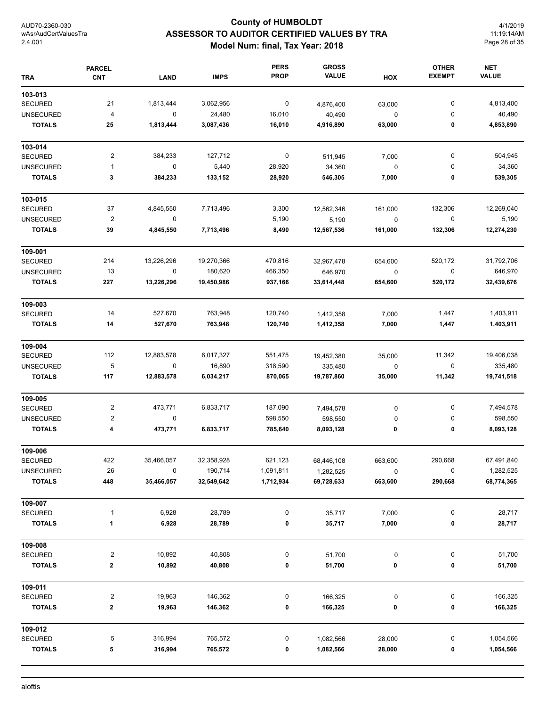# **County of HUMBOLDT ASSESSOR TO AUDITOR CERTIFIED VALUES BY TRA Model Num: final, Tax Year: 2018**

4/1/2019 11:19:14AM Page 28 of 35

| <b>TRA</b>       | <b>PARCEL</b><br><b>CNT</b> | <b>LAND</b> | <b>IMPS</b> | <b>PERS</b><br><b>PROP</b> | <b>GROSS</b><br><b>VALUE</b> | HOX         | <b>OTHER</b><br><b>EXEMPT</b> | <b>NET</b><br><b>VALUE</b> |
|------------------|-----------------------------|-------------|-------------|----------------------------|------------------------------|-------------|-------------------------------|----------------------------|
| 103-013          |                             |             |             |                            |                              |             |                               |                            |
| <b>SECURED</b>   | 21                          | 1,813,444   | 3,062,956   | $\mathbf 0$                | 4,876,400                    | 63,000      | 0                             | 4,813,400                  |
| <b>UNSECURED</b> | $\overline{\mathbf{r}}$     | 0           | 24,480      | 16,010                     | 40,490                       | $\pmb{0}$   | 0                             | 40,490                     |
| <b>TOTALS</b>    | 25                          | 1,813,444   | 3,087,436   | 16,010                     | 4,916,890                    | 63,000      | 0                             | 4,853,890                  |
| 103-014          |                             |             |             |                            |                              |             |                               |                            |
| <b>SECURED</b>   | 2                           | 384,233     | 127,712     | $\boldsymbol{0}$           | 511,945                      | 7,000       | 0                             | 504,945                    |
| <b>UNSECURED</b> | $\mathbf{1}$                | 0           | 5,440       | 28,920                     | 34,360                       | $\pmb{0}$   | 0                             | 34,360                     |
| <b>TOTALS</b>    | 3                           | 384,233     | 133,152     | 28,920                     | 546,305                      | 7,000       | 0                             | 539,305                    |
| 103-015          |                             |             |             |                            |                              |             |                               |                            |
| <b>SECURED</b>   | 37                          | 4,845,550   | 7,713,496   | 3,300                      | 12,562,346                   | 161,000     | 132,306                       | 12,269,040                 |
| <b>UNSECURED</b> | $\overline{\mathbf{c}}$     | $\mathsf 0$ |             | 5,190                      | 5,190                        | $\pmb{0}$   | $\pmb{0}$                     | 5,190                      |
| <b>TOTALS</b>    | 39                          | 4,845,550   | 7,713,496   | 8,490                      | 12,567,536                   | 161,000     | 132,306                       | 12,274,230                 |
| 109-001          |                             |             |             |                            |                              |             |                               |                            |
| <b>SECURED</b>   | 214                         | 13,226,296  | 19,270,366  | 470,816                    | 32,967,478                   | 654,600     | 520,172                       | 31,792,706                 |
| <b>UNSECURED</b> | 13                          | $\mathsf 0$ | 180,620     | 466,350                    | 646,970                      | $\mathsf 0$ | 0                             | 646,970                    |
| <b>TOTALS</b>    | 227                         | 13,226,296  | 19,450,986  | 937,166                    | 33,614,448                   | 654,600     | 520,172                       | 32,439,676                 |
| 109-003          |                             |             |             |                            |                              |             |                               |                            |
| <b>SECURED</b>   | 14                          | 527,670     | 763,948     | 120,740                    | 1,412,358                    | 7,000       | 1,447                         | 1,403,911                  |
| <b>TOTALS</b>    | 14                          | 527,670     | 763,948     | 120,740                    | 1,412,358                    | 7,000       | 1,447                         | 1,403,911                  |
| 109-004          |                             |             |             |                            |                              |             |                               |                            |
| <b>SECURED</b>   | 112                         | 12,883,578  | 6,017,327   | 551,475                    | 19,452,380                   | 35,000      | 11,342                        | 19,406,038                 |
| <b>UNSECURED</b> | 5                           | $\mathbf 0$ | 16,890      | 318,590                    | 335,480                      | $\pmb{0}$   | 0                             | 335,480                    |
| <b>TOTALS</b>    | 117                         | 12,883,578  | 6,034,217   | 870,065                    | 19,787,860                   | 35,000      | 11,342                        | 19,741,518                 |
| 109-005          |                             |             |             |                            |                              |             |                               |                            |
| <b>SECURED</b>   | 2                           | 473,771     | 6,833,717   | 187,090                    | 7,494,578                    | $\pmb{0}$   | 0                             | 7,494,578                  |
| <b>UNSECURED</b> | 2                           | 0           |             | 598,550                    | 598,550                      | 0           | 0                             | 598,550                    |
| <b>TOTALS</b>    | 4                           | 473,771     | 6,833,717   | 785,640                    | 8,093,128                    | 0           | 0                             | 8,093,128                  |
| 109-006          |                             |             |             |                            |                              |             |                               |                            |
| <b>SECURED</b>   | 422                         | 35,466,057  | 32,358,928  | 621,123                    | 68,446,108                   | 663,600     | 290,668                       | 67,491,840                 |
| <b>UNSECURED</b> | 26                          | 0           | 190,714     | 1,091,811                  | 1,282,525                    | 0           | 0                             | 1,282,525                  |
| <b>TOTALS</b>    | 448                         | 35,466,057  | 32,549,642  | 1,712,934                  | 69,728,633                   | 663,600     | 290,668                       | 68,774,365                 |
| 109-007          |                             |             |             |                            |                              |             |                               |                            |
| SECURED          | $\mathbf{1}$                | 6,928       | 28,789      | 0                          | 35,717                       | 7,000       | 0                             | 28,717                     |
| <b>TOTALS</b>    | $\mathbf{1}$                | 6,928       | 28,789      | 0                          | 35,717                       | 7,000       | 0                             | 28,717                     |
| 109-008          |                             |             |             |                            |                              |             |                               |                            |
| <b>SECURED</b>   | 2                           | 10,892      | 40,808      | 0                          | 51,700                       | 0           | 0                             | 51,700                     |
| <b>TOTALS</b>    | 2                           | 10,892      | 40,808      | 0                          | 51,700                       | 0           | 0                             | 51,700                     |
| 109-011          |                             |             |             |                            |                              |             |                               |                            |
| <b>SECURED</b>   | 2                           | 19,963      | 146,362     | 0                          | 166,325                      | 0           | 0                             | 166,325                    |
| <b>TOTALS</b>    | 2                           | 19,963      | 146,362     | 0                          | 166,325                      | 0           | 0                             | 166,325                    |
| 109-012          |                             |             |             |                            |                              |             |                               |                            |
| SECURED          | 5                           | 316,994     | 765,572     | 0                          | 1,082,566                    | 28,000      | 0                             | 1,054,566                  |
| <b>TOTALS</b>    | 5                           | 316,994     | 765,572     | 0                          | 1,082,566                    | 28,000      | 0                             | 1,054,566                  |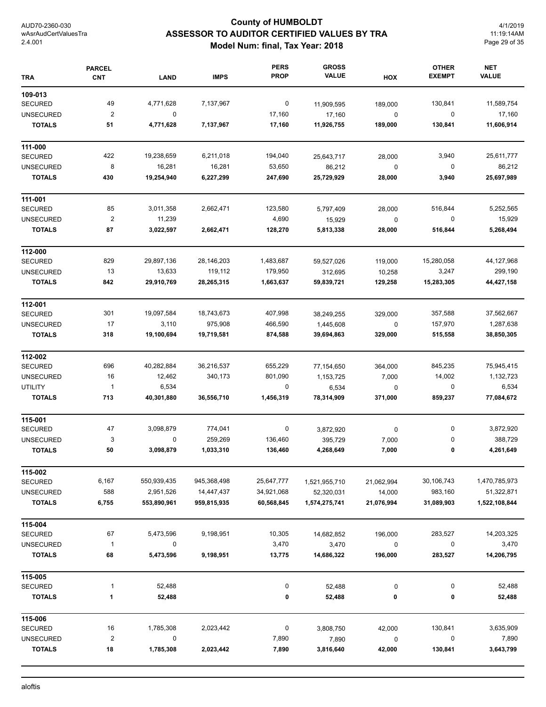# **County of HUMBOLDT ASSESSOR TO AUDITOR CERTIFIED VALUES BY TRA Model Num: final, Tax Year: 2018**

4/1/2019 11:19:14AM Page 29 of 35

| <b>TRA</b>       | <b>PARCEL</b><br><b>CNT</b> | <b>LAND</b> | <b>IMPS</b> | <b>PERS</b><br><b>PROP</b> | <b>GROSS</b><br><b>VALUE</b> | HOX        | <b>OTHER</b><br><b>EXEMPT</b> | <b>NET</b><br><b>VALUE</b> |
|------------------|-----------------------------|-------------|-------------|----------------------------|------------------------------|------------|-------------------------------|----------------------------|
| 109-013          |                             |             |             |                            |                              |            |                               |                            |
| <b>SECURED</b>   | 49                          | 4,771,628   | 7,137,967   | 0                          | 11,909,595                   | 189,000    | 130,841                       | 11,589,754                 |
| <b>UNSECURED</b> | $\overline{\mathbf{c}}$     | 0           |             | 17,160                     | 17,160                       | 0          | 0                             | 17,160                     |
| <b>TOTALS</b>    | 51                          | 4,771,628   | 7,137,967   | 17,160                     | 11,926,755                   | 189,000    | 130,841                       | 11,606,914                 |
| 111-000          |                             |             |             |                            |                              |            |                               |                            |
| <b>SECURED</b>   | 422                         | 19,238,659  | 6,211,018   | 194,040                    | 25,643,717                   | 28,000     | 3,940                         | 25,611,777                 |
| <b>UNSECURED</b> | 8                           | 16,281      | 16,281      | 53,650                     | 86,212                       | 0          | 0                             | 86,212                     |
| <b>TOTALS</b>    | 430                         | 19,254,940  | 6,227,299   | 247,690                    | 25,729,929                   | 28,000     | 3,940                         | 25,697,989                 |
| 111-001          |                             |             |             |                            |                              |            |                               |                            |
| <b>SECURED</b>   | 85                          | 3,011,358   | 2,662,471   | 123,580                    | 5,797,409                    | 28,000     | 516,844                       | 5,252,565                  |
| <b>UNSECURED</b> | $\overline{\mathbf{c}}$     | 11,239      |             | 4,690                      | 15,929                       | 0          | 0                             | 15,929                     |
| <b>TOTALS</b>    | 87                          | 3,022,597   | 2,662,471   | 128,270                    | 5,813,338                    | 28,000     | 516,844                       | 5,268,494                  |
| 112-000          |                             |             |             |                            |                              |            |                               |                            |
| <b>SECURED</b>   | 829                         | 29,897,136  | 28,146,203  | 1,483,687                  | 59,527,026                   | 119,000    | 15,280,058                    | 44,127,968                 |
| <b>UNSECURED</b> | 13                          | 13,633      | 119,112     | 179,950                    | 312,695                      | 10,258     | 3,247                         | 299,190                    |
| <b>TOTALS</b>    | 842                         | 29,910,769  | 28,265,315  | 1,663,637                  | 59,839,721                   | 129,258    | 15,283,305                    | 44,427,158                 |
| 112-001          |                             |             |             |                            |                              |            |                               |                            |
| <b>SECURED</b>   | 301                         | 19,097,584  | 18,743,673  | 407,998                    | 38,249,255                   | 329,000    | 357,588                       | 37,562,667                 |
| <b>UNSECURED</b> | 17                          | 3,110       | 975,908     | 466,590                    | 1,445,608                    | 0          | 157,970                       | 1,287,638                  |
| <b>TOTALS</b>    | 318                         | 19,100,694  | 19,719,581  | 874,588                    | 39,694,863                   | 329,000    | 515,558                       | 38,850,305                 |
| 112-002          |                             |             |             |                            |                              |            |                               |                            |
| <b>SECURED</b>   | 696                         | 40,282,884  | 36,216,537  | 655,229                    | 77,154,650                   | 364,000    | 845,235                       | 75,945,415                 |
| <b>UNSECURED</b> | 16                          | 12,462      | 340,173     | 801,090                    | 1,153,725                    | 7,000      | 14,002                        | 1,132,723                  |
| <b>UTILITY</b>   | $\overline{1}$              | 6,534       |             | 0                          | 6,534                        | 0          | 0                             | 6,534                      |
| <b>TOTALS</b>    | 713                         | 40,301,880  | 36,556,710  | 1,456,319                  | 78,314,909                   | 371,000    | 859,237                       | 77,084,672                 |
| 115-001          |                             |             |             |                            |                              |            |                               |                            |
| <b>SECURED</b>   | 47                          | 3,098,879   | 774,041     | 0                          | 3,872,920                    | $\pmb{0}$  | 0                             | 3,872,920                  |
| <b>UNSECURED</b> | 3                           | 0           | 259,269     | 136,460                    | 395,729                      | 7,000      | 0                             | 388,729                    |
| <b>TOTALS</b>    | 50                          | 3,098,879   | 1,033,310   | 136,460                    | 4,268,649                    | 7,000      | 0                             | 4,261,649                  |
| 115-002          |                             |             |             |                            |                              |            |                               |                            |
| <b>SECURED</b>   | 6,167                       | 550,939,435 | 945,368,498 | 25,647,777                 | 1,521,955,710                | 21,062,994 | 30,106,743                    | 1,470,785,973              |
| <b>UNSECURED</b> | 588                         | 2,951,526   | 14,447,437  | 34,921,068                 | 52,320,031                   | 14,000     | 983,160                       | 51,322,871                 |
| <b>TOTALS</b>    | 6,755                       | 553,890,961 | 959,815,935 | 60,568,845                 | 1,574,275,741                | 21,076,994 | 31,089,903                    | 1,522,108,844              |
| 115-004          |                             |             |             |                            |                              |            |                               |                            |
| <b>SECURED</b>   | 67                          | 5,473,596   | 9,198,951   | 10,305                     | 14,682,852                   | 196,000    | 283,527                       | 14,203,325                 |
| <b>UNSECURED</b> | $\mathbf{1}$                | 0           |             | 3,470                      | 3,470                        | 0          | 0                             | 3,470                      |
| <b>TOTALS</b>    | 68                          | 5,473,596   | 9,198,951   | 13,775                     | 14,686,322                   | 196,000    | 283,527                       | 14,206,795                 |
| 115-005          |                             |             |             |                            |                              |            |                               |                            |
| <b>SECURED</b>   | 1                           | 52,488      |             | $\pmb{0}$                  | 52,488                       | 0          | 0                             | 52,488                     |
| <b>TOTALS</b>    | 1                           | 52,488      |             | 0                          | 52,488                       | 0          | 0                             | 52,488                     |
| 115-006          |                             |             |             |                            |                              |            |                               |                            |
| <b>SECURED</b>   | 16                          | 1,785,308   | 2,023,442   | 0                          | 3,808,750                    | 42,000     | 130,841                       | 3,635,909                  |
| <b>UNSECURED</b> | $\overline{\mathbf{c}}$     | 0           |             | 7,890                      | 7,890                        | 0          | 0                             | 7,890                      |
| <b>TOTALS</b>    | 18                          | 1,785,308   | 2,023,442   | 7,890                      | 3,816,640                    | 42,000     | 130,841                       | 3,643,799                  |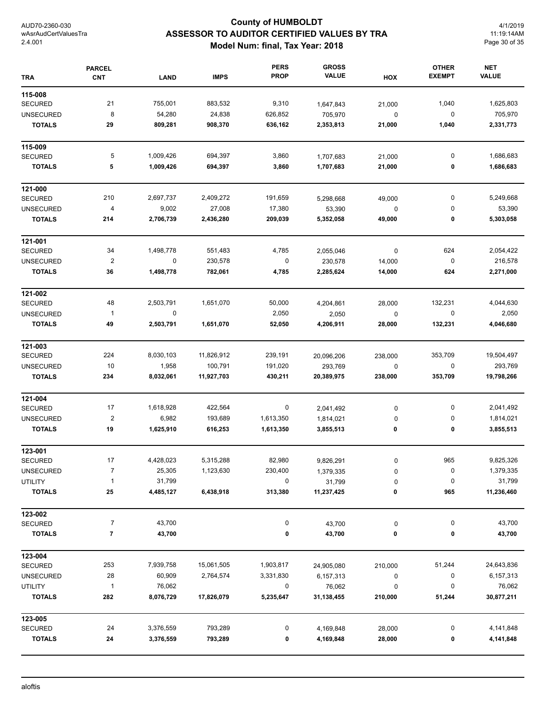# **County of HUMBOLDT ASSESSOR TO AUDITOR CERTIFIED VALUES BY TRA Model Num: final, Tax Year: 2018**

4/1/2019 11:19:14AM Page 30 of 35

| <b>TRA</b>               | <b>PARCEL</b><br><b>CNT</b> | <b>LAND</b> | <b>IMPS</b> | <b>PERS</b><br><b>PROP</b> | <b>GROSS</b><br><b>VALUE</b> | HOX         | <b>OTHER</b><br><b>EXEMPT</b> | <b>NET</b><br><b>VALUE</b> |
|--------------------------|-----------------------------|-------------|-------------|----------------------------|------------------------------|-------------|-------------------------------|----------------------------|
| 115-008                  |                             |             |             |                            |                              |             |                               |                            |
| <b>SECURED</b>           | 21                          | 755,001     | 883,532     | 9,310                      | 1,647,843                    | 21,000      | 1,040                         | 1,625,803                  |
| <b>UNSECURED</b>         | 8                           | 54,280      | 24,838      | 626,852                    | 705,970                      | 0           | 0                             | 705,970                    |
| <b>TOTALS</b>            | 29                          | 809,281     | 908,370     | 636,162                    | 2,353,813                    | 21,000      | 1,040                         | 2,331,773                  |
| 115-009                  |                             |             |             |                            |                              |             |                               |                            |
| <b>SECURED</b>           | 5                           | 1,009,426   | 694,397     | 3,860                      | 1,707,683                    | 21,000      | 0                             | 1,686,683                  |
| <b>TOTALS</b>            | 5                           | 1,009,426   | 694,397     | 3,860                      | 1,707,683                    | 21,000      | 0                             | 1,686,683                  |
| 121-000                  |                             |             |             |                            |                              |             |                               |                            |
| <b>SECURED</b>           | 210                         | 2,697,737   | 2,409,272   | 191,659                    | 5,298,668                    | 49,000      | 0                             | 5,249,668                  |
| <b>UNSECURED</b>         | 4                           | 9,002       | 27,008      | 17,380                     | 53,390                       | 0           | 0                             | 53,390                     |
| <b>TOTALS</b>            | 214                         | 2,706,739   | 2,436,280   | 209,039                    | 5,352,058                    | 49,000      | 0                             | 5,303,058                  |
| 121-001                  |                             |             |             |                            |                              |             |                               |                            |
| <b>SECURED</b>           | 34                          | 1,498,778   | 551,483     | 4,785                      | 2,055,046                    | $\mathsf 0$ | 624                           | 2,054,422                  |
| <b>UNSECURED</b>         | $\overline{\mathbf{c}}$     | 0           | 230,578     | $\pmb{0}$                  | 230,578                      | 14,000      | 0                             | 216,578                    |
| <b>TOTALS</b>            | 36                          | 1,498,778   | 782,061     | 4,785                      | 2,285,624                    | 14,000      | 624                           | 2,271,000                  |
| 121-002                  |                             |             |             |                            |                              |             |                               |                            |
| <b>SECURED</b>           | 48                          | 2,503,791   | 1,651,070   | 50,000                     | 4,204,861                    | 28,000      | 132,231                       | 4,044,630                  |
| <b>UNSECURED</b>         | $\mathbf{1}$                | $\pmb{0}$   |             | 2,050                      | 2,050                        | 0           | 0                             | 2,050                      |
| <b>TOTALS</b>            | 49                          | 2,503,791   | 1,651,070   | 52,050                     | 4,206,911                    | 28,000      | 132,231                       | 4,046,680                  |
| 121-003                  |                             |             |             |                            |                              |             |                               |                            |
| <b>SECURED</b>           | 224                         | 8,030,103   | 11,826,912  | 239,191                    | 20,096,206                   | 238,000     | 353,709                       | 19,504,497                 |
| <b>UNSECURED</b>         | 10                          | 1,958       | 100,791     | 191,020                    | 293,769                      | 0           | 0                             | 293,769                    |
| <b>TOTALS</b>            | 234                         | 8,032,061   | 11,927,703  | 430,211                    | 20,389,975                   | 238,000     | 353,709                       | 19,798,266                 |
| 121-004                  |                             |             |             |                            |                              |             |                               |                            |
| <b>SECURED</b>           | 17                          | 1,618,928   | 422,564     | 0                          | 2,041,492                    | 0           | 0                             | 2,041,492                  |
| <b>UNSECURED</b>         | $\overline{\mathbf{c}}$     | 6,982       | 193,689     | 1,613,350                  | 1,814,021                    | 0           | 0                             | 1,814,021                  |
| <b>TOTALS</b>            | 19                          | 1,625,910   | 616,253     | 1,613,350                  | 3,855,513                    | 0           | 0                             | 3,855,513                  |
| 123-001                  |                             |             |             |                            |                              |             |                               |                            |
| <b>SECURED</b>           | 17                          | 4,428,023   | 5,315,288   | 82,980                     | 9,826,291                    | 0           | 965                           | 9,825,326                  |
| <b>UNSECURED</b>         | $\overline{7}$              | 25,305      | 1,123,630   | 230,400                    | 1,379,335                    | 0           | 0                             | 1,379,335                  |
| UTILITY<br><b>TOTALS</b> | $\mathbf{1}$                | 31,799      |             | 0                          | 31,799                       | 0           | 0                             | 31,799                     |
|                          | 25                          | 4,485,127   | 6,438,918   | 313,380                    | 11,237,425                   | 0           | 965                           | 11,236,460                 |
| 123-002                  |                             |             |             |                            |                              |             |                               |                            |
| <b>SECURED</b>           | 7                           | 43,700      |             | 0                          | 43,700                       | 0           | 0                             | 43,700                     |
| <b>TOTALS</b>            | 7                           | 43,700      |             | 0                          | 43,700                       | 0           | 0                             | 43,700                     |
| 123-004                  |                             |             |             |                            |                              |             |                               |                            |
| <b>SECURED</b>           | 253                         | 7,939,758   | 15,061,505  | 1,903,817                  | 24,905,080                   | 210,000     | 51,244                        | 24,643,836                 |
| <b>UNSECURED</b>         | 28                          | 60,909      | 2,764,574   | 3,331,830                  | 6,157,313                    | 0           | 0                             | 6,157,313                  |
| <b>UTILITY</b>           | 1                           | 76,062      |             | 0                          | 76,062                       | 0           | 0                             | 76,062                     |
| <b>TOTALS</b>            | 282                         | 8,076,729   | 17,826,079  | 5,235,647                  | 31,138,455                   | 210,000     | 51,244                        | 30,877,211                 |
| 123-005                  |                             |             |             |                            |                              |             |                               |                            |
| <b>SECURED</b>           | 24                          | 3,376,559   | 793,289     | 0                          | 4,169,848                    | 28,000      | 0                             | 4,141,848                  |
| <b>TOTALS</b>            | 24                          | 3,376,559   | 793,289     | 0                          | 4,169,848                    | 28,000      | 0                             | 4,141,848                  |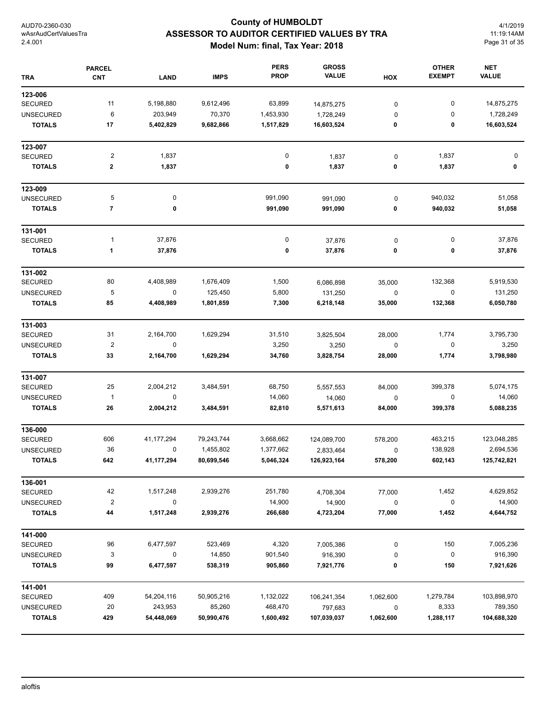# **County of HUMBOLDT ASSESSOR TO AUDITOR CERTIFIED VALUES BY TRA Model Num: final, Tax Year: 2018**

4/1/2019 11:19:14AM Page 31 of 35

| <b>TRA</b>       | <b>PARCEL</b><br><b>CNT</b> | <b>LAND</b> | <b>IMPS</b> | <b>PERS</b><br><b>PROP</b> | <b>GROSS</b><br><b>VALUE</b> | HOX       | <b>OTHER</b><br><b>EXEMPT</b> | <b>NET</b><br><b>VALUE</b> |
|------------------|-----------------------------|-------------|-------------|----------------------------|------------------------------|-----------|-------------------------------|----------------------------|
| 123-006          |                             |             |             |                            |                              |           |                               |                            |
| <b>SECURED</b>   | 11                          | 5,198,880   | 9,612,496   | 63,899                     | 14,875,275                   | 0         | $\pmb{0}$                     | 14,875,275                 |
| <b>UNSECURED</b> | 6                           | 203,949     | 70,370      | 1,453,930                  | 1,728,249                    | 0         | 0                             | 1,728,249                  |
| <b>TOTALS</b>    | 17                          | 5,402,829   | 9,682,866   | 1,517,829                  | 16,603,524                   | 0         | 0                             | 16,603,524                 |
| 123-007          |                             |             |             |                            |                              |           |                               |                            |
| <b>SECURED</b>   | $\overline{c}$              | 1,837       |             | 0                          | 1,837                        | $\pmb{0}$ | 1,837                         | 0                          |
| <b>TOTALS</b>    | 2                           | 1,837       |             | 0                          | 1,837                        | 0         | 1,837                         | 0                          |
| 123-009          |                             |             |             |                            |                              |           |                               |                            |
| <b>UNSECURED</b> | 5                           | 0           |             | 991,090                    | 991,090                      | $\pmb{0}$ | 940,032                       | 51,058                     |
| <b>TOTALS</b>    | $\overline{7}$              | 0           |             | 991,090                    | 991,090                      | 0         | 940,032                       | 51,058                     |
| 131-001          |                             |             |             |                            |                              |           |                               |                            |
| <b>SECURED</b>   | $\mathbf{1}$                | 37,876      |             | 0                          | 37,876                       | $\pmb{0}$ | 0                             | 37,876                     |
| <b>TOTALS</b>    | 1                           | 37,876      |             | 0                          | 37,876                       | 0         | 0                             | 37,876                     |
| 131-002          |                             |             |             |                            |                              |           |                               |                            |
| <b>SECURED</b>   | 80                          | 4,408,989   | 1,676,409   | 1,500                      | 6,086,898                    | 35,000    | 132,368                       | 5,919,530                  |
| <b>UNSECURED</b> | 5                           | 0           | 125,450     | 5,800                      | 131,250                      | 0         | $\pmb{0}$                     | 131,250                    |
| <b>TOTALS</b>    | 85                          | 4,408,989   | 1,801,859   | 7,300                      | 6,218,148                    | 35,000    | 132,368                       | 6,050,780                  |
| 131-003          |                             |             |             |                            |                              |           |                               |                            |
| <b>SECURED</b>   | 31                          | 2,164,700   | 1,629,294   | 31,510                     | 3,825,504                    | 28,000    | 1,774                         | 3,795,730                  |
| <b>UNSECURED</b> | $\boldsymbol{2}$            | 0           |             | 3,250                      | 3,250                        | 0         | 0                             | 3,250                      |
| <b>TOTALS</b>    | 33                          | 2,164,700   | 1,629,294   | 34,760                     | 3,828,754                    | 28,000    | 1,774                         | 3,798,980                  |
| 131-007          |                             |             |             |                            |                              |           |                               |                            |
| <b>SECURED</b>   | 25                          | 2,004,212   | 3,484,591   | 68,750                     | 5,557,553                    | 84,000    | 399,378                       | 5,074,175                  |
| <b>UNSECURED</b> | $\mathbf{1}$                | 0           |             | 14,060                     | 14,060                       | 0         | 0                             | 14,060                     |
| <b>TOTALS</b>    | 26                          | 2,004,212   | 3,484,591   | 82,810                     | 5,571,613                    | 84,000    | 399,378                       | 5,088,235                  |
| 136-000          |                             |             |             |                            |                              |           |                               |                            |
| <b>SECURED</b>   | 606                         | 41,177,294  | 79,243,744  | 3,668,662                  | 124,089,700                  | 578,200   | 463,215                       | 123,048,285                |
| <b>UNSECURED</b> | 36                          | 0           | 1,455,802   | 1,377,662                  | 2,833,464                    | $\pmb{0}$ | 138,928                       | 2,694,536                  |
| TOTALS           | 642                         | 41,177,294  | 80,699,546  | 5,046,324                  | 126,923,164                  | 578,200   | 602,143                       | 125,742,821                |
| 136-001          |                             |             |             |                            |                              |           |                               |                            |
| SECURED          | 42                          | 1,517,248   | 2,939,276   | 251,780                    | 4,708,304                    | 77,000    | 1,452                         | 4,629,852                  |
| <b>UNSECURED</b> | $\boldsymbol{2}$            | 0           |             | 14,900                     | 14,900                       | $\pmb{0}$ | 0                             | 14,900                     |
| <b>TOTALS</b>    | 44                          | 1,517,248   | 2,939,276   | 266,680                    | 4,723,204                    | 77,000    | 1,452                         | 4,644,752                  |
| 141-000          |                             |             |             |                            |                              |           |                               |                            |
| <b>SECURED</b>   | 96                          | 6,477,597   | 523,469     | 4,320                      | 7,005,386                    | 0         | 150                           | 7,005,236                  |
| <b>UNSECURED</b> | 3                           | 0           | 14,850      | 901,540                    | 916,390                      | 0         | 0                             | 916,390                    |
| <b>TOTALS</b>    | 99                          | 6,477,597   | 538,319     | 905,860                    | 7,921,776                    | 0         | 150                           | 7,921,626                  |
| 141-001          |                             |             |             |                            |                              |           |                               |                            |
| <b>SECURED</b>   | 409                         | 54,204,116  | 50,905,216  | 1,132,022                  | 106,241,354                  | 1,062,600 | 1,279,784                     | 103,898,970                |
| <b>UNSECURED</b> | 20                          | 243,953     | 85,260      | 468,470                    | 797,683                      | $\pmb{0}$ | 8,333                         | 789,350                    |
| <b>TOTALS</b>    | 429                         | 54,448,069  | 50,990,476  | 1,600,492                  | 107,039,037                  | 1,062,600 | 1,288,117                     | 104,688,320                |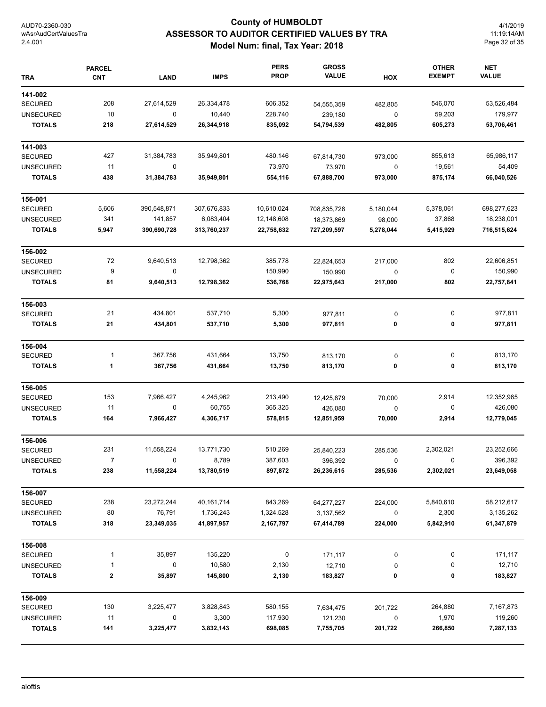# **County of HUMBOLDT ASSESSOR TO AUDITOR CERTIFIED VALUES BY TRA Model Num: final, Tax Year: 2018**

4/1/2019 11:19:14AM Page 32 of 35

| <b>TRA</b>       | <b>PARCEL</b><br><b>CNT</b> | <b>LAND</b>  | <b>IMPS</b> | <b>PERS</b><br><b>PROP</b> | <b>GROSS</b><br><b>VALUE</b> | HOX         | <b>OTHER</b><br><b>EXEMPT</b> | <b>NET</b><br><b>VALUE</b> |
|------------------|-----------------------------|--------------|-------------|----------------------------|------------------------------|-------------|-------------------------------|----------------------------|
| 141-002          |                             |              |             |                            |                              |             |                               |                            |
| <b>SECURED</b>   | 208                         | 27,614,529   | 26,334,478  | 606,352                    | 54,555,359                   | 482,805     | 546,070                       | 53,526,484                 |
| <b>UNSECURED</b> | 10                          | 0            | 10,440      | 228,740                    | 239,180                      | 0           | 59,203                        | 179,977                    |
| <b>TOTALS</b>    | 218                         | 27,614,529   | 26,344,918  | 835,092                    | 54,794,539                   | 482,805     | 605,273                       | 53,706,461                 |
| 141-003          |                             |              |             |                            |                              |             |                               |                            |
| <b>SECURED</b>   | 427                         | 31,384,783   | 35,949,801  | 480,146                    | 67,814,730                   | 973,000     | 855,613                       | 65,986,117                 |
| <b>UNSECURED</b> | 11                          | $\mathbf 0$  |             | 73,970                     | 73,970                       | 0           | 19,561                        | 54,409                     |
| <b>TOTALS</b>    | 438                         | 31,384,783   | 35,949,801  | 554,116                    | 67,888,700                   | 973,000     | 875,174                       | 66,040,526                 |
| 156-001          |                             |              |             |                            |                              |             |                               |                            |
| <b>SECURED</b>   | 5,606                       | 390,548,871  | 307,676,833 | 10,610,024                 | 708,835,728                  | 5,180,044   | 5,378,061                     | 698,277,623                |
| <b>UNSECURED</b> | 341                         | 141,857      | 6,083,404   | 12,148,608                 | 18,373,869                   | 98,000      | 37,868                        | 18,238,001                 |
| <b>TOTALS</b>    | 5,947                       | 390,690,728  | 313,760,237 | 22,758,632                 | 727,209,597                  | 5,278,044   | 5,415,929                     | 716,515,624                |
| 156-002          |                             |              |             |                            |                              |             |                               |                            |
| <b>SECURED</b>   | 72                          | 9,640,513    | 12,798,362  | 385,778                    | 22,824,653                   | 217,000     | 802                           | 22,606,851                 |
| <b>UNSECURED</b> | 9                           | 0            |             | 150,990                    | 150,990                      | $\mathbf 0$ | 0                             | 150,990                    |
| <b>TOTALS</b>    | 81                          | 9,640,513    | 12,798,362  | 536,768                    | 22,975,643                   | 217,000     | 802                           | 22,757,841                 |
| 156-003          |                             |              |             |                            |                              |             |                               |                            |
| <b>SECURED</b>   | 21                          | 434,801      | 537,710     | 5,300                      | 977,811                      | 0           | 0                             | 977,811                    |
| <b>TOTALS</b>    | 21                          | 434,801      | 537,710     | 5,300                      | 977,811                      | 0           | 0                             | 977,811                    |
| 156-004          |                             |              |             |                            |                              |             |                               |                            |
| <b>SECURED</b>   | 1                           | 367,756      | 431,664     | 13,750                     | 813,170                      | 0           | 0                             | 813,170                    |
| <b>TOTALS</b>    | 1                           | 367,756      | 431,664     | 13,750                     | 813,170                      | 0           | 0                             | 813,170                    |
| 156-005          |                             |              |             |                            |                              |             |                               |                            |
| <b>SECURED</b>   | 153                         | 7,966,427    | 4,245,962   | 213,490                    | 12,425,879                   | 70,000      | 2,914                         | 12,352,965                 |
| <b>UNSECURED</b> | 11                          | $\mathbf 0$  | 60,755      | 365,325                    | 426,080                      | 0           | 0                             | 426,080                    |
| <b>TOTALS</b>    | 164                         | 7,966,427    | 4,306,717   | 578,815                    | 12,851,959                   | 70,000      | 2,914                         | 12,779,045                 |
| 156-006          |                             |              |             |                            |                              |             |                               |                            |
| <b>SECURED</b>   | 231                         | 11,558,224   | 13,771,730  | 510,269                    | 25,840,223                   | 285,536     | 2,302,021                     | 23,252,666                 |
| <b>UNSECURED</b> | $\prime$                    | $\mathbf{0}$ | 8,789       | 387,603                    | 396,392                      | 0           | 0                             | 396,392                    |
| <b>TOTALS</b>    | 238                         | 11,558,224   | 13,780,519  | 897,872                    | 26,236,615                   | 285,536     | 2,302,021                     | 23,649,058                 |
| 156-007          |                             |              |             |                            |                              |             |                               |                            |
| SECURED          | 238                         | 23,272,244   | 40,161,714  | 843,269                    | 64,277,227                   | 224,000     | 5,840,610                     | 58,212,617                 |
| <b>UNSECURED</b> | 80                          | 76,791       | 1,736,243   | 1,324,528                  | 3,137,562                    | 0           | 2,300                         | 3,135,262                  |
| <b>TOTALS</b>    | 318                         | 23,349,035   | 41,897,957  | 2,167,797                  | 67,414,789                   | 224,000     | 5,842,910                     | 61,347,879                 |
| 156-008          |                             |              |             |                            |                              |             |                               |                            |
| SECURED          | 1                           | 35,897       | 135,220     | 0                          | 171,117                      | 0           | 0                             | 171,117                    |
| <b>UNSECURED</b> | 1                           | 0            | 10,580      | 2,130                      | 12,710                       | 0           | 0                             | 12,710                     |
| <b>TOTALS</b>    | $\mathbf 2$                 | 35,897       | 145,800     | 2,130                      | 183,827                      | 0           | 0                             | 183,827                    |
| 156-009          |                             |              |             |                            |                              |             |                               |                            |
| <b>SECURED</b>   | 130                         | 3,225,477    | 3,828,843   | 580,155                    | 7,634,475                    | 201,722     | 264,880                       | 7,167,873                  |
| <b>UNSECURED</b> | 11                          | 0            | 3,300       | 117,930                    | 121,230                      | 0           | 1,970                         | 119,260                    |
| <b>TOTALS</b>    | 141                         | 3,225,477    | 3,832,143   | 698,085                    | 7,755,705                    | 201,722     | 266,850                       | 7,287,133                  |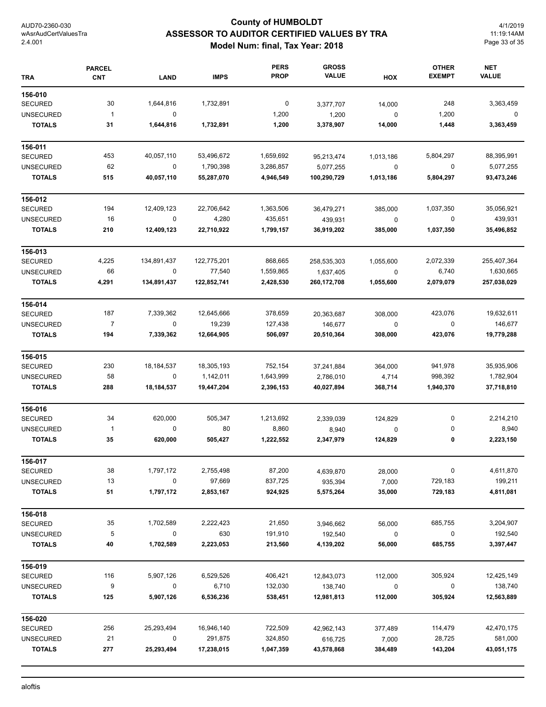# **County of HUMBOLDT ASSESSOR TO AUDITOR CERTIFIED VALUES BY TRA Model Num: final, Tax Year: 2018**

4/1/2019 11:19:14AM Page 33 of 35

| <b>TRA</b>       | <b>PARCEL</b><br><b>CNT</b> | <b>LAND</b>      | <b>IMPS</b> | <b>PERS</b><br><b>PROP</b> | <b>GROSS</b><br><b>VALUE</b> | HOX       | <b>OTHER</b><br><b>EXEMPT</b> | <b>NET</b><br><b>VALUE</b> |
|------------------|-----------------------------|------------------|-------------|----------------------------|------------------------------|-----------|-------------------------------|----------------------------|
| 156-010          |                             |                  |             |                            |                              |           |                               |                            |
| <b>SECURED</b>   | 30                          | 1,644,816        | 1,732,891   | 0                          | 3,377,707                    | 14,000    | 248                           | 3,363,459                  |
| <b>UNSECURED</b> | $\mathbf{1}$                | $\mathbf 0$      |             | 1,200                      | 1,200                        | 0         | 1,200                         | 0                          |
| <b>TOTALS</b>    | 31                          | 1,644,816        | 1,732,891   | 1,200                      | 3,378,907                    | 14,000    | 1,448                         | 3,363,459                  |
| 156-011          |                             |                  |             |                            |                              |           |                               |                            |
| <b>SECURED</b>   | 453                         | 40,057,110       | 53,496,672  | 1,659,692                  | 95,213,474                   | 1,013,186 | 5,804,297                     | 88,395,991                 |
| <b>UNSECURED</b> | 62                          | $\mathbf 0$      | 1,790,398   | 3,286,857                  | 5,077,255                    | 0         | 0                             | 5,077,255                  |
| <b>TOTALS</b>    | 515                         | 40,057,110       | 55,287,070  | 4,946,549                  | 100,290,729                  | 1,013,186 | 5,804,297                     | 93,473,246                 |
| 156-012          |                             |                  |             |                            |                              |           |                               |                            |
| <b>SECURED</b>   | 194                         | 12,409,123       | 22,706,642  | 1,363,506                  | 36,479,271                   | 385,000   | 1,037,350                     | 35,056,921                 |
| <b>UNSECURED</b> | 16                          | $\pmb{0}$        | 4,280       | 435,651                    | 439,931                      | $\pmb{0}$ | 0                             | 439,931                    |
| <b>TOTALS</b>    | 210                         | 12,409,123       | 22,710,922  | 1,799,157                  | 36,919,202                   | 385,000   | 1,037,350                     | 35,496,852                 |
| 156-013          |                             |                  |             |                            |                              |           |                               |                            |
| <b>SECURED</b>   | 4,225                       | 134,891,437      | 122,775,201 | 868,665                    | 258,535,303                  | 1,055,600 | 2,072,339                     | 255,407,364                |
| <b>UNSECURED</b> | 66                          | 0                | 77,540      | 1,559,865                  | 1,637,405                    | $\pmb{0}$ | 6,740                         | 1,630,665                  |
| <b>TOTALS</b>    | 4,291                       | 134,891,437      | 122,852,741 | 2,428,530                  | 260,172,708                  | 1,055,600 | 2,079,079                     | 257,038,029                |
| 156-014          |                             |                  |             |                            |                              |           |                               |                            |
| <b>SECURED</b>   | 187                         | 7,339,362        | 12,645,666  | 378,659                    | 20,363,687                   | 308,000   | 423,076                       | 19,632,611                 |
| <b>UNSECURED</b> | $\overline{7}$              | $\pmb{0}$        | 19,239      | 127,438                    | 146,677                      | $\pmb{0}$ | 0                             | 146,677                    |
| <b>TOTALS</b>    | 194                         | 7,339,362        | 12,664,905  | 506,097                    | 20,510,364                   | 308,000   | 423,076                       | 19,779,288                 |
| 156-015          |                             |                  |             |                            |                              |           |                               |                            |
| <b>SECURED</b>   | 230                         | 18,184,537       | 18,305,193  | 752,154                    | 37,241,884                   | 364,000   | 941,978                       | 35,935,906                 |
| <b>UNSECURED</b> | 58                          | $\mathbf 0$      | 1,142,011   | 1,643,999                  | 2,786,010                    | 4,714     | 998,392                       | 1,782,904                  |
| <b>TOTALS</b>    | 288                         | 18,184,537       | 19,447,204  | 2,396,153                  | 40,027,894                   | 368,714   | 1,940,370                     | 37,718,810                 |
| 156-016          |                             |                  |             |                            |                              |           |                               |                            |
| <b>SECURED</b>   | 34                          | 620,000          | 505,347     | 1,213,692                  | 2,339,039                    | 124,829   | 0                             | 2,214,210                  |
| <b>UNSECURED</b> | $\mathbf{1}$                | $\boldsymbol{0}$ | 80          | 8,860                      | 8,940                        | 0         | 0                             | 8,940                      |
| <b>TOTALS</b>    | 35                          | 620,000          | 505,427     | 1,222,552                  | 2,347,979                    | 124,829   | 0                             | 2,223,150                  |
| 156-017          |                             |                  |             |                            |                              |           |                               |                            |
| <b>SECURED</b>   | 38                          | 1,797,172        | 2,755,498   | 87,200                     | 4,639,870                    | 28,000    | 0                             | 4,611,870                  |
| <b>UNSECURED</b> | 13                          | 0                | 97,669      | 837,725                    | 935,394                      | 7,000     | 729,183                       | 199,211                    |
| <b>TOTALS</b>    | 51                          | 1,797,172        | 2,853,167   | 924,925                    | 5,575,264                    | 35,000    | 729,183                       | 4,811,081                  |
| 156-018          |                             |                  |             |                            |                              |           |                               |                            |
| <b>SECURED</b>   | 35                          | 1,702,589        | 2,222,423   | 21,650                     | 3,946,662                    | 56,000    | 685,755                       | 3,204,907                  |
| <b>UNSECURED</b> | 5                           | $\mathbf 0$      | 630         | 191,910                    | 192,540                      | $\pmb{0}$ | 0                             | 192,540                    |
| <b>TOTALS</b>    | 40                          | 1,702,589        | 2,223,053   | 213,560                    | 4,139,202                    | 56,000    | 685,755                       | 3,397,447                  |
| 156-019          |                             |                  |             |                            |                              |           |                               |                            |
| <b>SECURED</b>   | 116                         | 5,907,126        | 6,529,526   | 406,421                    | 12,843,073                   | 112,000   | 305,924                       | 12,425,149                 |
| <b>UNSECURED</b> | 9                           | 0                | 6,710       | 132,030                    | 138,740                      | $\pmb{0}$ | 0                             | 138,740                    |
| <b>TOTALS</b>    | 125                         | 5,907,126        | 6,536,236   | 538,451                    | 12,981,813                   | 112,000   | 305,924                       | 12,563,889                 |
| 156-020          |                             |                  |             |                            |                              |           |                               |                            |
| <b>SECURED</b>   | 256                         | 25,293,494       | 16,946,140  | 722,509                    | 42,962,143                   | 377,489   | 114,479                       | 42,470,175                 |
| <b>UNSECURED</b> | 21                          | 0                | 291,875     | 324,850                    | 616,725                      | 7,000     | 28,725                        | 581,000                    |
| <b>TOTALS</b>    | 277                         | 25,293,494       | 17,238,015  | 1,047,359                  | 43,578,868                   | 384,489   | 143,204                       | 43,051,175                 |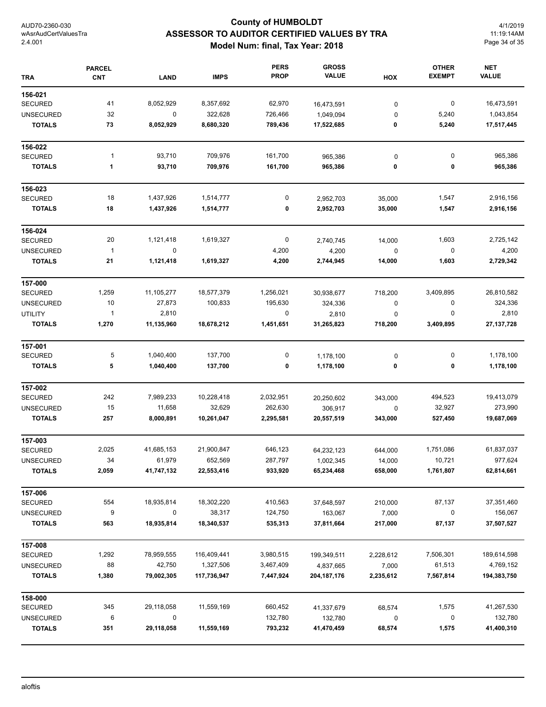# **County of HUMBOLDT ASSESSOR TO AUDITOR CERTIFIED VALUES BY TRA Model Num: final, Tax Year: 2018**

4/1/2019 11:19:14AM Page 34 of 35

| <b>TRA</b>       | <b>PARCEL</b><br><b>CNT</b> | <b>LAND</b> | <b>IMPS</b> | <b>PERS</b><br><b>PROP</b> | <b>GROSS</b><br><b>VALUE</b> | HOX       | <b>OTHER</b><br><b>EXEMPT</b> | <b>NET</b><br><b>VALUE</b> |
|------------------|-----------------------------|-------------|-------------|----------------------------|------------------------------|-----------|-------------------------------|----------------------------|
| 156-021          |                             |             |             |                            |                              |           |                               |                            |
| <b>SECURED</b>   | 41                          | 8,052,929   | 8,357,692   | 62,970                     | 16,473,591                   | 0         | $\boldsymbol{0}$              | 16,473,591                 |
| <b>UNSECURED</b> | 32                          | $\mathbf 0$ | 322,628     | 726,466                    | 1,049,094                    | 0         | 5,240                         | 1,043,854                  |
| <b>TOTALS</b>    | 73                          | 8,052,929   | 8,680,320   | 789,436                    | 17,522,685                   | 0         | 5,240                         | 17,517,445                 |
| 156-022          |                             |             |             |                            |                              |           |                               |                            |
| <b>SECURED</b>   | 1                           | 93,710      | 709,976     | 161,700                    | 965,386                      | 0         | 0                             | 965,386                    |
| <b>TOTALS</b>    | 1                           | 93,710      | 709,976     | 161,700                    | 965,386                      | 0         | 0                             | 965,386                    |
| 156-023          |                             |             |             |                            |                              |           |                               |                            |
| <b>SECURED</b>   | 18                          | 1,437,926   | 1,514,777   | 0                          | 2,952,703                    | 35,000    | 1,547                         | 2,916,156                  |
| <b>TOTALS</b>    | 18                          | 1,437,926   | 1,514,777   | 0                          | 2,952,703                    | 35,000    | 1,547                         | 2,916,156                  |
| 156-024          |                             |             |             |                            |                              |           |                               |                            |
| <b>SECURED</b>   | 20                          | 1,121,418   | 1,619,327   | $\pmb{0}$                  | 2,740,745                    | 14,000    | 1,603                         | 2,725,142                  |
| <b>UNSECURED</b> | $\mathbf{1}$                | $\mathbf 0$ |             | 4,200                      | 4,200                        | 0         | $\boldsymbol{0}$              | 4,200                      |
| <b>TOTALS</b>    | 21                          | 1,121,418   | 1,619,327   | 4,200                      | 2,744,945                    | 14,000    | 1,603                         | 2,729,342                  |
| 157-000          |                             |             |             |                            |                              |           |                               |                            |
| <b>SECURED</b>   | 1,259                       | 11,105,277  | 18,577,379  | 1,256,021                  | 30,938,677                   | 718,200   | 3,409,895                     | 26,810,582                 |
| <b>UNSECURED</b> | 10                          | 27,873      | 100,833     | 195,630                    | 324,336                      | 0         | 0                             | 324,336                    |
| <b>UTILITY</b>   | 1                           | 2,810       |             | 0                          | 2,810                        | 0         | 0                             | 2,810                      |
| <b>TOTALS</b>    | 1,270                       | 11,135,960  | 18,678,212  | 1,451,651                  | 31,265,823                   | 718,200   | 3,409,895                     | 27, 137, 728               |
| 157-001          |                             |             |             |                            |                              |           |                               |                            |
| <b>SECURED</b>   | 5                           | 1,040,400   | 137,700     | 0                          | 1,178,100                    | 0         | 0                             | 1,178,100                  |
| <b>TOTALS</b>    | 5                           | 1,040,400   | 137,700     | 0                          | 1,178,100                    | 0         | 0                             | 1,178,100                  |
| 157-002          |                             |             |             |                            |                              |           |                               |                            |
| <b>SECURED</b>   | 242                         | 7,989,233   | 10,228,418  | 2,032,951                  | 20,250,602                   | 343,000   | 494,523                       | 19,413,079                 |
| <b>UNSECURED</b> | 15                          | 11,658      | 32,629      | 262,630                    | 306,917                      | 0         | 32,927                        | 273,990                    |
| <b>TOTALS</b>    | 257                         | 8,000,891   | 10,261,047  | 2,295,581                  | 20,557,519                   | 343,000   | 527,450                       | 19,687,069                 |
| 157-003          |                             |             |             |                            |                              |           |                               |                            |
| <b>SECURED</b>   | 2,025                       | 41,685,153  | 21,900,847  | 646,123                    | 64,232,123                   | 644,000   | 1,751,086                     | 61,837,037                 |
| UNSECURED        | 34                          | 61,979      | 652,569     | 287,797                    | 1,002,345                    | 14,000    | 10,721                        | 977,624                    |
| <b>TOTALS</b>    | 2,059                       | 41,747,132  | 22,553,416  | 933,920                    | 65,234,468                   | 658,000   | 1,761,807                     | 62,814,661                 |
| 157-006          |                             |             |             |                            |                              |           |                               |                            |
| <b>SECURED</b>   | 554                         | 18,935,814  | 18,302,220  | 410,563                    | 37,648,597                   | 210,000   | 87,137                        | 37,351,460                 |
| <b>UNSECURED</b> | 9                           | $\mathbf 0$ | 38,317      | 124,750                    | 163,067                      | 7,000     | 0                             | 156,067                    |
| <b>TOTALS</b>    | 563                         | 18,935,814  | 18,340,537  | 535,313                    | 37,811,664                   | 217,000   | 87,137                        | 37,507,527                 |
| 157-008          |                             |             |             |                            |                              |           |                               |                            |
| <b>SECURED</b>   | 1,292                       | 78,959,555  | 116,409,441 | 3,980,515                  | 199,349,511                  | 2,228,612 | 7,506,301                     | 189,614,598                |
| <b>UNSECURED</b> | 88                          | 42,750      | 1,327,506   | 3,467,409                  | 4,837,665                    | 7,000     | 61,513                        | 4,769,152                  |
| <b>TOTALS</b>    | 1,380                       | 79,002,305  | 117,736,947 | 7,447,924                  | 204, 187, 176                | 2,235,612 | 7,567,814                     | 194,383,750                |
| 158-000          |                             |             |             |                            |                              |           |                               |                            |
| <b>SECURED</b>   | 345                         | 29,118,058  | 11,559,169  | 660,452                    | 41,337,679                   | 68,574    | 1,575                         | 41,267,530                 |
| <b>UNSECURED</b> | 6                           | 0           |             | 132,780                    | 132,780                      | 0         | 0                             | 132,780                    |
| <b>TOTALS</b>    | 351                         | 29,118,058  | 11,559,169  | 793,232                    | 41,470,459                   | 68,574    | 1,575                         | 41,400,310                 |